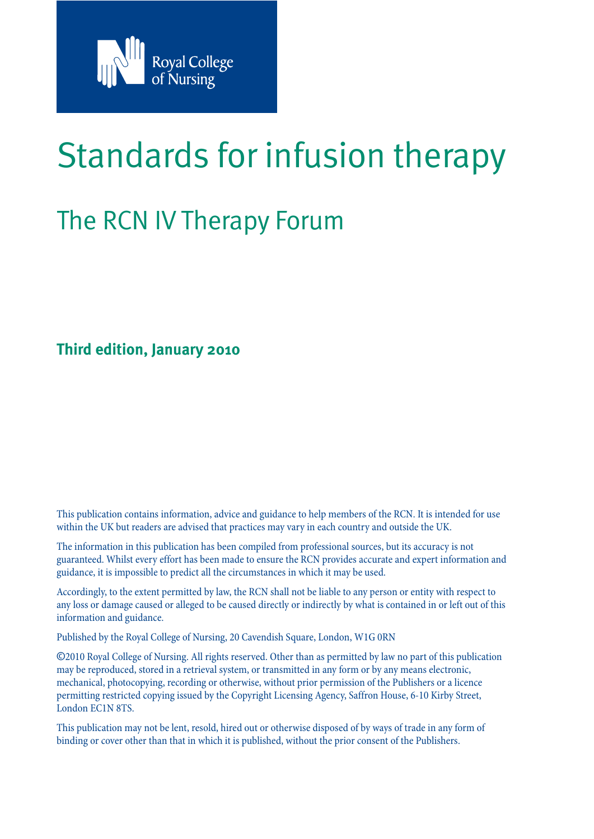

# Standards for infusion therapy

## The RCN IV Therapy Forum

**Third edition, January 2010**

This publication contains information, advice and guidance to help members of the RCN. It is intended for use within the UK but readers are advised that practices may vary in each country and outside the UK.

The information in this publication has been compiled from professional sources, but its accuracy is not guaranteed. Whilst every effort has been made to ensure the RCN provides accurate and expert information and guidance, it is impossible to predict all the circumstances in which it may be used.

Accordingly, to the extent permitted by law, the RCN shall not be liable to any person or entity with respect to any loss or damage caused or alleged to be caused directly or indirectly by what is contained in or left out of this information and guidance.

Published by the Royal College of Nursing, 20 Cavendish Square, London, W1G 0RN

©2010 Royal College of Nursing. All rights reserved. Other than as permitted by law no part of this publication may be reproduced, stored in a retrieval system, or transmitted in any form or by any means electronic, mechanical, photocopying, recording or otherwise, without prior permission of the Publishers or a licence permitting restricted copying issued by the Copyright Licensing Agency, Saffron House, 6-10 Kirby Street, London EC1N 8TS.

This publication may not be lent, resold, hired out or otherwise disposed of by ways of trade in any form of binding or cover other than that in which it is published, without the prior consent of the Publishers.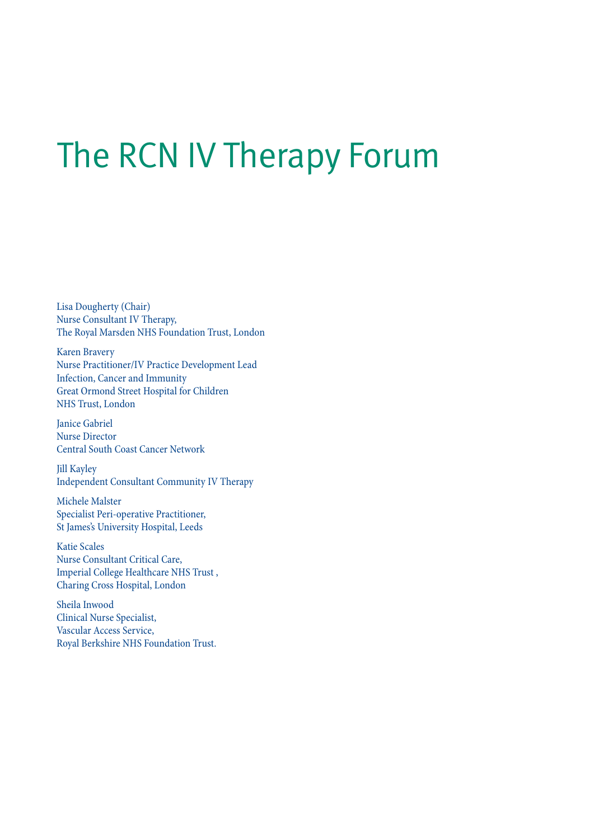# The RCN IV Therapy Forum

Lisa Dougherty (Chair) Nurse Consultant IV Therapy, The Royal Marsden NHS Foundation Trust, London

Karen Bravery Nurse Practitioner/IV Practice Development Lead Infection, Cancer and Immunity Great Ormond Street Hospital for Children NHS Trust, London

Janice Gabriel Nurse Director Central South Coast Cancer Network

Jill Kayley Independent Consultant Community IV Therapy

Michele Malster Specialist Peri-operative Practitioner, St James's University Hospital, Leeds

Katie Scales Nurse Consultant Critical Care, Imperial College Healthcare NHS Trust , Charing Cross Hospital, London

Sheila Inwood Clinical Nurse Specialist, Vascular Access Service, Royal Berkshire NHS Foundation Trust.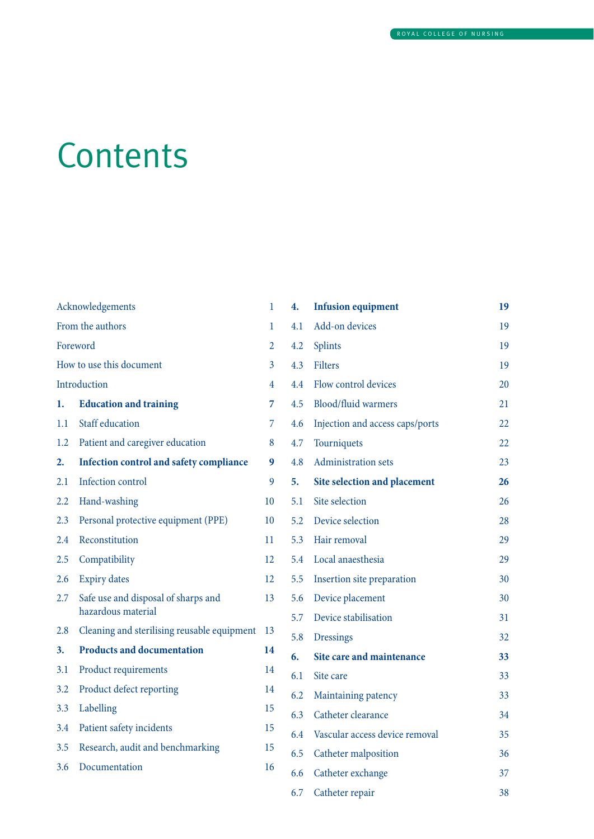# **Contents**

| Acknowledgements         |                                             | 1              | 4.  | <b>Infusion equipment</b>       | 19 |
|--------------------------|---------------------------------------------|----------------|-----|---------------------------------|----|
| From the authors         |                                             | 1              | 4.1 | Add-on devices                  | 19 |
| Foreword                 |                                             | $\overline{2}$ | 4.2 | <b>Splints</b>                  | 19 |
| How to use this document |                                             | $\overline{3}$ | 4.3 | <b>Filters</b>                  | 19 |
| Introduction             |                                             | 4              | 4.4 | Flow control devices            | 20 |
| 1.                       | <b>Education and training</b>               | 7              | 4.5 | Blood/fluid warmers             | 21 |
| 1.1                      | Staff education                             | $\overline{7}$ | 4.6 | Injection and access caps/ports | 22 |
| 1.2                      | Patient and caregiver education             | 8              | 4.7 | Tourniquets                     | 22 |
| 2.                       | Infection control and safety compliance     | 9              | 4.8 | Administration sets             | 23 |
| 2.1                      | Infection control                           | 9              | 5.  | Site selection and placement    | 26 |
| 2.2                      | Hand-washing                                | 10             | 5.1 | Site selection                  | 26 |
| 2.3                      | Personal protective equipment (PPE)         | 10             | 5.2 | Device selection                | 28 |
| 2.4                      | Reconstitution                              | 11             | 5.3 | Hair removal                    | 29 |
| 2.5                      | Compatibility                               | 12             | 5.4 | Local anaesthesia               | 29 |
| 2.6                      | <b>Expiry dates</b>                         | 12             | 5.5 | Insertion site preparation      | 30 |
| 2.7                      | Safe use and disposal of sharps and         | 13             | 5.6 | Device placement                | 30 |
|                          | hazardous material                          |                | 5.7 | Device stabilisation            | 31 |
| 2.8                      | Cleaning and sterilising reusable equipment | -13            | 5.8 | <b>Dressings</b>                | 32 |
| 3.                       | <b>Products and documentation</b>           | 14             | 6.  | Site care and maintenance       | 33 |
| 3.1                      | Product requirements                        | 14             | 6.1 | Site care                       | 33 |
| 3.2                      | Product defect reporting                    | 14             | 6.2 | Maintaining patency             | 33 |
| 3.3                      | Labelling                                   | 15             | 6.3 | Catheter clearance              | 34 |
| 3.4                      | Patient safety incidents                    | 15             | 6.4 | Vascular access device removal  | 35 |
| 3.5                      | Research, audit and benchmarking            | 15             | 6.5 | Catheter malposition            | 36 |
| 3.6                      | Documentation                               | 16             | 6.6 | Catheter exchange               | 37 |
|                          |                                             |                | 6.7 | Catheter repair                 | 38 |
|                          |                                             |                |     |                                 |    |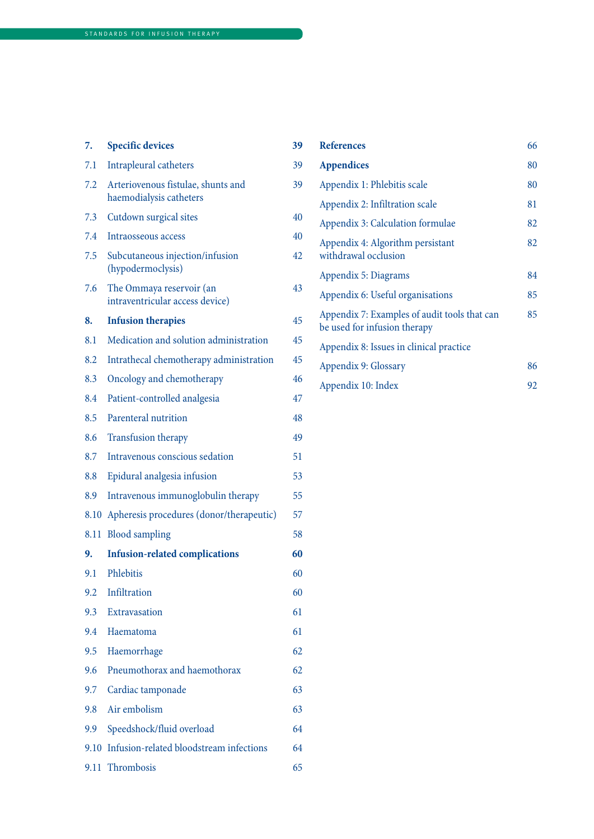| 7.   | <b>Specific devices</b>                                       | 39 |
|------|---------------------------------------------------------------|----|
| 7.1  | Intrapleural catheters                                        | 39 |
| 7.2  | Arteriovenous fistulae, shunts and<br>haemodialysis catheters | 39 |
| 7.3  | Cutdown surgical sites                                        | 40 |
| 7.4  | Intraosseous access                                           | 40 |
| 7.5  | Subcutaneous injection/infusion<br>(hypodermoclysis)          | 42 |
| 7.6  | The Ommaya reservoir (an<br>intraventricular access device)   | 43 |
| 8.   | <b>Infusion therapies</b>                                     | 45 |
| 8.1  | Medication and solution administration                        | 45 |
| 8.2  | Intrathecal chemotherapy administration                       | 45 |
| 8.3  | Oncology and chemotherapy                                     | 46 |
| 8.4  | Patient-controlled analgesia                                  | 47 |
| 8.5  | Parenteral nutrition                                          | 48 |
| 8.6  | <b>Transfusion therapy</b>                                    | 49 |
| 8.7  | Intravenous conscious sedation                                | 51 |
| 8.8  | Epidural analgesia infusion                                   | 53 |
| 8.9  | Intravenous immunoglobulin therapy                            | 55 |
| 8.10 | Apheresis procedures (donor/therapeutic)                      | 57 |
| 8.11 | <b>Blood</b> sampling                                         | 58 |
| 9.   | <b>Infusion-related complications</b>                         | 60 |
| 9.1  | Phlebitis                                                     | 60 |
| 9.2  | Infiltration                                                  | 60 |
| 9.3  | Extravasation                                                 | 61 |
| 9.4  | Haematoma                                                     | 61 |
| 9.5  | Haemorrhage                                                   | 62 |
| 9.6  | Pneumothorax and haemothorax                                  | 62 |
| 9.7  | Cardiac tamponade                                             | 63 |
| 9.8  | Air embolism                                                  | 63 |
| 9.9  | Speedshock/fluid overload                                     | 64 |
| 9.10 | Infusion-related bloodstream infections                       | 64 |
|      | 9.11 Thrombosis                                               | 65 |

| <b>References</b>                                                            | 66 |
|------------------------------------------------------------------------------|----|
| <b>Appendices</b>                                                            | 80 |
| Appendix 1: Phlebitis scale                                                  | 80 |
| Appendix 2: Infiltration scale                                               | 81 |
| Appendix 3: Calculation formulae                                             | 82 |
| Appendix 4: Algorithm persistant<br>withdrawal occlusion                     | 82 |
| Appendix 5: Diagrams                                                         | 84 |
| Appendix 6: Useful organisations                                             | 85 |
| Appendix 7: Examples of audit tools that can<br>be used for infusion therapy | 85 |
| Appendix 8: Issues in clinical practice                                      |    |
| Appendix 9: Glossary                                                         | 86 |
| Appendix 10: Index                                                           | 92 |
|                                                                              |    |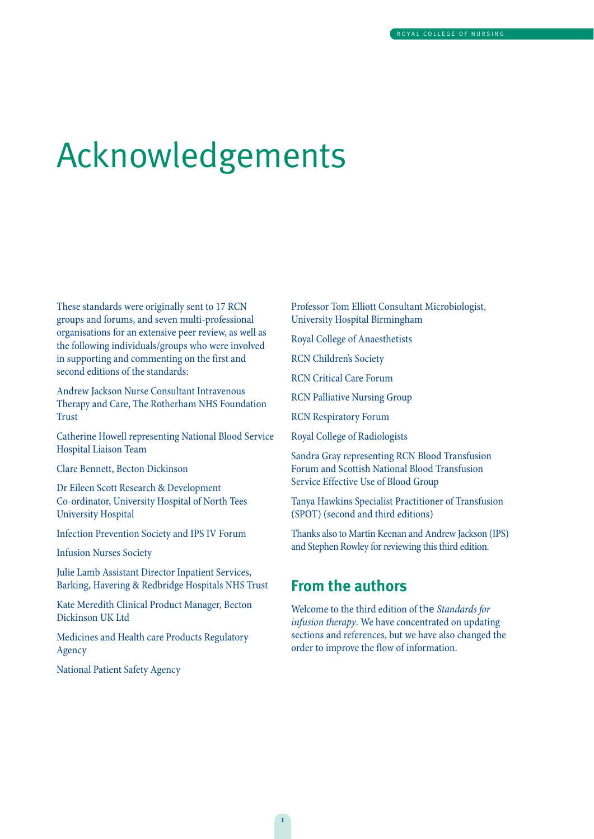# Acknowledgements

These standards were originally sent to 17 RCN groups and forums, and seven multi-professional organisations for an extensive peer review, as well as the following individuals/groups who were involved in supporting and commenting on the first and second editions of the standards:

Andrew Jackson Nurse Consultant Intravenous Therapy and Care, The Rotherham NHS Foundation Trust

Catherine Howell representing National Blood Service Hospital Liaison Team

Clare Bennett, Becton Dickinson

Dr Eileen Scott Research & Development Co-ordinator, University Hospital of North Tees University Hospital

Infection Prevention Society and IPS IV Forum

Infusion Nurses Society

Julie Lamb Assistant Director Inpatient Services, Barking, Havering & Redbridge Hospitals NHS Trust

Kate Meredith Clinical Product Manager, Becton Dickinson UK Ltd

Medicines and Health care Products Regulatory Agency

National Patient Safety Agency

Professor Tom Elliott Consultant Microbiologist, University Hospital Birmingham

Royal College of Anaesthetists

RCN Children's Society

RCN Critical Care Forum

RCN Palliative Nursing Group

RCN Respiratory Forum

Royal College of Radiologists

Sandra Gray representing RCN Blood Transfusion Forum and Scottish National Blood Transfusion Service Effective Use of Blood Group

Tanya Hawkins Specialist Practitioner of Transfusion (SPOT) (second and third editions)

Thanks also to Martin Keenan and Andrew Jackson (IPS) and Stephen Rowley for reviewing this third edition.

### **From the authors**

Welcome to the third edition of the Standards for infusion therapy. We have concentrated on updating sections and references, but we have also changed the order to improve the flow of information.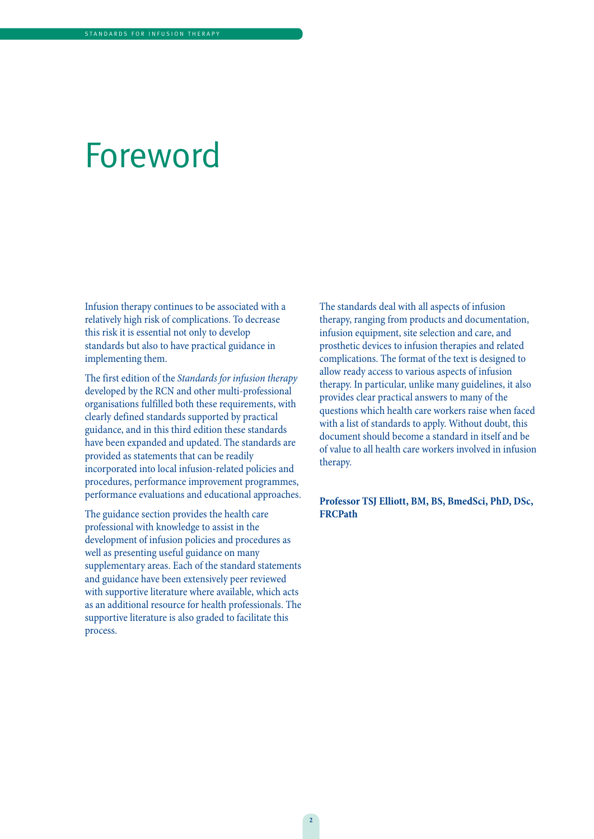## Foreword

Infusion therapy continues to be associated with a relatively high risk of complications. To decrease this risk it is essential not only to develop standards but also to have practical guidance in implementing them.

The first edition of the Standards for infusion therapy developed by the RCN and other multi-professional organisations fulfilled both these requirements, with clearly defined standards supported by practical guidance, and in this third edition these standards have been expanded and updated. The standards are provided as statements that can be readily incorporated into local infusion-related policies and procedures, performance improvement programmes, performance evaluations and educational approaches.

The guidance section provides the health care professional with knowledge to assist in the development of infusion policies and procedures as well as presenting useful guidance on many supplementary areas. Each of the standard statements and guidance have been extensively peer reviewed with supportive literature where available, which acts as an additional resource for health professionals. The supportive literature is also graded to facilitate this process.

The standards deal with all aspects of infusion therapy, ranging from products and documentation, infusion equipment, site selection and care, and prosthetic devices to infusion therapies and related complications. The format of the text is designed to allow ready access to various aspects of infusion therapy. In particular, unlike many guidelines, it also provides clear practical answers to many of the questions which health care workers raise when faced with a list of standards to apply. Without doubt, this document should become a standard in itself and be of value to all health care workers involved in infusion therapy.

### **Professor TSJ Elliott, BM, BS, BmedSci, PhD, DSc, FRCPath**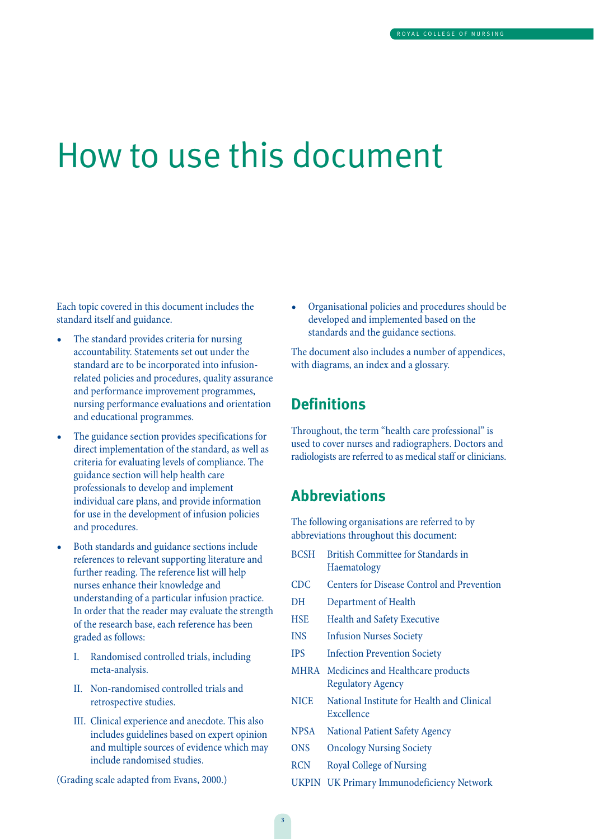## How to use this document

Each topic covered in this document includes the standard itself and guidance.

- The standard provides criteria for nursing accountability. Statements set out under the standard are to be incorporated into infusionrelated policies and procedures, quality assurance and performance improvement programmes, nursing performance evaluations and orientation and educational programmes.
- The guidance section provides specifications for direct implementation of the standard, as well as criteria for evaluating levels of compliance. The guidance section will help health care professionals to develop and implement individual care plans, and provide information for use in the development of infusion policies and procedures.
- Both standards and guidance sections include references to relevant supporting literature and further reading. The reference list will help nurses enhance their knowledge and understanding of a particular infusion practice. In order that the reader may evaluate the strength of the research base, each reference has been graded as follows:
	- I. Randomised controlled trials, including meta-analysis.
	- II. Non-randomised controlled trials and retrospective studies.
	- III. Clinical experience and anecdote. This also includes guidelines based on expert opinion and multiple sources of evidence which may include randomised studies.

(Grading scale adapted from Evans, 2000.)

• Organisational policies and procedures should be developed and implemented based on the standards and the guidance sections.

The document also includes a number of appendices, with diagrams, an index and a glossary.

### **Definitions**

Throughout, the term "health care professional" is used to cover nurses and radiographers. Doctors and radiologists are referred to as medical staff or clinicians.

### **Abbreviations**

The following organisations are referred to by abbreviations throughout this document:

BCSH British Committee for Standards in Haematology CDC Centers for Disease Control and Prevention DH Department of Health HSE Health and Safety Executive INS Infusion Nurses Society IPS Infection Prevention Society MHRA Medicines and Healthcare products Regulatory Agency NICE National Institute for Health and Clinical Excellence NPSA National Patient Safety Agency ONS Oncology Nursing Society RCN Royal College of Nursing UKPIN UK Primary Immunodeficiency Network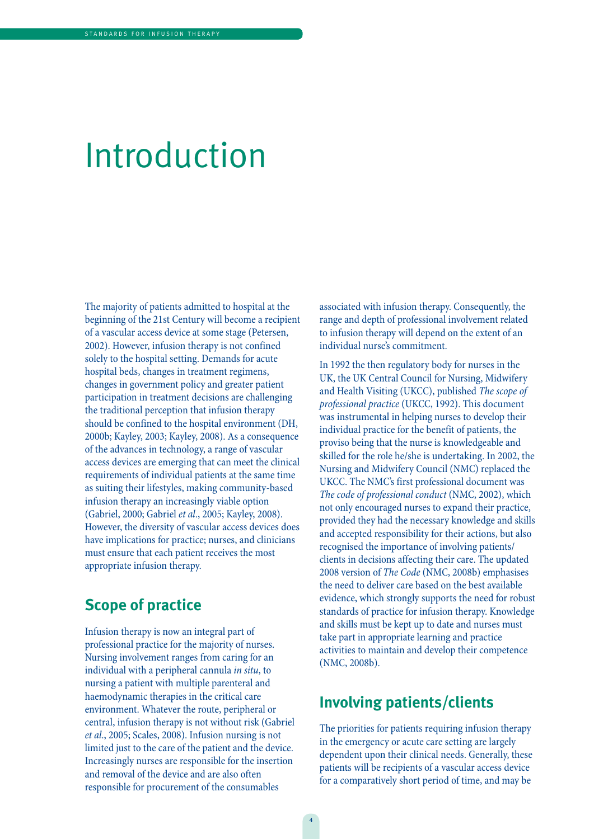## Introduction

The majority of patients admitted to hospital at the beginning of the 21st Century will become a recipient of a vascular access device at some stage (Petersen, 2002). However, infusion therapy is not confined solely to the hospital setting. Demands for acute hospital beds, changes in treatment regimens, changes in government policy and greater patient participation in treatment decisions are challenging the traditional perception that infusion therapy should be confined to the hospital environment (DH, 2000b; Kayley, 2003; Kayley, 2008). As a consequence of the advances in technology, a range of vascular access devices are emerging that can meet the clinical requirements of individual patients at the same time as suiting their lifestyles, making community-based infusion therapy an increasingly viable option (Gabriel, 2000; Gabriel et al., 2005; Kayley, 2008). However, the diversity of vascular access devices does have implications for practice; nurses, and clinicians must ensure that each patient receives the most appropriate infusion therapy.

### **Scope of practice**

Infusion therapy is now an integral part of professional practice for the majority of nurses. Nursing involvement ranges from caring for an individual with a peripheral cannula in situ, to nursing a patient with multiple parenteral and haemodynamic therapies in the critical care environment. Whatever the route, peripheral or central, infusion therapy is not without risk (Gabriel et al., 2005; Scales, 2008). Infusion nursing is not limited just to the care of the patient and the device. Increasingly nurses are responsible for the insertion and removal of the device and are also often responsible for procurement of the consumables

associated with infusion therapy. Consequently, the range and depth of professional involvement related to infusion therapy will depend on the extent of an individual nurse's commitment.

In 1992 the then regulatory body for nurses in the UK, the UK Central Council for Nursing, Midwifery and Health Visiting (UKCC), published The scope of professional practice (UKCC, 1992). This document was instrumental in helping nurses to develop their individual practice for the benefit of patients, the proviso being that the nurse is knowledgeable and skilled for the role he/she is undertaking. In 2002, the Nursing and Midwifery Council (NMC) replaced the UKCC. The NMC's first professional document was The code of professional conduct (NMC, 2002), which not only encouraged nurses to expand their practice, provided they had the necessary knowledge and skills and accepted responsibility for their actions, but also recognised the importance of involving patients/ clients in decisions affecting their care. The updated 2008 version of The Code (NMC, 2008b) emphasises the need to deliver care based on the best available evidence, which strongly supports the need for robust standards of practice for infusion therapy. Knowledge and skills must be kept up to date and nurses must take part in appropriate learning and practice activities to maintain and develop their competence (NMC, 2008b).

### **Involving patients/clients**

The priorities for patients requiring infusion therapy in the emergency or acute care setting are largely dependent upon their clinical needs. Generally, these patients will be recipients of a vascular access device for a comparatively short period of time, and may be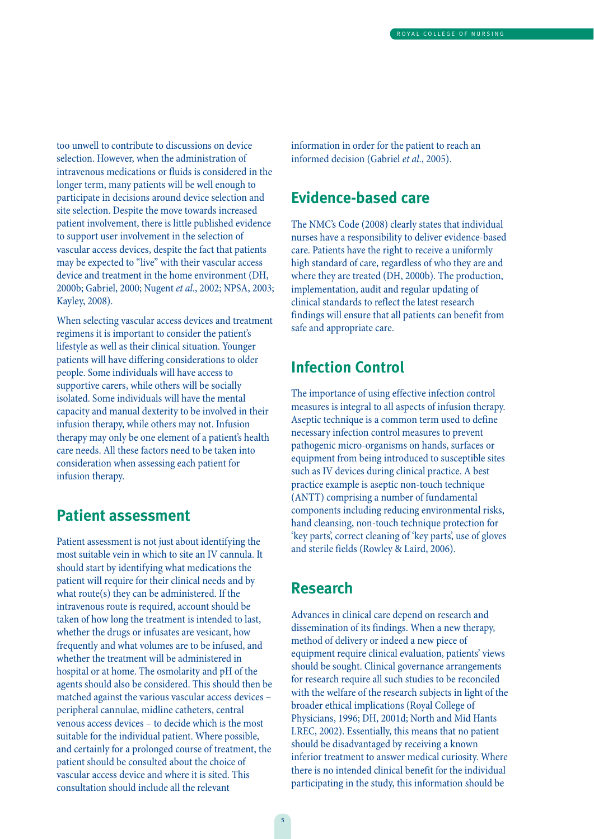too unwell to contribute to discussions on device selection. However, when the administration of intravenous medications or fluids is considered in the longer term, many patients will be well enough to participate in decisions around device selection and site selection. Despite the move towards increased patient involvement, there is little published evidence to support user involvement in the selection of vascular access devices, despite the fact that patients may be expected to "live" with their vascular access device and treatment in the home environment (DH, 2000b; Gabriel, 2000; Nugent et al., 2002; NPSA, 2003; Kayley, 2008).

When selecting vascular access devices and treatment regimens it is important to consider the patient's lifestyle as well as their clinical situation. Younger patients will have differing considerations to older people. Some individuals will have access to supportive carers, while others will be socially isolated. Some individuals will have the mental capacity and manual dexterity to be involved in their infusion therapy, while others may not. Infusion therapy may only be one element of a patient's health care needs. All these factors need to be taken into consideration when assessing each patient for infusion therapy.

### **Patient assessment**

Patient assessment is not just about identifying the most suitable vein in which to site an IV cannula. It should start by identifying what medications the patient will require for their clinical needs and by what route(s) they can be administered. If the intravenous route is required, account should be taken of how long the treatment is intended to last, whether the drugs or infusates are vesicant, how frequently and what volumes are to be infused, and whether the treatment will be administered in hospital or at home. The osmolarity and pH of the agents should also be considered. This should then be matched against the various vascular access devices – peripheral cannulae, midline catheters, central venous access devices – to decide which is the most suitable for the individual patient. Where possible, and certainly for a prolonged course of treatment, the patient should be consulted about the choice of vascular access device and where it is sited. This consultation should include all the relevant

information in order for the patient to reach an informed decision (Gabriel et al., 2005).

### **Evidence-based care**

The NMC's Code (2008) clearly states that individual nurses have a responsibility to deliver evidence-based care. Patients have the right to receive a uniformly high standard of care, regardless of who they are and where they are treated (DH, 2000b). The production, implementation, audit and regular updating of clinical standards to reflect the latest research findings will ensure that all patients can benefit from safe and appropriate care.

### **Infection Control**

The importance of using effective infection control measures is integral to all aspects of infusion therapy. Aseptic technique is a common term used to define necessary infection control measures to prevent pathogenic micro-organisms on hands, surfaces or equipment from being introduced to susceptible sites such as IV devices during clinical practice. A best practice example is aseptic non-touch technique (ANTT) comprising a number of fundamental components including reducing environmental risks, hand cleansing, non-touch technique protection for 'key parts', correct cleaning of 'key parts', use of gloves and sterile fields (Rowley & Laird, 2006).

### **Research**

Advances in clinical care depend on research and dissemination of its findings. When a new therapy, method of delivery or indeed a new piece of equipment require clinical evaluation, patients' views should be sought. Clinical governance arrangements for research require all such studies to be reconciled with the welfare of the research subjects in light of the broader ethical implications (Royal College of Physicians, 1996; DH, 2001d; North and Mid Hants LREC, 2002). Essentially, this means that no patient should be disadvantaged by receiving a known inferior treatment to answer medical curiosity. Where there is no intended clinical benefit for the individual participating in the study, this information should be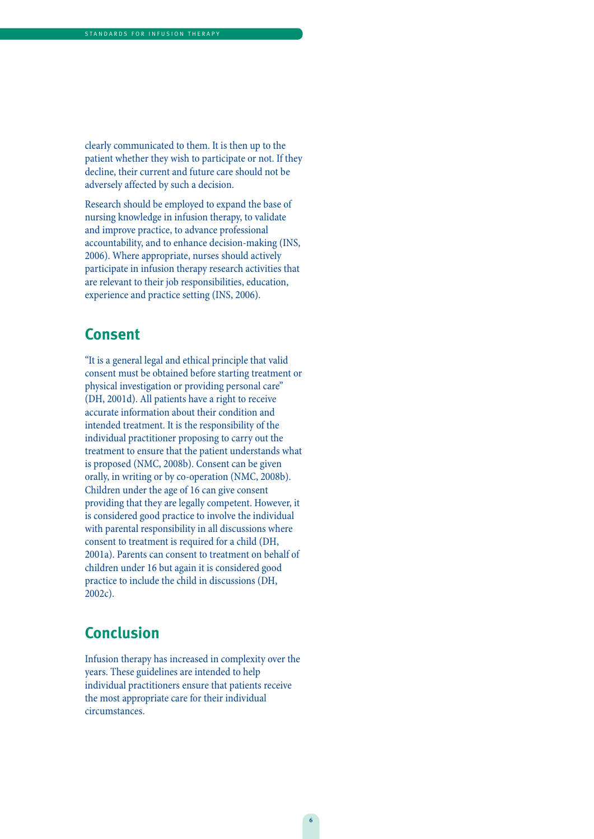clearly communicated to them. It is then up to the patient whether they wish to participate or not. If they decline, their current and future care should not be adversely affected by such a decision.

Research should be employed to expand the base of nursing knowledge in infusion therapy, to validate and improve practice, to advance professional accountability, and to enhance decision-making (INS, 2006). Where appropriate, nurses should actively participate in infusion therapy research activities that are relevant to their job responsibilities, education, experience and practice setting (INS, 2006).

### **Consent**

"It is a general legal and ethical principle that valid consent must be obtained before starting treatment or physical investigation or providing personal care" (DH, 2001d). All patients have a right to receive accurate information about their condition and intended treatment. It is the responsibility of the individual practitioner proposing to carry out the treatment to ensure that the patient understands what is proposed (NMC, 2008b). Consent can be given orally, in writing or by co-operation (NMC, 2008b). Children under the age of 16 can give consent providing that they are legally competent. However, it is considered good practice to involve the individual with parental responsibility in all discussions where consent to treatment is required for a child (DH, 2001a). Parents can consent to treatment on behalf of children under 16 but again it is considered good practice to include the child in discussions (DH, 2002c).

### **Conclusion**

Infusion therapy has increased in complexity over the years. These guidelines are intended to help individual practitioners ensure that patients receive the most appropriate care for their individual circumstances.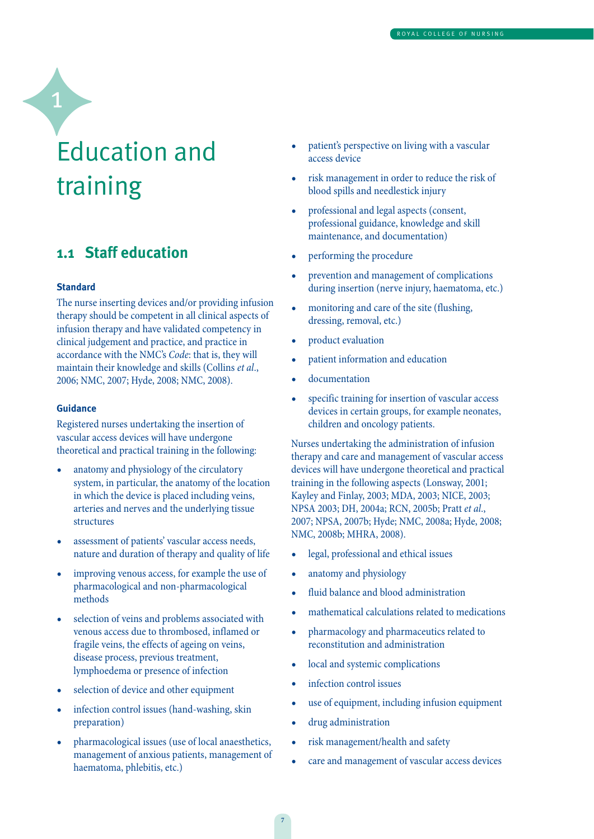## Education and training

### **1.1 Staff education**

#### **Standard**

1

The nurse inserting devices and/or providing infusion therapy should be competent in all clinical aspects of infusion therapy and have validated competency in clinical judgement and practice, and practice in accordance with the NMC's Code: that is, they will maintain their knowledge and skills (Collins et al., 2006; NMC, 2007; Hyde, 2008; NMC, 2008).

### **Guidance**

Registered nurses undertaking the insertion of vascular access devices will have undergone theoretical and practical training in the following:

- anatomy and physiology of the circulatory system, in particular, the anatomy of the location in which the device is placed including veins, arteries and nerves and the underlying tissue structures
- assessment of patients' vascular access needs, nature and duration of therapy and quality of life
- improving venous access, for example the use of pharmacological and non-pharmacological methods
- selection of veins and problems associated with venous access due to thrombosed, inflamed or fragile veins, the effects of ageing on veins, disease process, previous treatment, lymphoedema or presence of infection
- selection of device and other equipment
- infection control issues (hand-washing, skin preparation)
- pharmacological issues (use of local anaesthetics, management of anxious patients, management of haematoma, phlebitis, etc.)
- patient's perspective on living with a vascular access device
- risk management in order to reduce the risk of blood spills and needlestick injury
- professional and legal aspects (consent, professional guidance, knowledge and skill maintenance, and documentation)
- performing the procedure
- prevention and management of complications during insertion (nerve injury, haematoma, etc.)
- monitoring and care of the site (flushing, dressing, removal, etc.)
- product evaluation
- patient information and education
- documentation
- specific training for insertion of vascular access devices in certain groups, for example neonates, children and oncology patients.

Nurses undertaking the administration of infusion therapy and care and management of vascular access devices will have undergone theoretical and practical training in the following aspects (Lonsway, 2001; Kayley and Finlay, 2003; MDA, 2003; NICE, 2003; NPSA 2003; DH, 2004a; RCN, 2005b; Pratt et al., 2007; NPSA, 2007b; Hyde; NMC, 2008a; Hyde, 2008; NMC, 2008b; MHRA, 2008).

- legal, professional and ethical issues
- anatomy and physiology
- fluid balance and blood administration
- mathematical calculations related to medications
- pharmacology and pharmaceutics related to reconstitution and administration
- local and systemic complications
- infection control issues
- use of equipment, including infusion equipment
- drug administration
- risk management/health and safety
- care and management of vascular access devices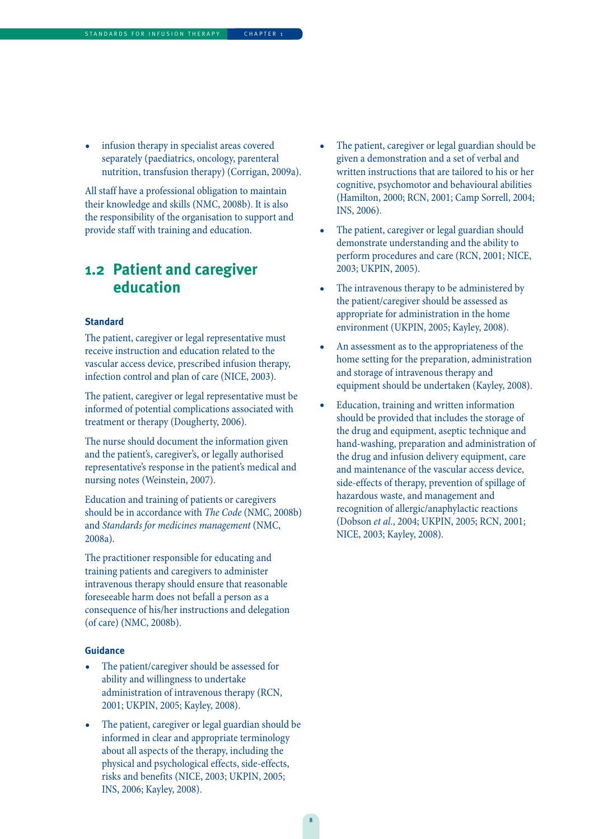• infusion therapy in specialist areas covered separately (paediatrics, oncology, parenteral nutrition, transfusion therapy) (Corrigan, 2009a).

All staff have a professional obligation to maintain their knowledge and skills (NMC, 2008b). It is also the responsibility of the organisation to support and provide staff with training and education.

### **1.2 Patient and caregiver education**

### **Standard**

The patient, caregiver or legal representative must receive instruction and education related to the vascular access device, prescribed infusion therapy, infection control and plan of care (NICE, 2003).

The patient, caregiver or legal representative must be informed of potential complications associated with treatment or therapy (Dougherty, 2006).

The nurse should document the information given and the patient's, caregiver's, or legally authorised representative's response in the patient's medical and nursing notes (Weinstein, 2007).

Education and training of patients or caregivers should be in accordance with The Code (NMC, 2008b) and Standards for medicines management (NMC, 2008a).

The practitioner responsible for educating and training patients and caregivers to administer intravenous therapy should ensure that reasonable foreseeable harm does not befall a person as a consequence of his/her instructions and delegation (of care) (NMC, 2008b).

- The patient/caregiver should be assessed for ability and willingness to undertake administration of intravenous therapy (RCN, 2001; UKPIN, 2005; Kayley, 2008).
- The patient, caregiver or legal guardian should be informed in clear and appropriate terminology about all aspects of the therapy, including the physical and psychological effects, side-effects, risks and benefits (NICE, 2003; UKPIN, 2005; INS, 2006; Kayley, 2008).
- The patient, caregiver or legal guardian should be given a demonstration and a set of verbal and written instructions that are tailored to his or her cognitive, psychomotor and behavioural abilities (Hamilton, 2000; RCN, 2001; Camp Sorrell, 2004; INS, 2006).
- The patient, caregiver or legal guardian should demonstrate understanding and the ability to perform procedures and care (RCN, 2001; NICE, 2003; UKPIN, 2005).
- The intravenous therapy to be administered by the patient/caregiver should be assessed as appropriate for administration in the home environment (UKPIN, 2005; Kayley, 2008).
- An assessment as to the appropriateness of the home setting for the preparation, administration and storage of intravenous therapy and equipment should be undertaken (Kayley, 2008).
- Education, training and written information should be provided that includes the storage of the drug and equipment, aseptic technique and hand-washing, preparation and administration of the drug and infusion delivery equipment, care and maintenance of the vascular access device, side-effects of therapy, prevention of spillage of hazardous waste, and management and recognition of allergic/anaphylactic reactions (Dobson et al., 2004; UKPIN, 2005; RCN, 2001; NICE, 2003; Kayley, 2008).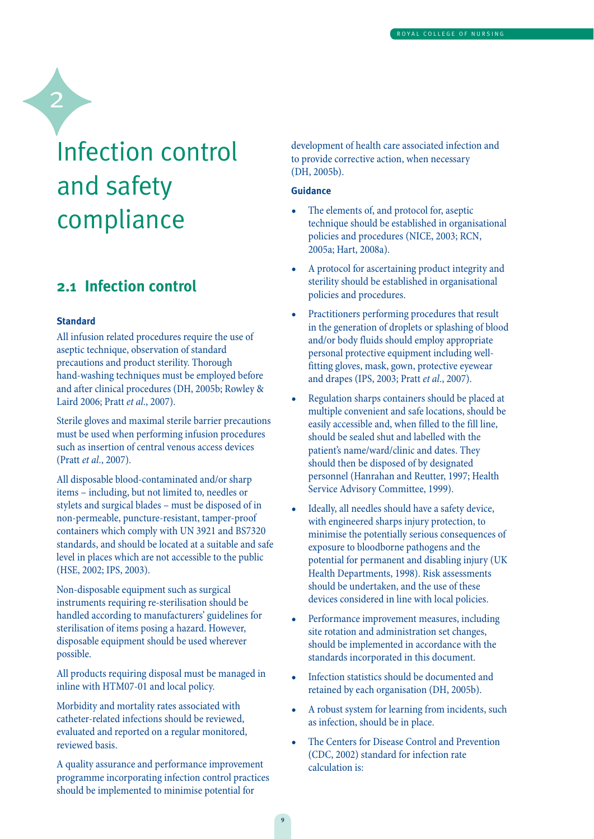## Infection control and safety compliance

### **2.1 Infection control**

### **Standard**

2

All infusion related procedures require the use of aseptic technique, observation of standard precautions and product sterility. Thorough hand-washing techniques must be employed before and after clinical procedures (DH, 2005b; Rowley & Laird 2006; Pratt et al., 2007).

Sterile gloves and maximal sterile barrier precautions must be used when performing infusion procedures such as insertion of central venous access devices (Pratt et al., 2007).

All disposable blood-contaminated and/or sharp items – including, but not limited to, needles or stylets and surgical blades – must be disposed of in non-permeable, puncture-resistant, tamper-proof containers which comply with UN 3921 and BS7320 standards, and should be located at a suitable and safe level in places which are not accessible to the public (HSE, 2002; IPS, 2003).

Non-disposable equipment such as surgical instruments requiring re-sterilisation should be handled according to manufacturers' guidelines for sterilisation of items posing a hazard. However, disposable equipment should be used wherever possible.

All products requiring disposal must be managed in inline with HTM07-01 and local policy.

Morbidity and mortality rates associated with catheter-related infections should be reviewed, evaluated and reported on a regular monitored, reviewed basis.

A quality assurance and performance improvement programme incorporating infection control practices should be implemented to minimise potential for

development of health care associated infection and to provide corrective action, when necessary (DH, 2005b).

- The elements of, and protocol for, aseptic technique should be established in organisational policies and procedures (NICE, 2003; RCN, 2005a; Hart, 2008a).
- A protocol for ascertaining product integrity and sterility should be established in organisational policies and procedures.
- Practitioners performing procedures that result in the generation of droplets or splashing of blood and/or body fluids should employ appropriate personal protective equipment including wellfitting gloves, mask, gown, protective eyewear and drapes (IPS, 2003; Pratt et al., 2007).
- Regulation sharps containers should be placed at multiple convenient and safe locations, should be easily accessible and, when filled to the fill line, should be sealed shut and labelled with the patient's name/ward/clinic and dates. They should then be disposed of by designated personnel (Hanrahan and Reutter, 1997; Health Service Advisory Committee, 1999).
- Ideally, all needles should have a safety device, with engineered sharps injury protection, to minimise the potentially serious consequences of exposure to bloodborne pathogens and the potential for permanent and disabling injury (UK Health Departments, 1998). Risk assessments should be undertaken, and the use of these devices considered in line with local policies.
- Performance improvement measures, including site rotation and administration set changes, should be implemented in accordance with the standards incorporated in this document.
- Infection statistics should be documented and retained by each organisation (DH, 2005b).
- A robust system for learning from incidents, such as infection, should be in place.
- The Centers for Disease Control and Prevention (CDC, 2002) standard for infection rate calculation is: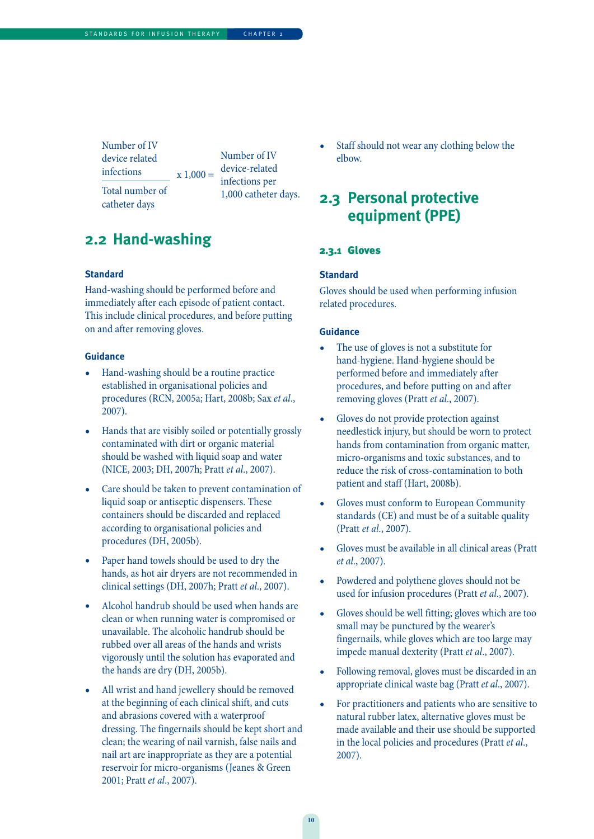Number of IV device related infections Total number of

catheter days

 $x 1,000 =$ Number of IV device-related infections per 1,000 catheter days.

### **2.2 Hand-washing**

#### **Standard**

Hand-washing should be performed before and immediately after each episode of patient contact. This include clinical procedures, and before putting on and after removing gloves.

#### **Guidance**

- Hand-washing should be a routine practice established in organisational policies and procedures (RCN, 2005a; Hart, 2008b; Sax et al., 2007).
- Hands that are visibly soiled or potentially grossly contaminated with dirt or organic material should be washed with liquid soap and water (NICE, 2003; DH, 2007h; Pratt et al., 2007).
- Care should be taken to prevent contamination of liquid soap or antiseptic dispensers. These containers should be discarded and replaced according to organisational policies and procedures (DH, 2005b).
- Paper hand towels should be used to dry the hands, as hot air dryers are not recommended in clinical settings (DH, 2007h; Pratt et al., 2007).
- Alcohol handrub should be used when hands are clean or when running water is compromised or unavailable. The alcoholic handrub should be rubbed over all areas of the hands and wrists vigorously until the solution has evaporated and the hands are dry (DH, 2005b).
- All wrist and hand jewellery should be removed at the beginning of each clinical shift, and cuts and abrasions covered with a waterproof dressing. The fingernails should be kept short and clean; the wearing of nail varnish, false nails and nail art are inappropriate as they are a potential reservoir for micro-organisms (Jeanes & Green 2001; Pratt et al., 2007).

Staff should not wear any clothing below the elbow.

### **2.3 Personal protective equipment (PPE)**

#### 2.3.1 Gloves

### **Standard**

Gloves should be used when performing infusion related procedures.

- The use of gloves is not a substitute for hand-hygiene. Hand-hygiene should be performed before and immediately after procedures, and before putting on and after removing gloves (Pratt et al., 2007).
- Gloves do not provide protection against needlestick injury, but should be worn to protect hands from contamination from organic matter, micro-organisms and toxic substances, and to reduce the risk of cross-contamination to both patient and staff (Hart, 2008b).
- Gloves must conform to European Community standards (CE) and must be of a suitable quality (Pratt et al., 2007).
- Gloves must be available in all clinical areas (Pratt et al., 2007).
- Powdered and polythene gloves should not be used for infusion procedures (Pratt et al., 2007).
- Gloves should be well fitting; gloves which are too small may be punctured by the wearer's fingernails, while gloves which are too large may impede manual dexterity (Pratt et al., 2007).
- Following removal, gloves must be discarded in an appropriate clinical waste bag (Pratt et al., 2007).
- For practitioners and patients who are sensitive to natural rubber latex, alternative gloves must be made available and their use should be supported in the local policies and procedures (Pratt et al., 2007).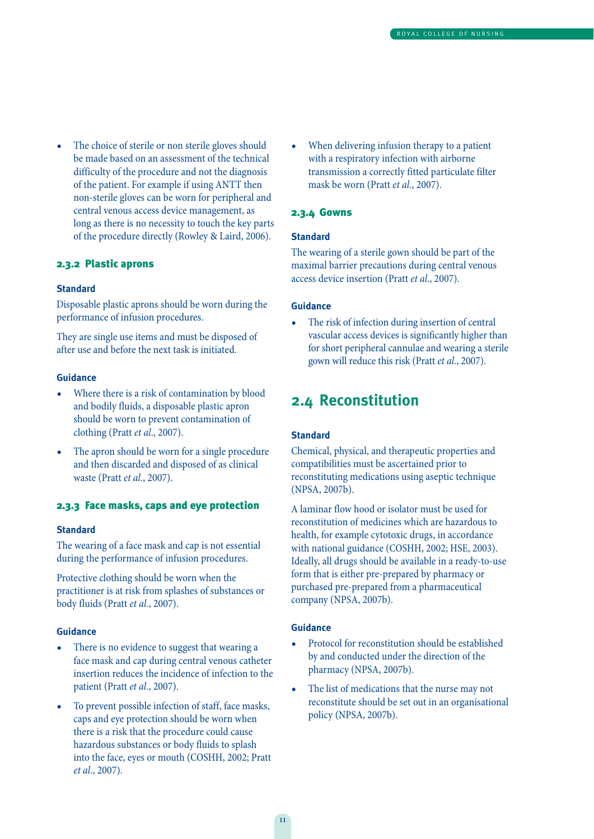• The choice of sterile or non sterile gloves should be made based on an assessment of the technical difficulty of the procedure and not the diagnosis of the patient. For example if using ANTT then non-sterile gloves can be worn for peripheral and central venous access device management, as long as there is no necessity to touch the key parts of the procedure directly (Rowley & Laird, 2006).

### 2.3.2 Plastic aprons

### **Standard**

Disposable plastic aprons should be worn during the performance of infusion procedures.

They are single use items and must be disposed of after use and before the next task is initiated.

### **Guidance**

- Where there is a risk of contamination by blood and bodily fluids, a disposable plastic apron should be worn to prevent contamination of clothing (Pratt et al., 2007).
- The apron should be worn for a single procedure and then discarded and disposed of as clinical waste (Pratt et al., 2007).

### 2.3.3 Face masks, caps and eye protection

#### **Standard**

The wearing of a face mask and cap is not essential during the performance of infusion procedures.

Protective clothing should be worn when the practitioner is at risk from splashes of substances or body fluids (Pratt et al., 2007).

#### **Guidance**

- There is no evidence to suggest that wearing a face mask and cap during central venous catheter insertion reduces the incidence of infection to the patient (Pratt et al., 2007).
- To prevent possible infection of staff, face masks, caps and eye protection should be worn when there is a risk that the procedure could cause hazardous substances or body fluids to splash into the face, eyes or mouth (COSHH, 2002; Pratt et al., 2007).

When delivering infusion therapy to a patient with a respiratory infection with airborne transmission a correctly fitted particulate filter mask be worn (Pratt et al., 2007).

### 2.3.4 Gowns

#### **Standard**

The wearing of a sterile gown should be part of the maximal barrier precautions during central venous access device insertion (Pratt et al., 2007).

#### **Guidance**

The risk of infection during insertion of central vascular access devices is significantly higher than for short peripheral cannulae and wearing a sterile gown will reduce this risk (Pratt et al., 2007).

### **2.4 Reconstitution**

### **Standard**

Chemical, physical, and therapeutic properties and compatibilities must be ascertained prior to reconstituting medications using aseptic technique (NPSA, 2007b).

A laminar flow hood or isolator must be used for reconstitution of medicines which are hazardous to health, for example cytotoxic drugs, in accordance with national guidance (COSHH, 2002; HSE, 2003). Ideally, all drugs should be available in a ready-to-use form that is either pre-prepared by pharmacy or purchased pre-prepared from a pharmaceutical company (NPSA, 2007b).

- Protocol for reconstitution should be established by and conducted under the direction of the pharmacy (NPSA, 2007b).
- The list of medications that the nurse may not reconstitute should be set out in an organisational policy (NPSA, 2007b).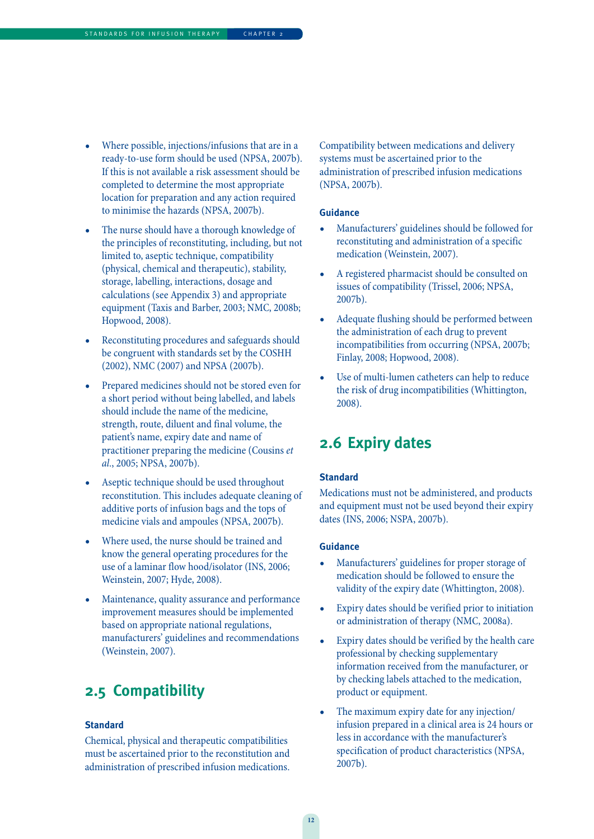- Where possible, injections/infusions that are in a ready-to-use form should be used (NPSA, 2007b). If this is not available a risk assessment should be completed to determine the most appropriate location for preparation and any action required to minimise the hazards (NPSA, 2007b).
- The nurse should have a thorough knowledge of the principles of reconstituting, including, but not limited to, aseptic technique, compatibility (physical, chemical and therapeutic), stability, storage, labelling, interactions, dosage and calculations (see Appendix 3) and appropriate equipment (Taxis and Barber, 2003; NMC, 2008b; Hopwood, 2008).
- Reconstituting procedures and safeguards should be congruent with standards set by the COSHH (2002), NMC (2007) and NPSA (2007b).
- Prepared medicines should not be stored even for a short period without being labelled, and labels should include the name of the medicine, strength, route, diluent and final volume, the patient's name, expiry date and name of practitioner preparing the medicine (Cousins et al., 2005; NPSA, 2007b).
- Aseptic technique should be used throughout reconstitution. This includes adequate cleaning of additive ports of infusion bags and the tops of medicine vials and ampoules (NPSA, 2007b).
- Where used, the nurse should be trained and know the general operating procedures for the use of a laminar flow hood/isolator (INS, 2006; Weinstein, 2007; Hyde, 2008).
- Maintenance, quality assurance and performance improvement measures should be implemented based on appropriate national regulations, manufacturers' guidelines and recommendations (Weinstein, 2007).

### **2.5 Compatibility**

### **Standard**

Chemical, physical and therapeutic compatibilities must be ascertained prior to the reconstitution and administration of prescribed infusion medications. Compatibility between medications and delivery systems must be ascertained prior to the administration of prescribed infusion medications (NPSA, 2007b).

### **Guidance**

- Manufacturers' guidelines should be followed for reconstituting and administration of a specific medication (Weinstein, 2007).
- A registered pharmacist should be consulted on issues of compatibility (Trissel, 2006; NPSA, 2007b).
- Adequate flushing should be performed between the administration of each drug to prevent incompatibilities from occurring (NPSA, 2007b; Finlay, 2008; Hopwood, 2008).
- Use of multi-lumen catheters can help to reduce the risk of drug incompatibilities (Whittington, 2008).

### **2.6 Expiry dates**

### **Standard**

Medications must not be administered, and products and equipment must not be used beyond their expiry dates (INS, 2006; NSPA, 2007b).

- Manufacturers' guidelines for proper storage of medication should be followed to ensure the validity of the expiry date (Whittington, 2008).
- Expiry dates should be verified prior to initiation or administration of therapy (NMC, 2008a).
- Expiry dates should be verified by the health care professional by checking supplementary information received from the manufacturer, or by checking labels attached to the medication, product or equipment.
- The maximum expiry date for any injection/ infusion prepared in a clinical area is 24 hours or less in accordance with the manufacturer's specification of product characteristics (NPSA, 2007b).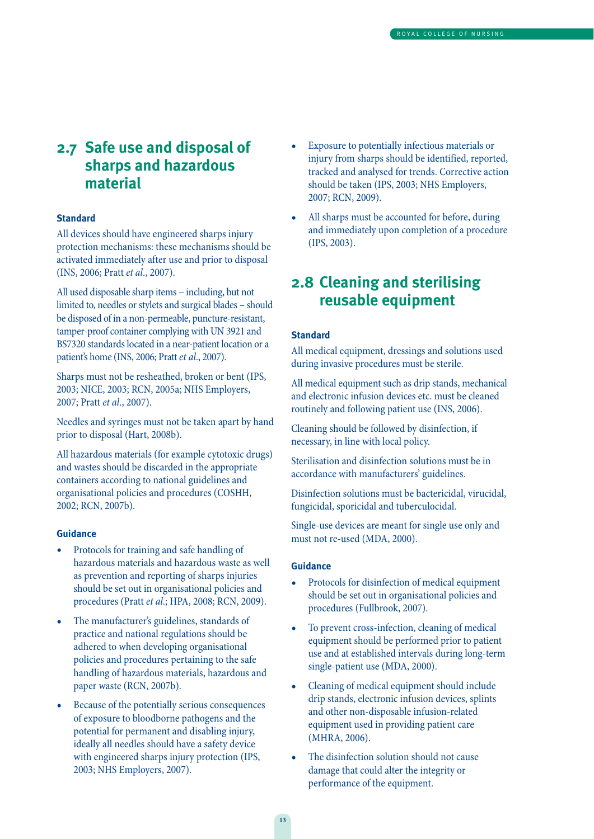### **2.7 Safe use and disposal of sharps and hazardous material**

### **Standard**

All devices should have engineered sharps injury protection mechanisms: these mechanisms should be activated immediately after use and prior to disposal (INS, 2006; Pratt et al., 2007).

All used disposable sharp items – including, but not limited to, needles or stylets and surgical blades – should be disposed of in a non-permeable, puncture-resistant, tamper-proof container complying with UN 3921 and BS7320 standards located in a near-patient location or a patient's home (INS, 2006; Pratt et al., 2007).

Sharps must not be resheathed, broken or bent (IPS, 2003; NICE, 2003; RCN, 2005a; NHS Employers, 2007; Pratt et al., 2007).

Needles and syringes must not be taken apart by hand prior to disposal (Hart, 2008b).

All hazardous materials (for example cytotoxic drugs) and wastes should be discarded in the appropriate containers according to national guidelines and organisational policies and procedures (COSHH, 2002; RCN, 2007b).

#### **Guidance**

- Protocols for training and safe handling of hazardous materials and hazardous waste as well as prevention and reporting of sharps injuries should be set out in organisational policies and procedures (Pratt et al.; HPA, 2008; RCN, 2009).
- The manufacturer's guidelines, standards of practice and national regulations should be adhered to when developing organisational policies and procedures pertaining to the safe handling of hazardous materials, hazardous and paper waste (RCN, 2007b).
- Because of the potentially serious consequences of exposure to bloodborne pathogens and the potential for permanent and disabling injury, ideally all needles should have a safety device with engineered sharps injury protection (IPS, 2003; NHS Employers, 2007).
- Exposure to potentially infectious materials or injury from sharps should be identified, reported, tracked and analysed for trends. Corrective action should be taken (IPS, 2003; NHS Employers, 2007; RCN, 2009).
- All sharps must be accounted for before, during and immediately upon completion of a procedure (IPS, 2003).

### **2.8 Cleaning and sterilising reusable equipment**

#### **Standard**

All medical equipment, dressings and solutions used during invasive procedures must be sterile.

All medical equipment such as drip stands, mechanical and electronic infusion devices etc. must be cleaned routinely and following patient use (INS, 2006).

Cleaning should be followed by disinfection, if necessary, in line with local policy.

Sterilisation and disinfection solutions must be in accordance with manufacturers' guidelines.

Disinfection solutions must be bactericidal, virucidal, fungicidal, sporicidal and tuberculocidal.

Single-use devices are meant for single use only and must not re-used (MDA, 2000).

- Protocols for disinfection of medical equipment should be set out in organisational policies and procedures (Fullbrook, 2007).
- To prevent cross-infection, cleaning of medical equipment should be performed prior to patient use and at established intervals during long-term single-patient use (MDA, 2000).
- Cleaning of medical equipment should include drip stands, electronic infusion devices, splints and other non-disposable infusion-related equipment used in providing patient care (MHRA, 2006).
- The disinfection solution should not cause damage that could alter the integrity or performance of the equipment.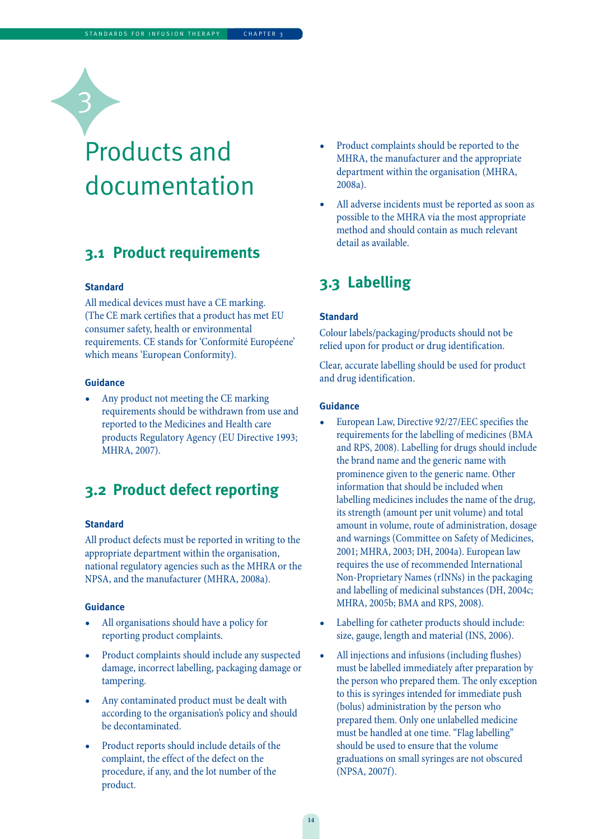## Products and documentation

### **3.1 Product requirements**

### **Standard**

3

All medical devices must have a CE marking. (The CE mark certifies that a product has met EU consumer safety, health or environmental requirements. CE stands for 'Conformité Européene' which means 'European Conformity).

#### **Guidance**

• Any product not meeting the CE marking requirements should be withdrawn from use and reported to the Medicines and Health care products Regulatory Agency (EU Directive 1993; MHRA, 2007).

### **3.2 Product defect reporting**

#### **Standard**

All product defects must be reported in writing to the appropriate department within the organisation, national regulatory agencies such as the MHRA or the NPSA, and the manufacturer (MHRA, 2008a).

### **Guidance**

- All organisations should have a policy for reporting product complaints.
- Product complaints should include any suspected damage, incorrect labelling, packaging damage or tampering.
- Any contaminated product must be dealt with according to the organisation's policy and should be decontaminated.
- Product reports should include details of the complaint, the effect of the defect on the procedure, if any, and the lot number of the product.
- Product complaints should be reported to the MHRA, the manufacturer and the appropriate department within the organisation (MHRA, 2008a).
- All adverse incidents must be reported as soon as possible to the MHRA via the most appropriate method and should contain as much relevant detail as available.

### **3.3 Labelling**

### **Standard**

Colour labels/packaging/products should not be relied upon for product or drug identification.

Clear, accurate labelling should be used for product and drug identification.

- European Law, Directive 92/27/EEC specifies the requirements for the labelling of medicines (BMA and RPS, 2008). Labelling for drugs should include the brand name and the generic name with prominence given to the generic name. Other information that should be included when labelling medicines includes the name of the drug, its strength (amount per unit volume) and total amount in volume, route of administration, dosage and warnings (Committee on Safety of Medicines, 2001; MHRA, 2003; DH, 2004a). European law requires the use of recommended International Non-Proprietary Names (rINNs) in the packaging and labelling of medicinal substances (DH, 2004c; MHRA, 2005b; BMA and RPS, 2008).
- Labelling for catheter products should include: size, gauge, length and material (INS, 2006).
- All injections and infusions (including flushes) must be labelled immediately after preparation by the person who prepared them. The only exception to this is syringes intended for immediate push (bolus) administration by the person who prepared them. Only one unlabelled medicine must be handled at one time. "Flag labelling" should be used to ensure that the volume graduations on small syringes are not obscured (NPSA, 2007f).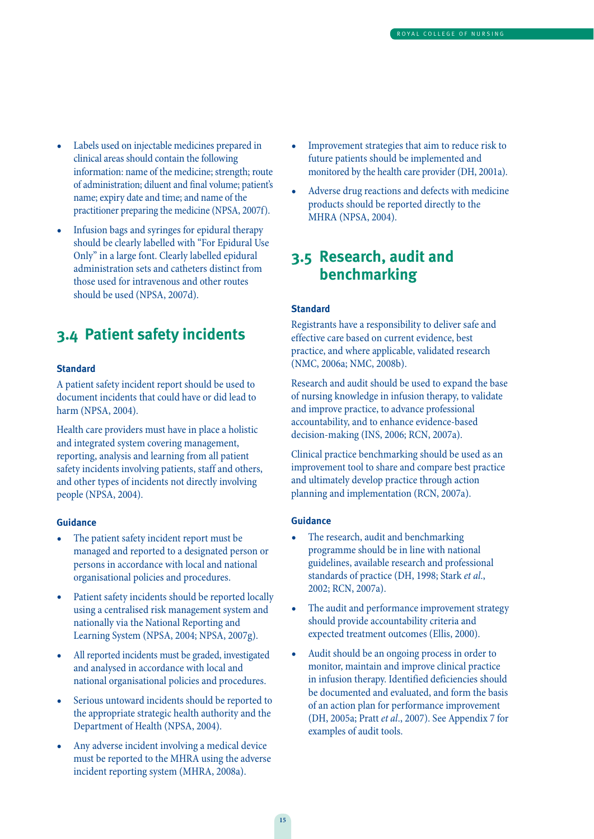- Labels used on injectable medicines prepared in clinical areas should contain the following information: name of the medicine; strength; route of administration; diluent and final volume; patient's name; expiry date and time; and name of the practitioner preparing the medicine (NPSA, 2007f).
- Infusion bags and syringes for epidural therapy should be clearly labelled with "For Epidural Use Only" in a large font. Clearly labelled epidural administration sets and catheters distinct from those used for intravenous and other routes should be used (NPSA, 2007d).

### **3.4 Patient safety incidents**

### **Standard**

A patient safety incident report should be used to document incidents that could have or did lead to harm (NPSA, 2004).

Health care providers must have in place a holistic and integrated system covering management, reporting, analysis and learning from all patient safety incidents involving patients, staff and others, and other types of incidents not directly involving people (NPSA, 2004).

#### **Guidance**

- The patient safety incident report must be managed and reported to a designated person or persons in accordance with local and national organisational policies and procedures.
- Patient safety incidents should be reported locally using a centralised risk management system and nationally via the National Reporting and Learning System (NPSA, 2004; NPSA, 2007g).
- All reported incidents must be graded, investigated and analysed in accordance with local and national organisational policies and procedures.
- Serious untoward incidents should be reported to the appropriate strategic health authority and the Department of Health (NPSA, 2004).
- Any adverse incident involving a medical device must be reported to the MHRA using the adverse incident reporting system (MHRA, 2008a).
- Improvement strategies that aim to reduce risk to future patients should be implemented and monitored by the health care provider (DH, 2001a).
- Adverse drug reactions and defects with medicine products should be reported directly to the MHRA (NPSA, 2004).

### **3.5 Research, audit and benchmarking**

#### **Standard**

Registrants have a responsibility to deliver safe and effective care based on current evidence, best practice, and where applicable, validated research (NMC, 2006a; NMC, 2008b).

Research and audit should be used to expand the base of nursing knowledge in infusion therapy, to validate and improve practice, to advance professional accountability, and to enhance evidence-based decision-making (INS, 2006; RCN, 2007a).

Clinical practice benchmarking should be used as an improvement tool to share and compare best practice and ultimately develop practice through action planning and implementation (RCN, 2007a).

- The research, audit and benchmarking programme should be in line with national guidelines, available research and professional standards of practice (DH, 1998; Stark et al., 2002; RCN, 2007a).
- The audit and performance improvement strategy should provide accountability criteria and expected treatment outcomes (Ellis, 2000).
- Audit should be an ongoing process in order to monitor, maintain and improve clinical practice in infusion therapy. Identified deficiencies should be documented and evaluated, and form the basis of an action plan for performance improvement (DH, 2005a; Pratt et al., 2007). See Appendix 7 for examples of audit tools.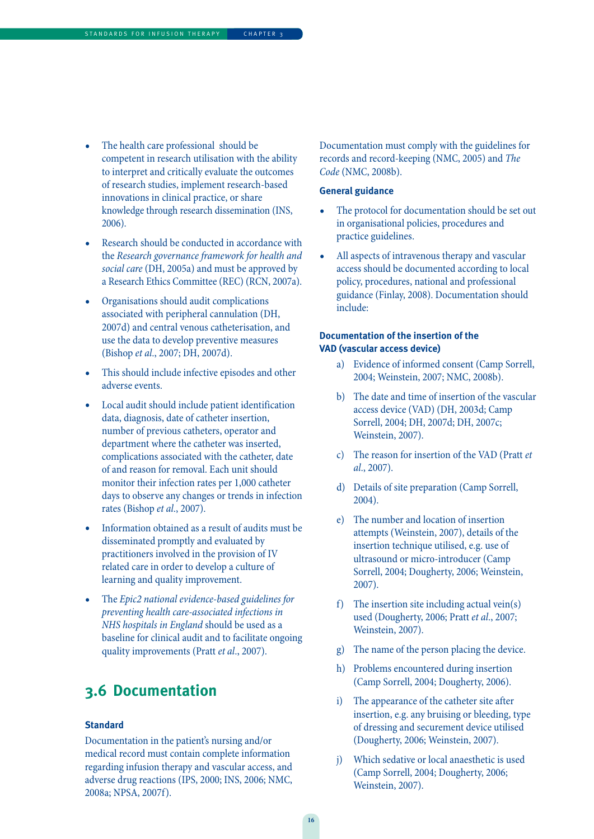- The health care professional should be competent in research utilisation with the ability to interpret and critically evaluate the outcomes of research studies, implement research-based innovations in clinical practice, or share knowledge through research dissemination (INS, 2006).
- Research should be conducted in accordance with the Research governance framework for health and social care (DH, 2005a) and must be approved by a Research Ethics Committee (REC) (RCN, 2007a).
- Organisations should audit complications associated with peripheral cannulation (DH, 2007d) and central venous catheterisation, and use the data to develop preventive measures (Bishop et al., 2007; DH, 2007d).
- This should include infective episodes and other adverse events.
- Local audit should include patient identification data, diagnosis, date of catheter insertion, number of previous catheters, operator and department where the catheter was inserted, complications associated with the catheter, date of and reason for removal. Each unit should monitor their infection rates per 1,000 catheter days to observe any changes or trends in infection rates (Bishop et al., 2007).
- Information obtained as a result of audits must be disseminated promptly and evaluated by practitioners involved in the provision of IV related care in order to develop a culture of learning and quality improvement.
- The Epic2 national evidence-based guidelines for preventing health care-associated infections in NHS hospitals in England should be used as a baseline for clinical audit and to facilitate ongoing quality improvements (Pratt et al., 2007).

### **3.6 Documentation**

### **Standard**

Documentation in the patient's nursing and/or medical record must contain complete information regarding infusion therapy and vascular access, and adverse drug reactions (IPS, 2000; INS, 2006; NMC, 2008a; NPSA, 2007f).

Documentation must comply with the guidelines for records and record-keeping (NMC, 2005) and The Code (NMC, 2008b).

### **General guidance**

- The protocol for documentation should be set out in organisational policies, procedures and practice guidelines.
- All aspects of intravenous therapy and vascular access should be documented according to local policy, procedures, national and professional guidance (Finlay, 2008). Documentation should include:

### **Documentation of the insertion of the VAD (vascular access device)**

- a) Evidence of informed consent (Camp Sorrell, 2004; Weinstein, 2007; NMC, 2008b).
- b) The date and time of insertion of the vascular access device (VAD) (DH, 2003d; Camp Sorrell, 2004; DH, 2007d; DH, 2007c; Weinstein, 2007).
- c) The reason for insertion of the VAD (Pratt et al., 2007).
- d) Details of site preparation (Camp Sorrell, 2004).
- e) The number and location of insertion attempts (Weinstein, 2007), details of the insertion technique utilised, e.g. use of ultrasound or micro-introducer (Camp Sorrell, 2004; Dougherty, 2006; Weinstein, 2007).
- f) The insertion site including actual vein(s) used (Dougherty, 2006; Pratt et al., 2007; Weinstein, 2007).
- g) The name of the person placing the device.
- h) Problems encountered during insertion (Camp Sorrell, 2004; Dougherty, 2006).
- i) The appearance of the catheter site after insertion, e.g. any bruising or bleeding, type of dressing and securement device utilised (Dougherty, 2006; Weinstein, 2007).
- j) Which sedative or local anaesthetic is used (Camp Sorrell, 2004; Dougherty, 2006; Weinstein, 2007).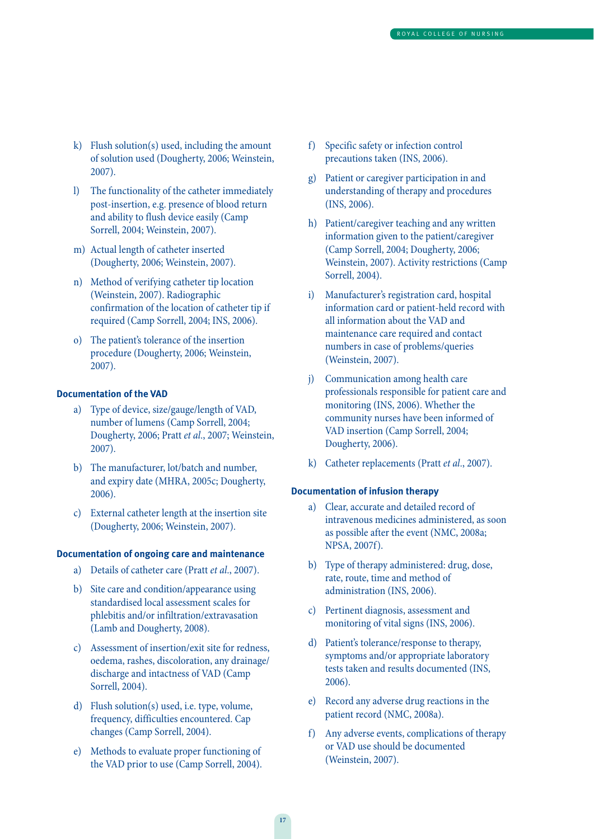- k) Flush solution(s) used, including the amount of solution used (Dougherty, 2006; Weinstein, 2007).
- l) The functionality of the catheter immediately post-insertion, e.g. presence of blood return and ability to flush device easily (Camp Sorrell, 2004; Weinstein, 2007).
- m) Actual length of catheter inserted (Dougherty, 2006; Weinstein, 2007).
- n) Method of verifying catheter tip location (Weinstein, 2007). Radiographic confirmation of the location of catheter tip if required (Camp Sorrell, 2004; INS, 2006).
- o) The patient's tolerance of the insertion procedure (Dougherty, 2006; Weinstein, 2007).

#### **Documentation of the VAD**

- a) Type of device, size/gauge/length of VAD, number of lumens (Camp Sorrell, 2004; Dougherty, 2006; Pratt et al., 2007; Weinstein, 2007).
- b) The manufacturer, lot/batch and number, and expiry date (MHRA, 2005c; Dougherty, 2006).
- c) External catheter length at the insertion site (Dougherty, 2006; Weinstein, 2007).

### **Documentation of ongoing care and maintenance**

- a) Details of catheter care (Pratt et al., 2007).
- b) Site care and condition/appearance using standardised local assessment scales for phlebitis and/or infiltration/extravasation (Lamb and Dougherty, 2008).
- c) Assessment of insertion/exit site for redness, oedema, rashes, discoloration, any drainage/ discharge and intactness of VAD (Camp Sorrell, 2004).
- d) Flush solution(s) used, i.e. type, volume, frequency, difficulties encountered. Cap changes (Camp Sorrell, 2004).
- e) Methods to evaluate proper functioning of the VAD prior to use (Camp Sorrell, 2004).
- f) Specific safety or infection control precautions taken (INS, 2006).
- g) Patient or caregiver participation in and understanding of therapy and procedures (INS, 2006).
- h) Patient/caregiver teaching and any written information given to the patient/caregiver (Camp Sorrell, 2004; Dougherty, 2006; Weinstein, 2007). Activity restrictions (Camp Sorrell, 2004).
- i) Manufacturer's registration card, hospital information card or patient-held record with all information about the VAD and maintenance care required and contact numbers in case of problems/queries (Weinstein, 2007).
- j) Communication among health care professionals responsible for patient care and monitoring (INS, 2006). Whether the community nurses have been informed of VAD insertion (Camp Sorrell, 2004; Dougherty, 2006).
- k) Catheter replacements (Pratt et al., 2007).

#### **Documentation of infusion therapy**

- a) Clear, accurate and detailed record of intravenous medicines administered, as soon as possible after the event (NMC, 2008a; NPSA, 2007f).
- b) Type of therapy administered: drug, dose, rate, route, time and method of administration (INS, 2006).
- c) Pertinent diagnosis, assessment and monitoring of vital signs (INS, 2006).
- d) Patient's tolerance/response to therapy, symptoms and/or appropriate laboratory tests taken and results documented (INS, 2006).
- e) Record any adverse drug reactions in the patient record (NMC, 2008a).
- f) Any adverse events, complications of therapy or VAD use should be documented (Weinstein, 2007).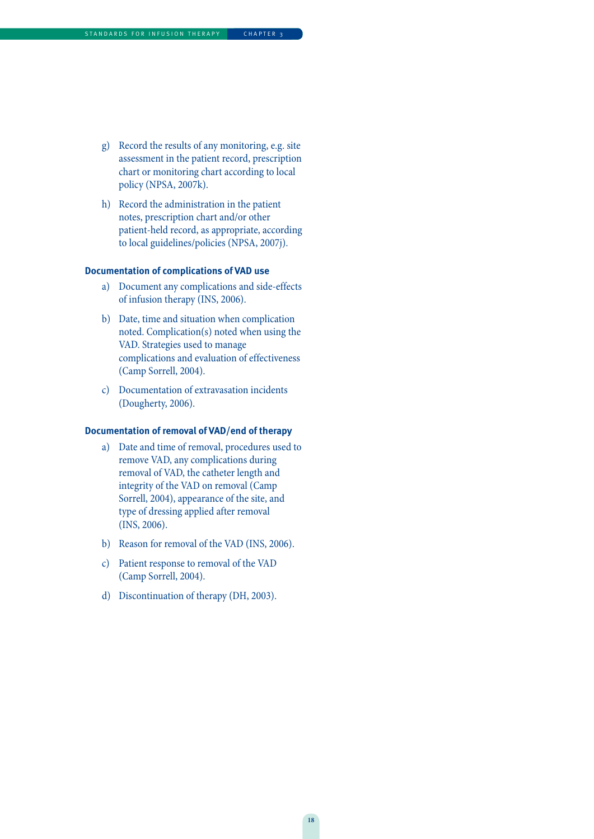- g) Record the results of any monitoring, e.g. site assessment in the patient record, prescription chart or monitoring chart according to local policy (NPSA, 2007k).
- h) Record the administration in the patient notes, prescription chart and/or other patient-held record, as appropriate, according to local guidelines/policies (NPSA, 2007j).

#### **Documentation of complications of VAD use**

- a) Document any complications and side-effects of infusion therapy (INS, 2006).
- b) Date, time and situation when complication noted. Complication(s) noted when using the VAD. Strategies used to manage complications and evaluation of effectiveness (Camp Sorrell, 2004).
- c) Documentation of extravasation incidents (Dougherty, 2006).

### **Documentation of removal of VAD/end of therapy**

- a) Date and time of removal, procedures used to remove VAD, any complications during removal of VAD, the catheter length and integrity of the VAD on removal (Camp Sorrell, 2004), appearance of the site, and type of dressing applied after removal (INS, 2006).
- b) Reason for removal of the VAD (INS, 2006).
- c) Patient response to removal of the VAD (Camp Sorrell, 2004).
- d) Discontinuation of therapy (DH, 2003).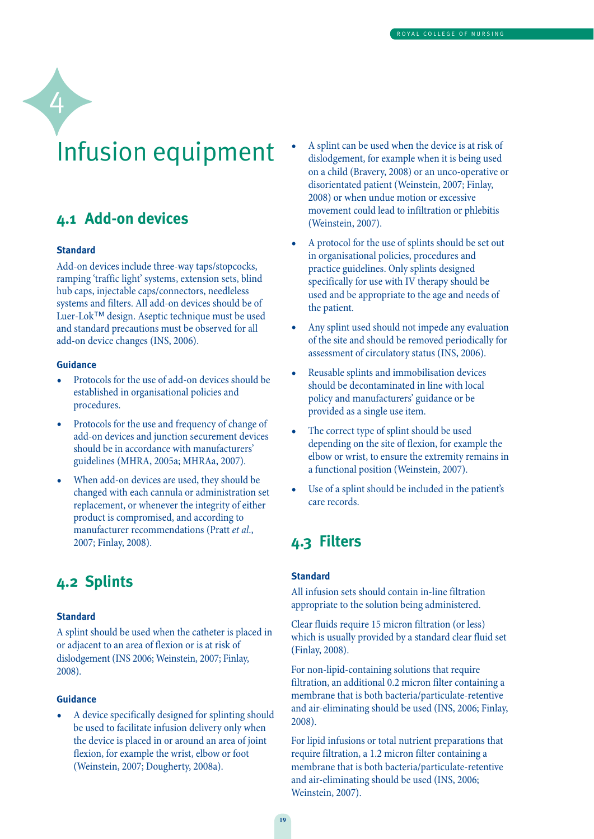# Infusion equipment

### **4.1 Add-on devices**

### **Standard**

4

Add-on devices include three-way taps/stopcocks, ramping 'traffic light' systems, extension sets, blind hub caps, injectable caps/connectors, needleless systems and filters. All add-on devices should be of Luer-Lok™ design. Aseptic technique must be used and standard precautions must be observed for all add-on device changes (INS, 2006).

### **Guidance**

- Protocols for the use of add-on devices should be established in organisational policies and procedures.
- Protocols for the use and frequency of change of add-on devices and junction securement devices should be in accordance with manufacturers' guidelines (MHRA, 2005a; MHRAa, 2007).
- When add-on devices are used, they should be changed with each cannula or administration set replacement, or whenever the integrity of either product is compromised, and according to manufacturer recommendations (Pratt et al., 2007; Finlay, 2008).

### **4.2 Splints**

### **Standard**

A splint should be used when the catheter is placed in or adjacent to an area of flexion or is at risk of dislodgement (INS 2006; Weinstein, 2007; Finlay, 2008).

#### **Guidance**

• A device specifically designed for splinting should be used to facilitate infusion delivery only when the device is placed in or around an area of joint flexion, for example the wrist, elbow or foot (Weinstein, 2007; Dougherty, 2008a).

- A splint can be used when the device is at risk of dislodgement, for example when it is being used on a child (Bravery, 2008) or an unco-operative or disorientated patient (Weinstein, 2007; Finlay, 2008) or when undue motion or excessive movement could lead to infiltration or phlebitis (Weinstein, 2007).
- A protocol for the use of splints should be set out in organisational policies, procedures and practice guidelines. Only splints designed specifically for use with IV therapy should be used and be appropriate to the age and needs of the patient.
- Any splint used should not impede any evaluation of the site and should be removed periodically for assessment of circulatory status (INS, 2006).
- Reusable splints and immobilisation devices should be decontaminated in line with local policy and manufacturers' guidance or be provided as a single use item.
- The correct type of splint should be used depending on the site of flexion, for example the elbow or wrist, to ensure the extremity remains in a functional position (Weinstein, 2007).
- Use of a splint should be included in the patient's care records.

### **4.3 Filters**

### **Standard**

All infusion sets should contain in-line filtration appropriate to the solution being administered.

Clear fluids require 15 micron filtration (or less) which is usually provided by a standard clear fluid set (Finlay, 2008).

For non-lipid-containing solutions that require filtration, an additional 0.2 micron filter containing a membrane that is both bacteria/particulate-retentive and air-eliminating should be used (INS, 2006; Finlay, 2008).

For lipid infusions or total nutrient preparations that require filtration, a 1.2 micron filter containing a membrane that is both bacteria/particulate-retentive and air-eliminating should be used (INS, 2006; Weinstein, 2007).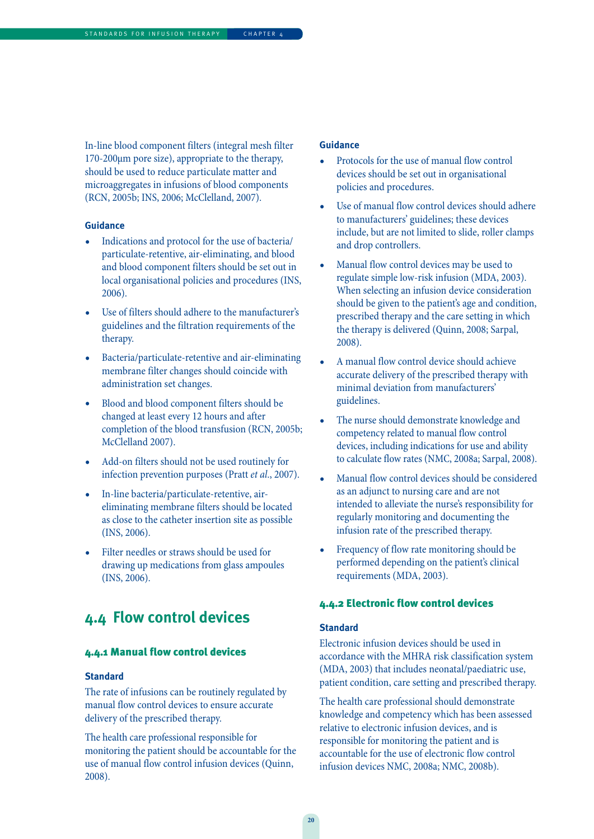In-line blood component filters (integral mesh filter 170-200µm pore size), appropriate to the therapy, should be used to reduce particulate matter and microaggregates in infusions of blood components (RCN, 2005b; INS, 2006; McClelland, 2007).

#### **Guidance**

- Indications and protocol for the use of bacteria/ particulate-retentive, air-eliminating, and blood and blood component filters should be set out in local organisational policies and procedures (INS, 2006).
- Use of filters should adhere to the manufacturer's guidelines and the filtration requirements of the therapy.
- Bacteria/particulate-retentive and air-eliminating membrane filter changes should coincide with administration set changes.
- Blood and blood component filters should be changed at least every 12 hours and after completion of the blood transfusion (RCN, 2005b; McClelland 2007).
- Add-on filters should not be used routinely for infection prevention purposes (Pratt et al., 2007).
- In-line bacteria/particulate-retentive, aireliminating membrane filters should be located as close to the catheter insertion site as possible (INS, 2006).
- Filter needles or straws should be used for drawing up medications from glass ampoules (INS, 2006).

### **4.4 Flow control devices**

### 4.4.1 Manual flow control devices

#### **Standard**

The rate of infusions can be routinely regulated by manual flow control devices to ensure accurate delivery of the prescribed therapy.

The health care professional responsible for monitoring the patient should be accountable for the use of manual flow control infusion devices (Quinn, 2008).

#### **Guidance**

- Protocols for the use of manual flow control devices should be set out in organisational policies and procedures.
- Use of manual flow control devices should adhere to manufacturers' guidelines; these devices include, but are not limited to slide, roller clamps and drop controllers.
- Manual flow control devices may be used to regulate simple low-risk infusion (MDA, 2003). When selecting an infusion device consideration should be given to the patient's age and condition, prescribed therapy and the care setting in which the therapy is delivered (Quinn, 2008; Sarpal, 2008).
- A manual flow control device should achieve accurate delivery of the prescribed therapy with minimal deviation from manufacturers' guidelines.
- The nurse should demonstrate knowledge and competency related to manual flow control devices, including indications for use and ability to calculate flow rates (NMC, 2008a; Sarpal, 2008).
- Manual flow control devices should be considered as an adjunct to nursing care and are not intended to alleviate the nurse's responsibility for regularly monitoring and documenting the infusion rate of the prescribed therapy.
- Frequency of flow rate monitoring should be performed depending on the patient's clinical requirements (MDA, 2003).

#### 4.4.2 Electronic flow control devices

### **Standard**

Electronic infusion devices should be used in accordance with the MHRA risk classification system (MDA, 2003) that includes neonatal/paediatric use, patient condition, care setting and prescribed therapy.

The health care professional should demonstrate knowledge and competency which has been assessed relative to electronic infusion devices, and is responsible for monitoring the patient and is accountable for the use of electronic flow control infusion devices NMC, 2008a; NMC, 2008b).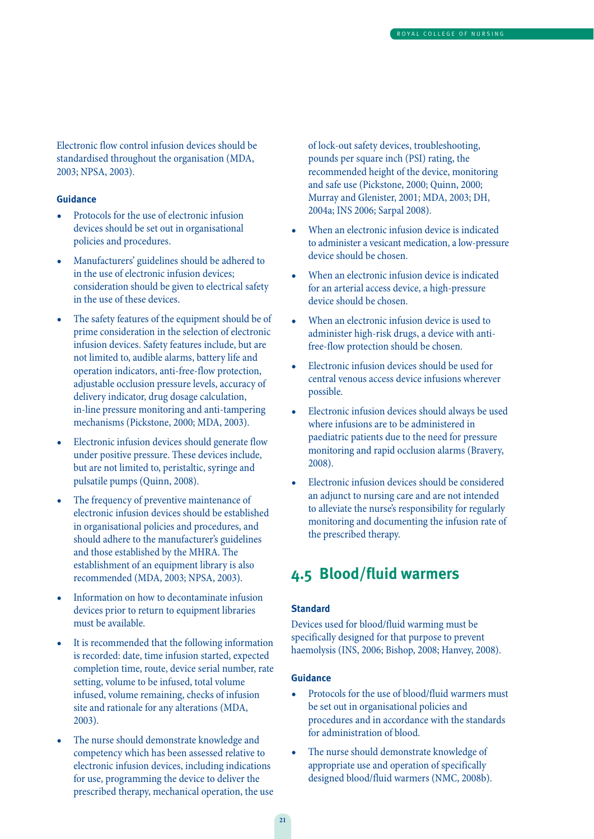Electronic flow control infusion devices should be standardised throughout the organisation (MDA, 2003; NPSA, 2003).

### **Guidance**

- Protocols for the use of electronic infusion devices should be set out in organisational policies and procedures.
- Manufacturers' guidelines should be adhered to in the use of electronic infusion devices; consideration should be given to electrical safety in the use of these devices.
- The safety features of the equipment should be of prime consideration in the selection of electronic infusion devices. Safety features include, but are not limited to, audible alarms, battery life and operation indicators, anti-free-flow protection, adjustable occlusion pressure levels, accuracy of delivery indicator, drug dosage calculation, in-line pressure monitoring and anti-tampering mechanisms (Pickstone, 2000; MDA, 2003).
- Electronic infusion devices should generate flow under positive pressure. These devices include, but are not limited to, peristaltic, syringe and pulsatile pumps (Quinn, 2008).
- The frequency of preventive maintenance of electronic infusion devices should be established in organisational policies and procedures, and should adhere to the manufacturer's guidelines and those established by the MHRA. The establishment of an equipment library is also recommended (MDA, 2003; NPSA, 2003).
- Information on how to decontaminate infusion devices prior to return to equipment libraries must be available.
- It is recommended that the following information is recorded: date, time infusion started, expected completion time, route, device serial number, rate setting, volume to be infused, total volume infused, volume remaining, checks of infusion site and rationale for any alterations (MDA, 2003).
- The nurse should demonstrate knowledge and competency which has been assessed relative to electronic infusion devices, including indications for use, programming the device to deliver the prescribed therapy, mechanical operation, the use

of lock-out safety devices, troubleshooting, pounds per square inch (PSI) rating, the recommended height of the device, monitoring and safe use (Pickstone, 2000; Quinn, 2000; Murray and Glenister, 2001; MDA, 2003; DH, 2004a; INS 2006; Sarpal 2008).

- When an electronic infusion device is indicated to administer a vesicant medication, a low-pressure device should be chosen.
- When an electronic infusion device is indicated for an arterial access device, a high-pressure device should be chosen.
- When an electronic infusion device is used to administer high-risk drugs, a device with antifree-flow protection should be chosen.
- Electronic infusion devices should be used for central venous access device infusions wherever possible.
- Electronic infusion devices should always be used where infusions are to be administered in paediatric patients due to the need for pressure monitoring and rapid occlusion alarms (Bravery, 2008).
- Electronic infusion devices should be considered an adjunct to nursing care and are not intended to alleviate the nurse's responsibility for regularly monitoring and documenting the infusion rate of the prescribed therapy.

### **4.5 Blood/fluid warmers**

### **Standard**

Devices used for blood/fluid warming must be specifically designed for that purpose to prevent haemolysis (INS, 2006; Bishop, 2008; Hanvey, 2008).

- Protocols for the use of blood/fluid warmers must be set out in organisational policies and procedures and in accordance with the standards for administration of blood.
- The nurse should demonstrate knowledge of appropriate use and operation of specifically designed blood/fluid warmers (NMC, 2008b).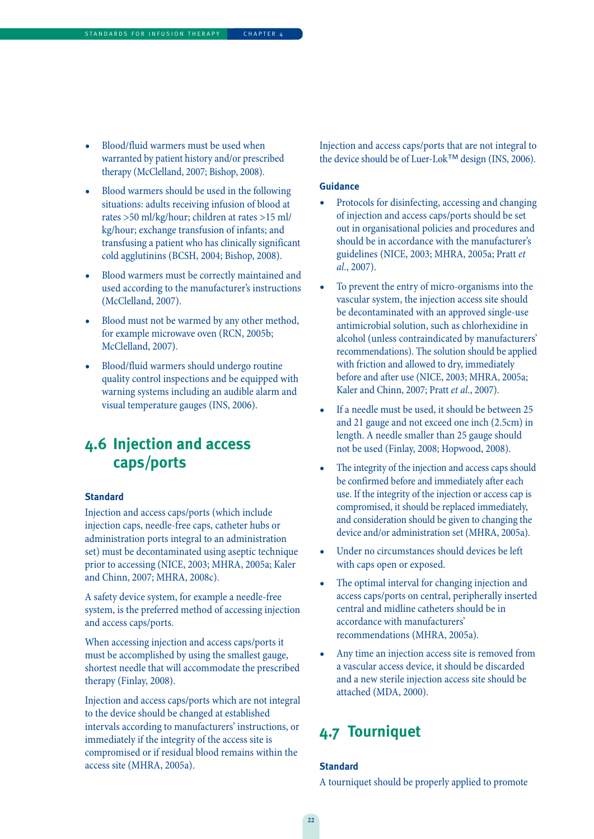- Blood/fluid warmers must be used when warranted by patient history and/or prescribed therapy (McClelland, 2007; Bishop, 2008).
- Blood warmers should be used in the following situations: adults receiving infusion of blood at rates >50 ml/kg/hour; children at rates >15 ml/ kg/hour; exchange transfusion of infants; and transfusing a patient who has clinically significant cold agglutinins (BCSH, 2004; Bishop, 2008).
- Blood warmers must be correctly maintained and used according to the manufacturer's instructions (McClelland, 2007).
- Blood must not be warmed by any other method, for example microwave oven (RCN, 2005b; McClelland, 2007).
- Blood/fluid warmers should undergo routine quality control inspections and be equipped with warning systems including an audible alarm and visual temperature gauges (INS, 2006).

### **4.6 Injection and access caps/ports**

### **Standard**

Injection and access caps/ports (which include injection caps, needle-free caps, catheter hubs or administration ports integral to an administration set) must be decontaminated using aseptic technique prior to accessing (NICE, 2003; MHRA, 2005a; Kaler and Chinn, 2007; MHRA, 2008c).

A safety device system, for example a needle-free system, is the preferred method of accessing injection and access caps/ports.

When accessing injection and access caps/ports it must be accomplished by using the smallest gauge, shortest needle that will accommodate the prescribed therapy (Finlay, 2008).

Injection and access caps/ports which are not integral to the device should be changed at established intervals according to manufacturers' instructions, or immediately if the integrity of the access site is compromised or if residual blood remains within the access site (MHRA, 2005a).

Injection and access caps/ports that are not integral to the device should be of Luer-Lok™ design (INS, 2006).

#### **Guidance**

- Protocols for disinfecting, accessing and changing of injection and access caps/ports should be set out in organisational policies and procedures and should be in accordance with the manufacturer's guidelines (NICE, 2003; MHRA, 2005a; Pratt et al., 2007).
- To prevent the entry of micro-organisms into the vascular system, the injection access site should be decontaminated with an approved single-use antimicrobial solution, such as chlorhexidine in alcohol (unless contraindicated by manufacturers' recommendations). The solution should be applied with friction and allowed to dry, immediately before and after use (NICE, 2003; MHRA, 2005a; Kaler and Chinn, 2007; Pratt et al., 2007).
- If a needle must be used, it should be between 25 and 21 gauge and not exceed one inch (2.5cm) in length. A needle smaller than 25 gauge should not be used (Finlay, 2008; Hopwood, 2008).
- The integrity of the injection and access caps should be confirmed before and immediately after each use. If the integrity of the injection or access cap is compromised, it should be replaced immediately, and consideration should be given to changing the device and/or administration set (MHRA, 2005a).
- Under no circumstances should devices be left with caps open or exposed.
- The optimal interval for changing injection and access caps/ports on central, peripherally inserted central and midline catheters should be in accordance with manufacturers' recommendations (MHRA, 2005a).
- Any time an injection access site is removed from a vascular access device, it should be discarded and a new sterile injection access site should be attached (MDA, 2000).

### **4.7 Tourniquet**

#### **Standard**

A tourniquet should be properly applied to promote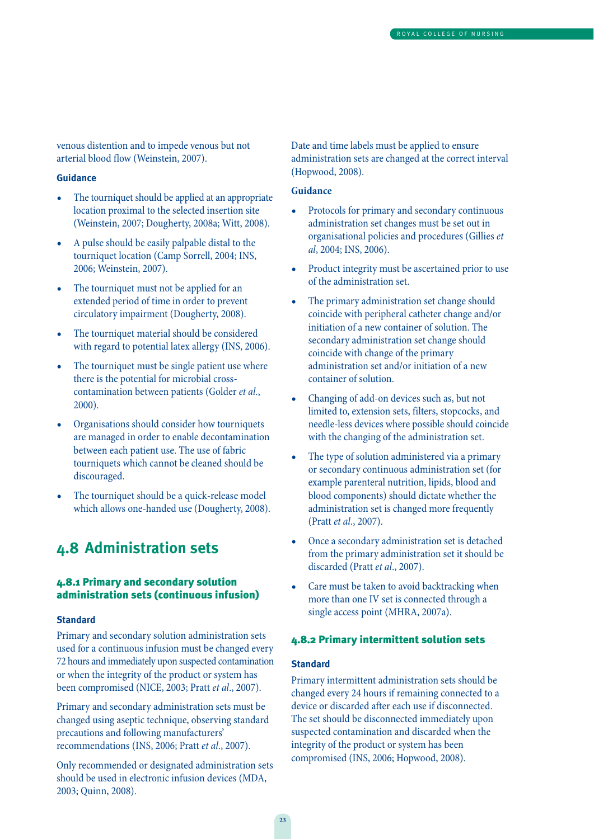venous distention and to impede venous but not arterial blood flow (Weinstein, 2007).

#### **Guidance**

- The tourniquet should be applied at an appropriate location proximal to the selected insertion site (Weinstein, 2007; Dougherty, 2008a; Witt, 2008).
- A pulse should be easily palpable distal to the tourniquet location (Camp Sorrell, 2004; INS, 2006; Weinstein, 2007).
- The tourniquet must not be applied for an extended period of time in order to prevent circulatory impairment (Dougherty, 2008).
- The tourniquet material should be considered with regard to potential latex allergy (INS, 2006).
- The tourniquet must be single patient use where there is the potential for microbial crosscontamination between patients (Golder et al., 2000).
- Organisations should consider how tourniquets are managed in order to enable decontamination between each patient use. The use of fabric tourniquets which cannot be cleaned should be discouraged.
- The tourniquet should be a quick-release model which allows one-handed use (Dougherty, 2008).

### **4.8 Administration sets**

### 4.8.1 Primary and secondary solution administration sets (continuous infusion)

#### **Standard**

Primary and secondary solution administration sets used for a continuous infusion must be changed every 72 hours and immediately upon suspected contamination or when the integrity of the product or system has been compromised (NICE, 2003; Pratt et al., 2007).

Primary and secondary administration sets must be changed using aseptic technique, observing standard precautions and following manufacturers' recommendations (INS, 2006; Pratt et al., 2007).

Only recommended or designated administration sets should be used in electronic infusion devices (MDA, 2003; Quinn, 2008).

Date and time labels must be applied to ensure administration sets are changed at the correct interval (Hopwood, 2008).

### **Guidance**

- Protocols for primary and secondary continuous administration set changes must be set out in organisational policies and procedures (Gillies et al, 2004; INS, 2006).
- Product integrity must be ascertained prior to use of the administration set.
- The primary administration set change should coincide with peripheral catheter change and/or initiation of a new container of solution. The secondary administration set change should coincide with change of the primary administration set and/or initiation of a new container of solution.
- Changing of add-on devices such as, but not limited to, extension sets, filters, stopcocks, and needle-less devices where possible should coincide with the changing of the administration set.
- The type of solution administered via a primary or secondary continuous administration set (for example parenteral nutrition, lipids, blood and blood components) should dictate whether the administration set is changed more frequently (Pratt et al., 2007).
- Once a secondary administration set is detached from the primary administration set it should be discarded (Pratt et al., 2007).
- Care must be taken to avoid backtracking when more than one IV set is connected through a single access point (MHRA, 2007a).

### 4.8.2 Primary intermittent solution sets

#### **Standard**

Primary intermittent administration sets should be changed every 24 hours if remaining connected to a device or discarded after each use if disconnected. The set should be disconnected immediately upon suspected contamination and discarded when the integrity of the product or system has been compromised (INS, 2006; Hopwood, 2008).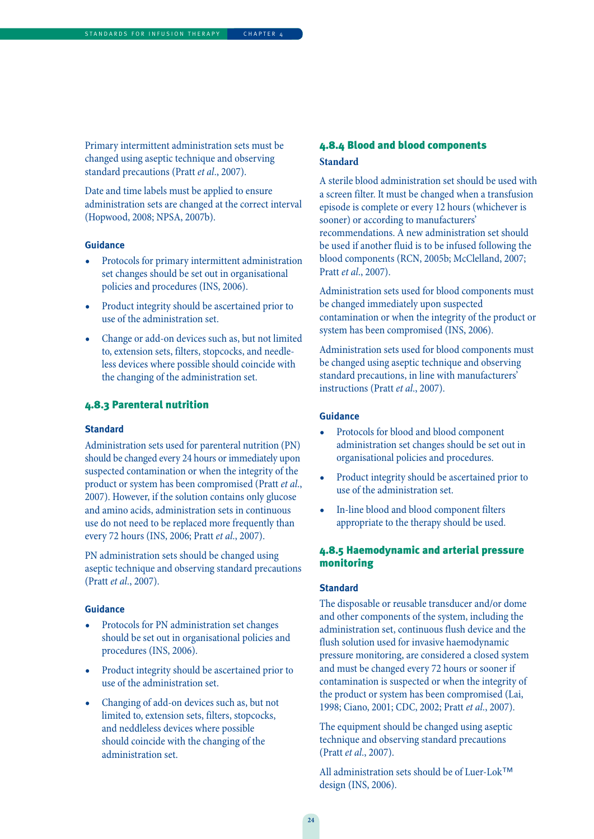Primary intermittent administration sets must be changed using aseptic technique and observing standard precautions (Pratt et al., 2007).

Date and time labels must be applied to ensure administration sets are changed at the correct interval (Hopwood, 2008; NPSA, 2007b).

### **Guidance**

- Protocols for primary intermittent administration set changes should be set out in organisational policies and procedures (INS, 2006).
- Product integrity should be ascertained prior to use of the administration set.
- Change or add-on devices such as, but not limited to, extension sets, filters, stopcocks, and needleless devices where possible should coincide with the changing of the administration set.

### 4.8.3 Parenteral nutrition

#### **Standard**

Administration sets used for parenteral nutrition (PN) should be changed every 24 hours or immediately upon suspected contamination or when the integrity of the product or system has been compromised (Pratt et al., 2007). However, if the solution contains only glucose and amino acids, administration sets in continuous use do not need to be replaced more frequently than every 72 hours (INS, 2006; Pratt et al., 2007).

PN administration sets should be changed using aseptic technique and observing standard precautions (Pratt et al., 2007).

#### **Guidance**

- Protocols for PN administration set changes should be set out in organisational policies and procedures (INS, 2006).
- Product integrity should be ascertained prior to use of the administration set.
- Changing of add-on devices such as, but not limited to, extension sets, filters, stopcocks, and neddleless devices where possible should coincide with the changing of the administration set.

### 4.8.4 Blood and blood components **Standard**

A sterile blood administration set should be used with a screen filter. It must be changed when a transfusion episode is complete or every 12 hours (whichever is sooner) or according to manufacturers' recommendations. A new administration set should be used if another fluid is to be infused following the blood components (RCN, 2005b; McClelland, 2007; Pratt et al., 2007).

Administration sets used for blood components must be changed immediately upon suspected contamination or when the integrity of the product or system has been compromised (INS, 2006).

Administration sets used for blood components must be changed using aseptic technique and observing standard precautions, in line with manufacturers' instructions (Pratt et al., 2007).

#### **Guidance**

- Protocols for blood and blood component administration set changes should be set out in organisational policies and procedures.
- Product integrity should be ascertained prior to use of the administration set.
- In-line blood and blood component filters appropriate to the therapy should be used.

### 4.8.5 Haemodynamic and arterial pressure monitoring

### **Standard**

The disposable or reusable transducer and/or dome and other components of the system, including the administration set, continuous flush device and the flush solution used for invasive haemodynamic pressure monitoring, are considered a closed system and must be changed every 72 hours or sooner if contamination is suspected or when the integrity of the product or system has been compromised (Lai, 1998; Ciano, 2001; CDC, 2002; Pratt et al., 2007).

The equipment should be changed using aseptic technique and observing standard precautions (Pratt et al., 2007).

All administration sets should be of Luer-Lok™ design (INS, 2006).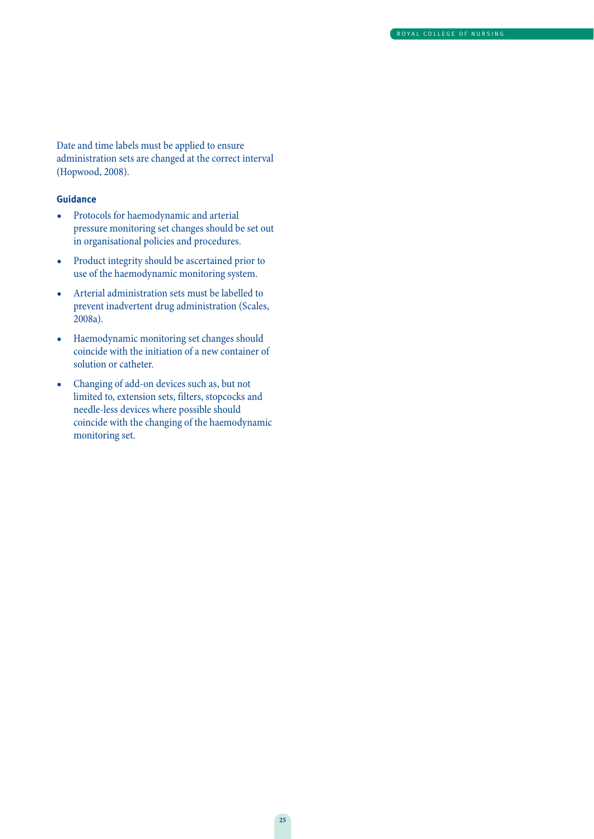Date and time labels must be applied to ensure administration sets are changed at the correct interval (Hopwood, 2008).

- Protocols for haemodynamic and arterial pressure monitoring set changes should be set out in organisational policies and procedures.
- Product integrity should be ascertained prior to use of the haemodynamic monitoring system.
- Arterial administration sets must be labelled to prevent inadvertent drug administration (Scales, 2008a).
- Haemodynamic monitoring set changes should coincide with the initiation of a new container of solution or catheter.
- Changing of add-on devices such as, but not limited to, extension sets, filters, stopcocks and needle-less devices where possible should coincide with the changing of the haemodynamic monitoring set.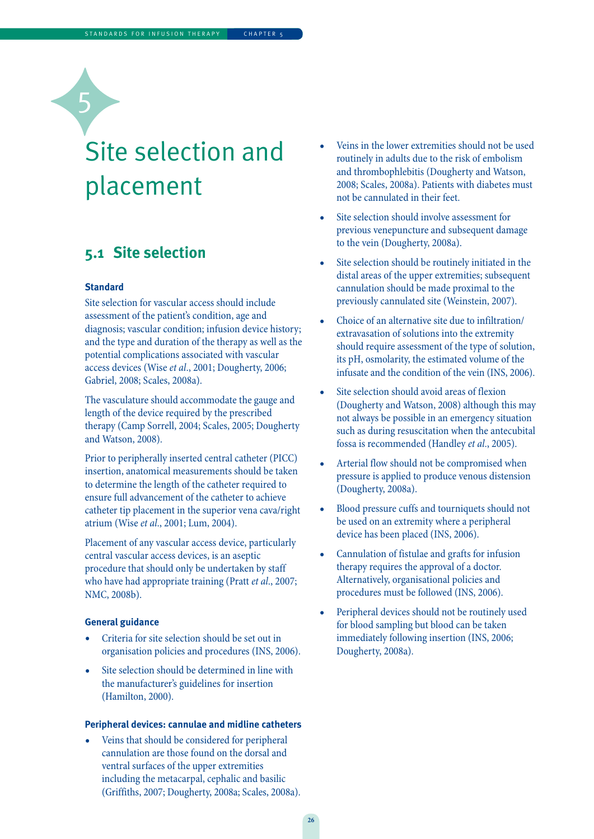## Site selection and placement

### **5.1 Site selection**

### **Standard**

5

Site selection for vascular access should include assessment of the patient's condition, age and diagnosis; vascular condition; infusion device history; and the type and duration of the therapy as well as the potential complications associated with vascular access devices (Wise et al., 2001; Dougherty, 2006; Gabriel, 2008; Scales, 2008a).

The vasculature should accommodate the gauge and length of the device required by the prescribed therapy (Camp Sorrell, 2004; Scales, 2005; Dougherty and Watson, 2008).

Prior to peripherally inserted central catheter (PICC) insertion, anatomical measurements should be taken to determine the length of the catheter required to ensure full advancement of the catheter to achieve catheter tip placement in the superior vena cava/right atrium (Wise et al., 2001; Lum, 2004).

Placement of any vascular access device, particularly central vascular access devices, is an aseptic procedure that should only be undertaken by staff who have had appropriate training (Pratt et al., 2007; NMC, 2008b).

#### **General guidance**

- Criteria for site selection should be set out in organisation policies and procedures (INS, 2006).
- Site selection should be determined in line with the manufacturer's guidelines for insertion (Hamilton, 2000).

### **Peripheral devices: cannulae and midline catheters**

Veins that should be considered for peripheral cannulation are those found on the dorsal and ventral surfaces of the upper extremities including the metacarpal, cephalic and basilic (Griffiths, 2007; Dougherty, 2008a; Scales, 2008a).

- Veins in the lower extremities should not be used routinely in adults due to the risk of embolism and thrombophlebitis (Dougherty and Watson, 2008; Scales, 2008a). Patients with diabetes must not be cannulated in their feet.
- Site selection should involve assessment for previous venepuncture and subsequent damage to the vein (Dougherty, 2008a).
- Site selection should be routinely initiated in the distal areas of the upper extremities; subsequent cannulation should be made proximal to the previously cannulated site (Weinstein, 2007).
- Choice of an alternative site due to infiltration/ extravasation of solutions into the extremity should require assessment of the type of solution, its pH, osmolarity, the estimated volume of the infusate and the condition of the vein (INS, 2006).
- Site selection should avoid areas of flexion (Dougherty and Watson, 2008) although this may not always be possible in an emergency situation such as during resuscitation when the antecubital fossa is recommended (Handley et al., 2005).
- Arterial flow should not be compromised when pressure is applied to produce venous distension (Dougherty, 2008a).
- Blood pressure cuffs and tourniquets should not be used on an extremity where a peripheral device has been placed (INS, 2006).
- Cannulation of fistulae and grafts for infusion therapy requires the approval of a doctor. Alternatively, organisational policies and procedures must be followed (INS, 2006).
- Peripheral devices should not be routinely used for blood sampling but blood can be taken immediately following insertion (INS, 2006; Dougherty, 2008a).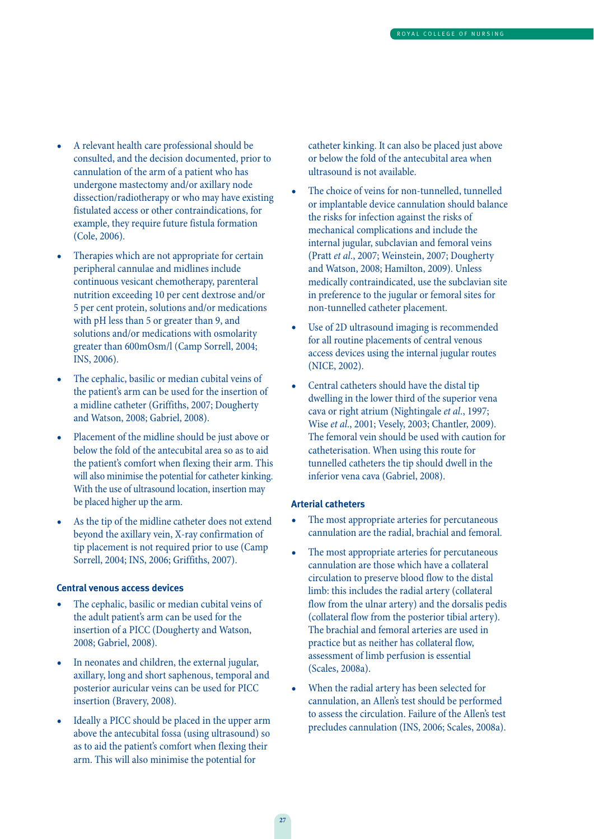- A relevant health care professional should be consulted, and the decision documented, prior to cannulation of the arm of a patient who has undergone mastectomy and/or axillary node dissection/radiotherapy or who may have existing fistulated access or other contraindications, for example, they require future fistula formation (Cole, 2006).
- Therapies which are not appropriate for certain peripheral cannulae and midlines include continuous vesicant chemotherapy, parenteral nutrition exceeding 10 per cent dextrose and/or 5 per cent protein, solutions and/or medications with pH less than 5 or greater than 9, and solutions and/or medications with osmolarity greater than 600mOsm/l (Camp Sorrell, 2004; INS, 2006).
- The cephalic, basilic or median cubital veins of the patient's arm can be used for the insertion of a midline catheter (Griffiths, 2007; Dougherty and Watson, 2008; Gabriel, 2008).
- Placement of the midline should be just above or below the fold of the antecubital area so as to aid the patient's comfort when flexing their arm. This will also minimise the potential for catheter kinking. With the use of ultrasound location, insertion may be placed higher up the arm.
- As the tip of the midline catheter does not extend beyond the axillary vein, X-ray confirmation of tip placement is not required prior to use (Camp Sorrell, 2004; INS, 2006; Griffiths, 2007).

### **Central venous access devices**

- The cephalic, basilic or median cubital veins of the adult patient's arm can be used for the insertion of a PICC (Dougherty and Watson, 2008; Gabriel, 2008).
- In neonates and children, the external jugular, axillary, long and short saphenous, temporal and posterior auricular veins can be used for PICC insertion (Bravery, 2008).
- Ideally a PICC should be placed in the upper arm above the antecubital fossa (using ultrasound) so as to aid the patient's comfort when flexing their arm. This will also minimise the potential for

catheter kinking. It can also be placed just above or below the fold of the antecubital area when ultrasound is not available.

- The choice of veins for non-tunnelled, tunnelled or implantable device cannulation should balance the risks for infection against the risks of mechanical complications and include the internal jugular, subclavian and femoral veins (Pratt et al., 2007; Weinstein, 2007; Dougherty and Watson, 2008; Hamilton, 2009). Unless medically contraindicated, use the subclavian site in preference to the jugular or femoral sites for non-tunnelled catheter placement.
- Use of 2D ultrasound imaging is recommended for all routine placements of central venous access devices using the internal jugular routes (NICE, 2002).
- Central catheters should have the distal tip dwelling in the lower third of the superior vena cava or right atrium (Nightingale et al., 1997; Wise et al., 2001; Vesely, 2003; Chantler, 2009). The femoral vein should be used with caution for catheterisation. When using this route for tunnelled catheters the tip should dwell in the inferior vena cava (Gabriel, 2008).

### **Arterial catheters**

- The most appropriate arteries for percutaneous cannulation are the radial, brachial and femoral.
- The most appropriate arteries for percutaneous cannulation are those which have a collateral circulation to preserve blood flow to the distal limb: this includes the radial artery (collateral flow from the ulnar artery) and the dorsalis pedis (collateral flow from the posterior tibial artery). The brachial and femoral arteries are used in practice but as neither has collateral flow, assessment of limb perfusion is essential (Scales, 2008a).
- When the radial artery has been selected for cannulation, an Allen's test should be performed to assess the circulation. Failure of the Allen's test precludes cannulation (INS, 2006; Scales, 2008a).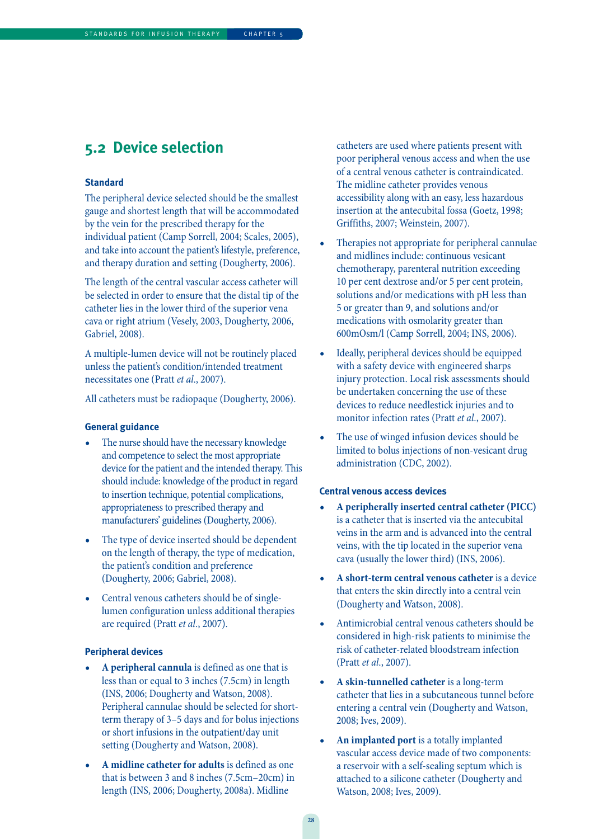### **5.2 Device selection**

### **Standard**

The peripheral device selected should be the smallest gauge and shortest length that will be accommodated by the vein for the prescribed therapy for the individual patient (Camp Sorrell, 2004; Scales, 2005), and take into account the patient's lifestyle, preference, and therapy duration and setting (Dougherty, 2006).

The length of the central vascular access catheter will be selected in order to ensure that the distal tip of the catheter lies in the lower third of the superior vena cava or right atrium (Vesely, 2003, Dougherty, 2006, Gabriel, 2008).

A multiple-lumen device will not be routinely placed unless the patient's condition/intended treatment necessitates one (Pratt et al., 2007).

All catheters must be radiopaque (Dougherty, 2006).

#### **General guidance**

- The nurse should have the necessary knowledge and competence to select the most appropriate device for the patient and the intended therapy. This should include: knowledge of the product in regard to insertion technique, potential complications, appropriateness to prescribed therapy and manufacturers' guidelines (Dougherty, 2006).
- The type of device inserted should be dependent on the length of therapy, the type of medication, the patient's condition and preference (Dougherty, 2006; Gabriel, 2008).
- Central venous catheters should be of singlelumen configuration unless additional therapies are required (Pratt et al., 2007).

### **Peripheral devices**

- **A peripheral cannula** is defined as one that is less than or equal to 3 inches (7.5cm) in length (INS, 2006; Dougherty and Watson, 2008). Peripheral cannulae should be selected for shortterm therapy of 3–5 days and for bolus injections or short infusions in the outpatient/day unit setting (Dougherty and Watson, 2008).
- **A midline catheter for adults** is defined as one that is between 3 and 8 inches (7.5cm–20cm) in length (INS, 2006; Dougherty, 2008a). Midline

catheters are used where patients present with poor peripheral venous access and when the use of a central venous catheter is contraindicated. The midline catheter provides venous accessibility along with an easy, less hazardous insertion at the antecubital fossa (Goetz, 1998; Griffiths, 2007; Weinstein, 2007).

- Therapies not appropriate for peripheral cannulae and midlines include: continuous vesicant chemotherapy, parenteral nutrition exceeding 10 per cent dextrose and/or 5 per cent protein, solutions and/or medications with pH less than 5 or greater than 9, and solutions and/or medications with osmolarity greater than 600mOsm/l (Camp Sorrell, 2004; INS, 2006).
- Ideally, peripheral devices should be equipped with a safety device with engineered sharps injury protection. Local risk assessments should be undertaken concerning the use of these devices to reduce needlestick injuries and to monitor infection rates (Pratt et al., 2007).
- The use of winged infusion devices should be limited to bolus injections of non-vesicant drug administration (CDC, 2002).

#### **Central venous access devices**

- **A peripherally inserted central catheter (PICC)** is a catheter that is inserted via the antecubital veins in the arm and is advanced into the central veins, with the tip located in the superior vena cava (usually the lower third) (INS, 2006).
- **A short-term central venous catheter** is a device that enters the skin directly into a central vein (Dougherty and Watson, 2008).
- Antimicrobial central venous catheters should be considered in high-risk patients to minimise the risk of catheter-related bloodstream infection (Pratt et al., 2007).
- **A skin-tunnelled catheter** is a long-term catheter that lies in a subcutaneous tunnel before entering a central vein (Dougherty and Watson, 2008; Ives, 2009).
- **An implanted port** is a totally implanted vascular access device made of two components: a reservoir with a self-sealing septum which is attached to a silicone catheter (Dougherty and Watson, 2008; Ives, 2009).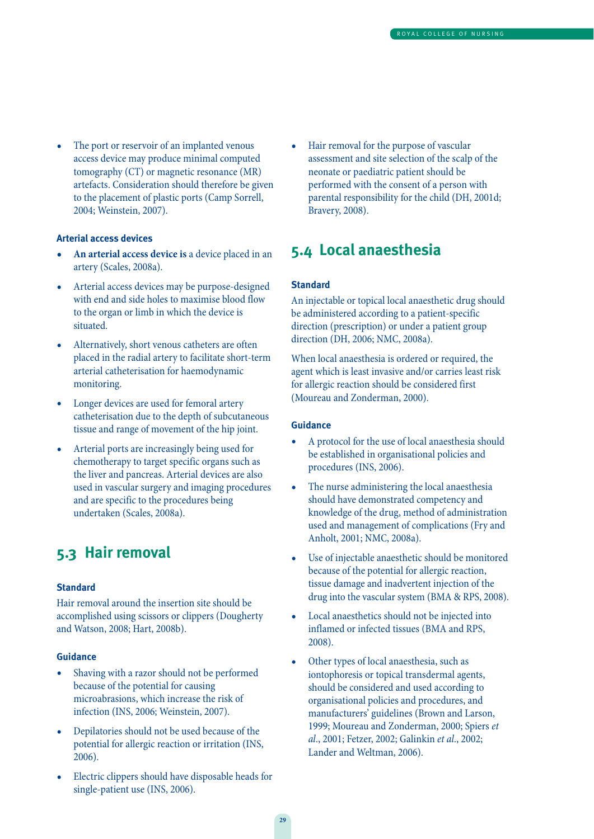• The port or reservoir of an implanted venous access device may produce minimal computed tomography (CT) or magnetic resonance (MR) artefacts. Consideration should therefore be given to the placement of plastic ports (Camp Sorrell, 2004; Weinstein, 2007).

### **Arterial access devices**

- **• An arterial access device is** a device placed in an artery (Scales, 2008a).
- Arterial access devices may be purpose-designed with end and side holes to maximise blood flow to the organ or limb in which the device is situated.
- Alternatively, short venous catheters are often placed in the radial artery to facilitate short-term arterial catheterisation for haemodynamic monitoring.
- Longer devices are used for femoral artery catheterisation due to the depth of subcutaneous tissue and range of movement of the hip joint.
- Arterial ports are increasingly being used for chemotherapy to target specific organs such as the liver and pancreas. Arterial devices are also used in vascular surgery and imaging procedures and are specific to the procedures being undertaken (Scales, 2008a).

### **5.3 Hair removal**

### **Standard**

Hair removal around the insertion site should be accomplished using scissors or clippers (Dougherty and Watson, 2008; Hart, 2008b).

#### **Guidance**

- Shaving with a razor should not be performed because of the potential for causing microabrasions, which increase the risk of infection (INS, 2006; Weinstein, 2007).
- Depilatories should not be used because of the potential for allergic reaction or irritation (INS, 2006).
- Electric clippers should have disposable heads for single-patient use (INS, 2006).

Hair removal for the purpose of vascular assessment and site selection of the scalp of the neonate or paediatric patient should be performed with the consent of a person with parental responsibility for the child (DH, 2001d; Bravery, 2008).

### **5.4 Local anaesthesia**

#### **Standard**

An injectable or topical local anaesthetic drug should be administered according to a patient-specific direction (prescription) or under a patient group direction (DH, 2006; NMC, 2008a).

When local anaesthesia is ordered or required, the agent which is least invasive and/or carries least risk for allergic reaction should be considered first (Moureau and Zonderman, 2000).

- A protocol for the use of local anaesthesia should be established in organisational policies and procedures (INS, 2006).
- The nurse administering the local anaesthesia should have demonstrated competency and knowledge of the drug, method of administration used and management of complications (Fry and Anholt, 2001; NMC, 2008a).
- Use of injectable anaesthetic should be monitored because of the potential for allergic reaction, tissue damage and inadvertent injection of the drug into the vascular system (BMA & RPS, 2008).
- Local anaesthetics should not be injected into inflamed or infected tissues (BMA and RPS, 2008).
- Other types of local anaesthesia, such as iontophoresis or topical transdermal agents, should be considered and used according to organisational policies and procedures, and manufacturers' guidelines (Brown and Larson, 1999; Moureau and Zonderman, 2000; Spiers et al., 2001; Fetzer, 2002; Galinkin et al., 2002; Lander and Weltman, 2006).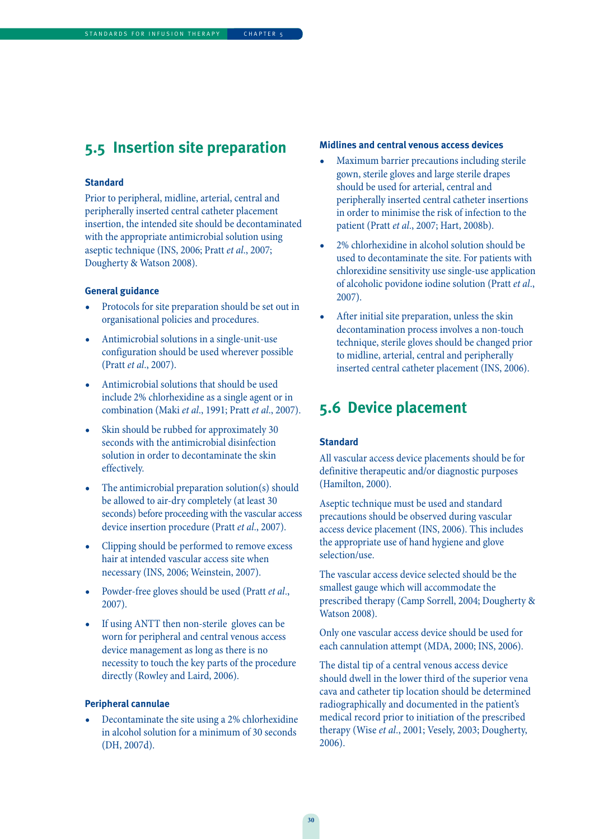### STANDARDS FOR INFUSION THERAPY | CHAPTER 5

### **5.5 Insertion site preparation**

### **Standard**

Prior to peripheral, midline, arterial, central and peripherally inserted central catheter placement insertion, the intended site should be decontaminated with the appropriate antimicrobial solution using aseptic technique (INS, 2006; Pratt et al., 2007; Dougherty & Watson 2008).

### **General guidance**

- Protocols for site preparation should be set out in organisational policies and procedures.
- Antimicrobial solutions in a single-unit-use configuration should be used wherever possible (Pratt et al., 2007).
- Antimicrobial solutions that should be used include 2% chlorhexidine as a single agent or in combination (Maki et al., 1991; Pratt et al., 2007).
- Skin should be rubbed for approximately 30 seconds with the antimicrobial disinfection solution in order to decontaminate the skin effectively.
- The antimicrobial preparation solution(s) should be allowed to air-dry completely (at least 30 seconds) before proceeding with the vascular access device insertion procedure (Pratt et al., 2007).
- Clipping should be performed to remove excess hair at intended vascular access site when necessary (INS, 2006; Weinstein, 2007).
- Powder-free gloves should be used (Pratt et al., 2007).
- If using ANTT then non-sterile gloves can be worn for peripheral and central venous access device management as long as there is no necessity to touch the key parts of the procedure directly (Rowley and Laird, 2006).

### **Peripheral cannulae**

• Decontaminate the site using a 2% chlorhexidine in alcohol solution for a minimum of 30 seconds (DH, 2007d).

### **Midlines and central venous access devices**

- Maximum barrier precautions including sterile gown, sterile gloves and large sterile drapes should be used for arterial, central and peripherally inserted central catheter insertions in order to minimise the risk of infection to the patient (Pratt et al., 2007; Hart, 2008b).
- 2% chlorhexidine in alcohol solution should be used to decontaminate the site. For patients with chlorexidine sensitivity use single-use application of alcoholic povidone iodine solution (Pratt et al., 2007).
- After initial site preparation, unless the skin decontamination process involves a non-touch technique, sterile gloves should be changed prior to midline, arterial, central and peripherally inserted central catheter placement (INS, 2006).

### **5.6 Device placement**

### **Standard**

All vascular access device placements should be for definitive therapeutic and/or diagnostic purposes (Hamilton, 2000).

Aseptic technique must be used and standard precautions should be observed during vascular access device placement (INS, 2006). This includes the appropriate use of hand hygiene and glove selection/use.

The vascular access device selected should be the smallest gauge which will accommodate the prescribed therapy (Camp Sorrell, 2004; Dougherty & Watson 2008).

Only one vascular access device should be used for each cannulation attempt (MDA, 2000; INS, 2006).

The distal tip of a central venous access device should dwell in the lower third of the superior vena cava and catheter tip location should be determined radiographically and documented in the patient's medical record prior to initiation of the prescribed therapy (Wise et al., 2001; Vesely, 2003; Dougherty, 2006).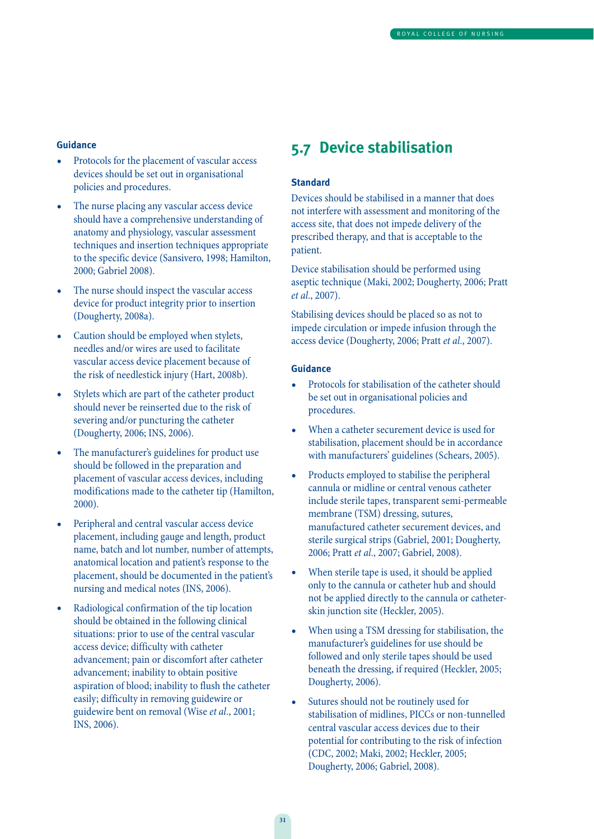#### **Guidance**

- Protocols for the placement of vascular access devices should be set out in organisational policies and procedures.
- The nurse placing any vascular access device should have a comprehensive understanding of anatomy and physiology, vascular assessment techniques and insertion techniques appropriate to the specific device (Sansivero, 1998; Hamilton, 2000; Gabriel 2008).
- The nurse should inspect the vascular access device for product integrity prior to insertion (Dougherty, 2008a).
- Caution should be employed when stylets, needles and/or wires are used to facilitate vascular access device placement because of the risk of needlestick injury (Hart, 2008b).
- Stylets which are part of the catheter product should never be reinserted due to the risk of severing and/or puncturing the catheter (Dougherty, 2006; INS, 2006).
- The manufacturer's guidelines for product use should be followed in the preparation and placement of vascular access devices, including modifications made to the catheter tip (Hamilton, 2000).
- Peripheral and central vascular access device placement, including gauge and length, product name, batch and lot number, number of attempts, anatomical location and patient's response to the placement, should be documented in the patient's nursing and medical notes (INS, 2006).
- Radiological confirmation of the tip location should be obtained in the following clinical situations: prior to use of the central vascular access device; difficulty with catheter advancement; pain or discomfort after catheter advancement; inability to obtain positive aspiration of blood; inability to flush the catheter easily; difficulty in removing guidewire or guidewire bent on removal (Wise et al., 2001; INS, 2006).

### **5.7 Device stabilisation**

### **Standard**

Devices should be stabilised in a manner that does not interfere with assessment and monitoring of the access site, that does not impede delivery of the prescribed therapy, and that is acceptable to the patient.

Device stabilisation should be performed using aseptic technique (Maki, 2002; Dougherty, 2006; Pratt et al., 2007).

Stabilising devices should be placed so as not to impede circulation or impede infusion through the access device (Dougherty, 2006; Pratt et al., 2007).

- Protocols for stabilisation of the catheter should be set out in organisational policies and procedures.
- When a catheter securement device is used for stabilisation, placement should be in accordance with manufacturers' guidelines (Schears, 2005).
- Products employed to stabilise the peripheral cannula or midline or central venous catheter include sterile tapes, transparent semi-permeable membrane (TSM) dressing, sutures, manufactured catheter securement devices, and sterile surgical strips (Gabriel, 2001; Dougherty, 2006; Pratt et al., 2007; Gabriel, 2008).
- When sterile tape is used, it should be applied only to the cannula or catheter hub and should not be applied directly to the cannula or catheterskin junction site (Heckler, 2005).
- When using a TSM dressing for stabilisation, the manufacturer's guidelines for use should be followed and only sterile tapes should be used beneath the dressing, if required (Heckler, 2005; Dougherty, 2006).
- Sutures should not be routinely used for stabilisation of midlines, PICCs or non-tunnelled central vascular access devices due to their potential for contributing to the risk of infection (CDC, 2002; Maki, 2002; Heckler, 2005; Dougherty, 2006; Gabriel, 2008).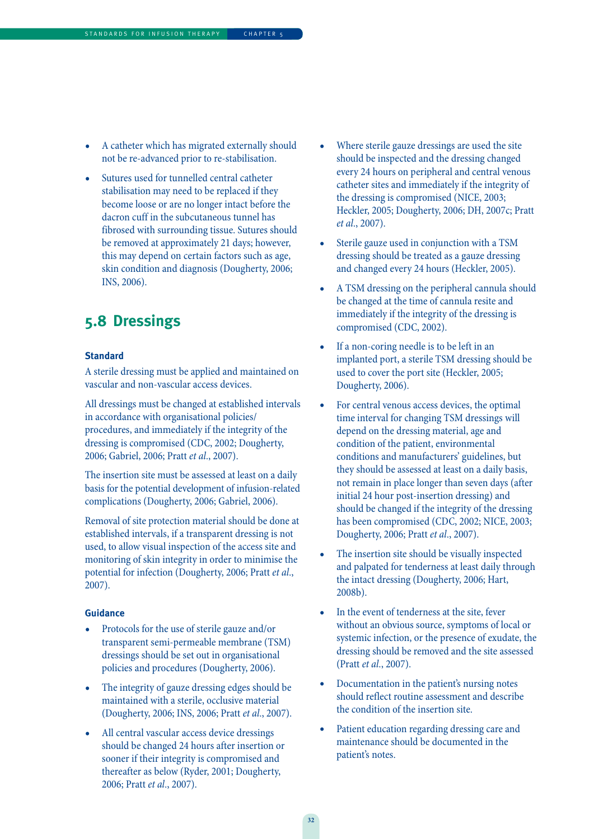- A catheter which has migrated externally should not be re-advanced prior to re-stabilisation.
- Sutures used for tunnelled central catheter stabilisation may need to be replaced if they become loose or are no longer intact before the dacron cuff in the subcutaneous tunnel has fibrosed with surrounding tissue. Sutures should be removed at approximately 21 days; however, this may depend on certain factors such as age, skin condition and diagnosis (Dougherty, 2006; INS, 2006).

### **5.8 Dressings**

### **Standard**

A sterile dressing must be applied and maintained on vascular and non-vascular access devices.

All dressings must be changed at established intervals in accordance with organisational policies/ procedures, and immediately if the integrity of the dressing is compromised (CDC, 2002; Dougherty, 2006; Gabriel, 2006; Pratt et al., 2007).

The insertion site must be assessed at least on a daily basis for the potential development of infusion-related complications (Dougherty, 2006; Gabriel, 2006).

Removal of site protection material should be done at established intervals, if a transparent dressing is not used, to allow visual inspection of the access site and monitoring of skin integrity in order to minimise the potential for infection (Dougherty, 2006; Pratt et al., 2007).

- Protocols for the use of sterile gauze and/or transparent semi-permeable membrane (TSM) dressings should be set out in organisational policies and procedures (Dougherty, 2006).
- The integrity of gauze dressing edges should be maintained with a sterile, occlusive material (Dougherty, 2006; INS, 2006; Pratt et al., 2007).
- All central vascular access device dressings should be changed 24 hours after insertion or sooner if their integrity is compromised and thereafter as below (Ryder, 2001; Dougherty, 2006; Pratt et al., 2007).
- Where sterile gauze dressings are used the site should be inspected and the dressing changed every 24 hours on peripheral and central venous catheter sites and immediately if the integrity of the dressing is compromised (NICE, 2003; Heckler, 2005; Dougherty, 2006; DH, 2007c; Pratt et al., 2007).
- Sterile gauze used in conjunction with a TSM dressing should be treated as a gauze dressing and changed every 24 hours (Heckler, 2005).
- A TSM dressing on the peripheral cannula should be changed at the time of cannula resite and immediately if the integrity of the dressing is compromised (CDC, 2002).
- If a non-coring needle is to be left in an implanted port, a sterile TSM dressing should be used to cover the port site (Heckler, 2005; Dougherty, 2006).
- For central venous access devices, the optimal time interval for changing TSM dressings will depend on the dressing material, age and condition of the patient, environmental conditions and manufacturers' guidelines, but they should be assessed at least on a daily basis, not remain in place longer than seven days (after initial 24 hour post-insertion dressing) and should be changed if the integrity of the dressing has been compromised (CDC, 2002; NICE, 2003; Dougherty, 2006; Pratt et al., 2007).
- The insertion site should be visually inspected and palpated for tenderness at least daily through the intact dressing (Dougherty, 2006; Hart, 2008b).
- In the event of tenderness at the site, fever without an obvious source, symptoms of local or systemic infection, or the presence of exudate, the dressing should be removed and the site assessed (Pratt et al., 2007).
- Documentation in the patient's nursing notes should reflect routine assessment and describe the condition of the insertion site.
- Patient education regarding dressing care and maintenance should be documented in the patient's notes.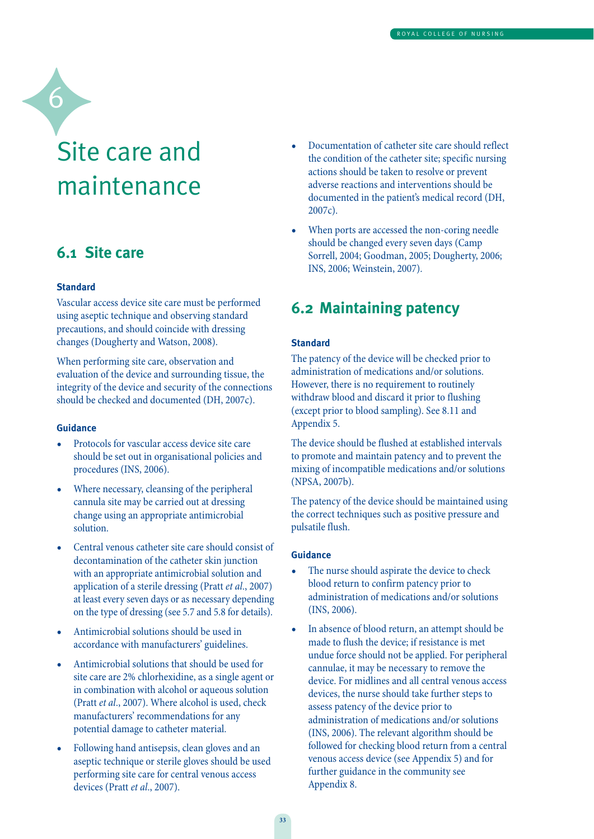# Site care and maintenance

### **6.1 Site care**

#### **Standard**

6

Vascular access device site care must be performed using aseptic technique and observing standard precautions, and should coincide with dressing changes (Dougherty and Watson, 2008).

When performing site care, observation and evaluation of the device and surrounding tissue, the integrity of the device and security of the connections should be checked and documented (DH, 2007c).

#### **Guidance**

- Protocols for vascular access device site care should be set out in organisational policies and procedures (INS, 2006).
- Where necessary, cleansing of the peripheral cannula site may be carried out at dressing change using an appropriate antimicrobial solution.
- Central venous catheter site care should consist of decontamination of the catheter skin junction with an appropriate antimicrobial solution and application of a sterile dressing (Pratt et al., 2007) at least every seven days or as necessary depending on the type of dressing (see 5.7 and 5.8 for details).
- Antimicrobial solutions should be used in accordance with manufacturers' guidelines.
- Antimicrobial solutions that should be used for site care are 2% chlorhexidine, as a single agent or in combination with alcohol or aqueous solution (Pratt et al., 2007). Where alcohol is used, check manufacturers' recommendations for any potential damage to catheter material.
- Following hand antisepsis, clean gloves and an aseptic technique or sterile gloves should be used performing site care for central venous access devices (Pratt et al., 2007).
- Documentation of catheter site care should reflect the condition of the catheter site; specific nursing actions should be taken to resolve or prevent adverse reactions and interventions should be documented in the patient's medical record (DH, 2007c).
- When ports are accessed the non-coring needle should be changed every seven days (Camp Sorrell, 2004; Goodman, 2005; Dougherty, 2006; INS, 2006; Weinstein, 2007).

### **6.2 Maintaining patency**

#### **Standard**

The patency of the device will be checked prior to administration of medications and/or solutions. However, there is no requirement to routinely withdraw blood and discard it prior to flushing (except prior to blood sampling). See 8.11 and Appendix 5.

The device should be flushed at established intervals to promote and maintain patency and to prevent the mixing of incompatible medications and/or solutions (NPSA, 2007b).

The patency of the device should be maintained using the correct techniques such as positive pressure and pulsatile flush.

- The nurse should aspirate the device to check blood return to confirm patency prior to administration of medications and/or solutions (INS, 2006).
- In absence of blood return, an attempt should be made to flush the device; if resistance is met undue force should not be applied. For peripheral cannulae, it may be necessary to remove the device. For midlines and all central venous access devices, the nurse should take further steps to assess patency of the device prior to administration of medications and/or solutions (INS, 2006). The relevant algorithm should be followed for checking blood return from a central venous access device (see Appendix 5) and for further guidance in the community see Appendix 8.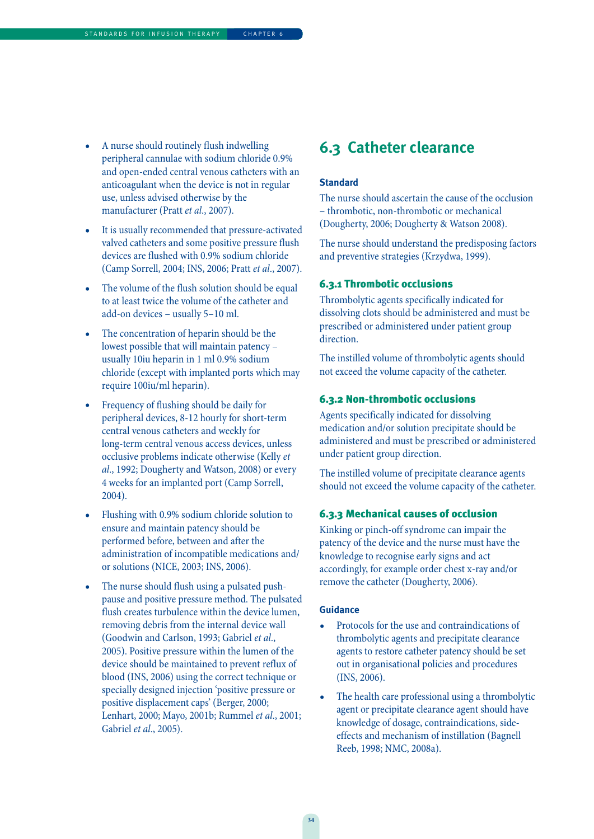- A nurse should routinely flush indwelling peripheral cannulae with sodium chloride 0.9% and open-ended central venous catheters with an anticoagulant when the device is not in regular use, unless advised otherwise by the manufacturer (Pratt et al., 2007).
- It is usually recommended that pressure-activated valved catheters and some positive pressure flush devices are flushed with 0.9% sodium chloride (Camp Sorrell, 2004; INS, 2006; Pratt et al., 2007).
- The volume of the flush solution should be equal to at least twice the volume of the catheter and add-on devices – usually 5–10 ml.
- The concentration of heparin should be the lowest possible that will maintain patency – usually 10iu heparin in 1 ml 0.9% sodium chloride (except with implanted ports which may require 100iu/ml heparin).
- Frequency of flushing should be daily for peripheral devices, 8-12 hourly for short-term central venous catheters and weekly for long-term central venous access devices, unless occlusive problems indicate otherwise (Kelly et al., 1992; Dougherty and Watson, 2008) or every 4 weeks for an implanted port (Camp Sorrell, 2004).
- Flushing with 0.9% sodium chloride solution to ensure and maintain patency should be performed before, between and after the administration of incompatible medications and/ or solutions (NICE, 2003; INS, 2006).
- The nurse should flush using a pulsated pushpause and positive pressure method. The pulsated flush creates turbulence within the device lumen, removing debris from the internal device wall (Goodwin and Carlson, 1993; Gabriel et al., 2005). Positive pressure within the lumen of the device should be maintained to prevent reflux of blood (INS, 2006) using the correct technique or specially designed injection 'positive pressure or positive displacement caps' (Berger, 2000; Lenhart, 2000; Mayo, 2001b; Rummel et al., 2001; Gabriel et al., 2005).

### **6.3 Catheter clearance**

#### **Standard**

The nurse should ascertain the cause of the occlusion – thrombotic, non-thrombotic or mechanical (Dougherty, 2006; Dougherty & Watson 2008).

The nurse should understand the predisposing factors and preventive strategies (Krzydwa, 1999).

#### 6.3.1 Thrombotic occlusions

Thrombolytic agents specifically indicated for dissolving clots should be administered and must be prescribed or administered under patient group direction.

The instilled volume of thrombolytic agents should not exceed the volume capacity of the catheter.

#### 6.3.2 Non-thrombotic occlusions

Agents specifically indicated for dissolving medication and/or solution precipitate should be administered and must be prescribed or administered under patient group direction.

The instilled volume of precipitate clearance agents should not exceed the volume capacity of the catheter.

#### 6.3.3 Mechanical causes of occlusion

Kinking or pinch-off syndrome can impair the patency of the device and the nurse must have the knowledge to recognise early signs and act accordingly, for example order chest x-ray and/or remove the catheter (Dougherty, 2006).

- Protocols for the use and contraindications of thrombolytic agents and precipitate clearance agents to restore catheter patency should be set out in organisational policies and procedures (INS, 2006).
- The health care professional using a thrombolytic agent or precipitate clearance agent should have knowledge of dosage, contraindications, sideeffects and mechanism of instillation (Bagnell Reeb, 1998; NMC, 2008a).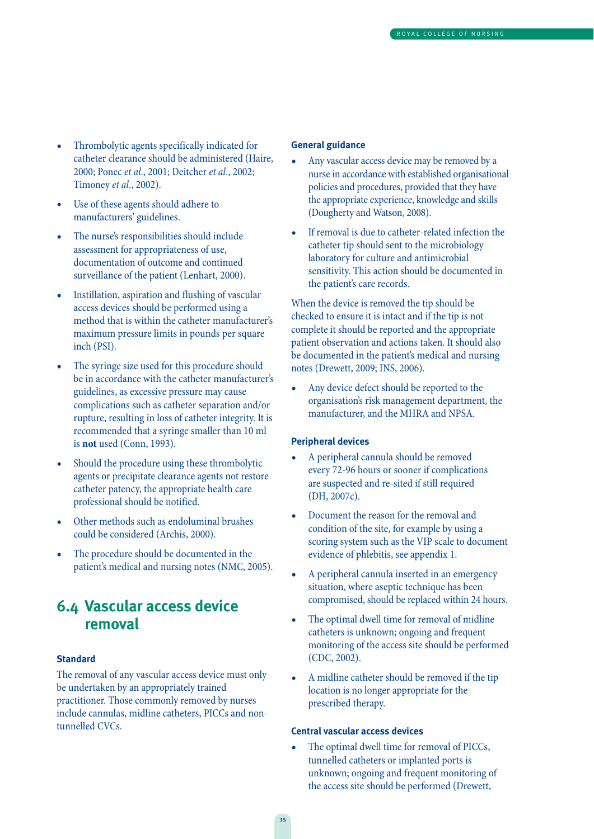- Thrombolytic agents specifically indicated for catheter clearance should be administered (Haire, 2000; Ponec et al., 2001; Deitcher et al., 2002; Timoney et al., 2002).
- Use of these agents should adhere to manufacturers' guidelines.
- The nurse's responsibilities should include assessment for appropriateness of use, documentation of outcome and continued surveillance of the patient (Lenhart, 2000).
- Instillation, aspiration and flushing of vascular access devices should be performed using a method that is within the catheter manufacturer's maximum pressure limits in pounds per square inch (PSI).
- The syringe size used for this procedure should be in accordance with the catheter manufacturer's guidelines, as excessive pressure may cause complications such as catheter separation and/or rupture, resulting in loss of catheter integrity. It is recommended that a syringe smaller than 10 ml is **not** used (Conn, 1993).
- Should the procedure using these thrombolytic agents or precipitate clearance agents not restore catheter patency, the appropriate health care professional should be notified.
- Other methods such as endoluminal brushes could be considered (Archis, 2000).
- The procedure should be documented in the patient's medical and nursing notes (NMC, 2005).

### **6.4 Vascular access device removal**

#### **Standard**

The removal of any vascular access device must only be undertaken by an appropriately trained practitioner. Those commonly removed by nurses include cannulas, midline catheters, PICCs and nontunnelled CVCs.

#### **General guidance**

- Any vascular access device may be removed by a nurse in accordance with established organisational policies and procedures, provided that they have the appropriate experience, knowledge and skills (Dougherty and Watson, 2008).
- If removal is due to catheter-related infection the catheter tip should sent to the microbiology laboratory for culture and antimicrobial sensitivity. This action should be documented in the patient's care records.

When the device is removed the tip should be checked to ensure it is intact and if the tip is not complete it should be reported and the appropriate patient observation and actions taken. It should also be documented in the patient's medical and nursing notes (Drewett, 2009; INS, 2006).

Any device defect should be reported to the organisation's risk management department, the manufacturer, and the MHRA and NPSA.

#### **Peripheral devices**

- A peripheral cannula should be removed every 72-96 hours or sooner if complications are suspected and re-sited if still required (DH, 2007c).
- Document the reason for the removal and condition of the site, for example by using a scoring system such as the VIP scale to document evidence of phlebitis, see appendix 1.
- A peripheral cannula inserted in an emergency situation, where aseptic technique has been compromised, should be replaced within 24 hours.
- The optimal dwell time for removal of midline catheters is unknown; ongoing and frequent monitoring of the access site should be performed (CDC, 2002).
- A midline catheter should be removed if the tip location is no longer appropriate for the prescribed therapy.

#### **Central vascular access devices**

The optimal dwell time for removal of PICCs, tunnelled catheters or implanted ports is unknown; ongoing and frequent monitoring of the access site should be performed (Drewett,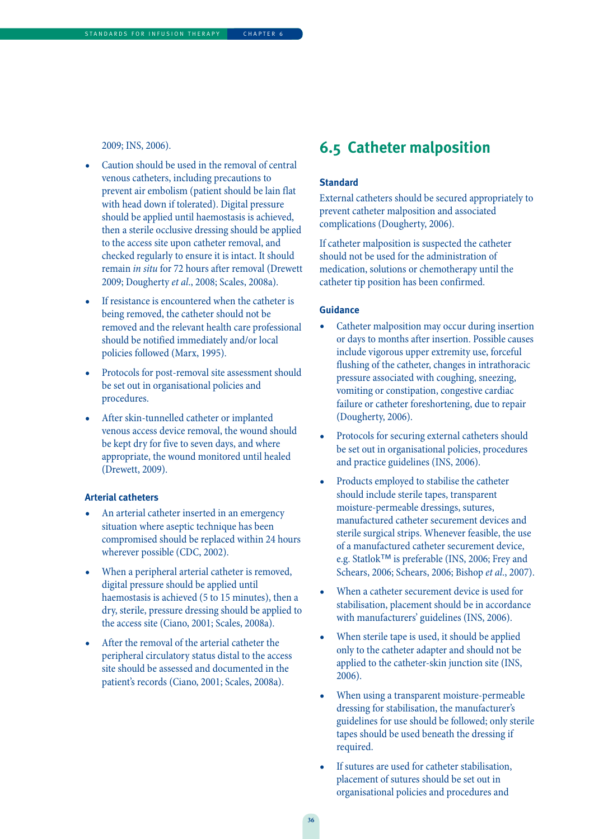2009; INS, 2006).

- Caution should be used in the removal of central venous catheters, including precautions to prevent air embolism (patient should be lain flat with head down if tolerated). Digital pressure should be applied until haemostasis is achieved, then a sterile occlusive dressing should be applied to the access site upon catheter removal, and checked regularly to ensure it is intact. It should remain in situ for 72 hours after removal (Drewett 2009; Dougherty et al., 2008; Scales, 2008a).
- If resistance is encountered when the catheter is being removed, the catheter should not be removed and the relevant health care professional should be notified immediately and/or local policies followed (Marx, 1995).
- Protocols for post-removal site assessment should be set out in organisational policies and procedures.
- After skin-tunnelled catheter or implanted venous access device removal, the wound should be kept dry for five to seven days, and where appropriate, the wound monitored until healed (Drewett, 2009).

#### **Arterial catheters**

- An arterial catheter inserted in an emergency situation where aseptic technique has been compromised should be replaced within 24 hours wherever possible (CDC, 2002).
- When a peripheral arterial catheter is removed, digital pressure should be applied until haemostasis is achieved (5 to 15 minutes), then a dry, sterile, pressure dressing should be applied to the access site (Ciano, 2001; Scales, 2008a).
- After the removal of the arterial catheter the peripheral circulatory status distal to the access site should be assessed and documented in the patient's records (Ciano, 2001; Scales, 2008a).

### **6.5 Catheter malposition**

#### **Standard**

External catheters should be secured appropriately to prevent catheter malposition and associated complications (Dougherty, 2006).

If catheter malposition is suspected the catheter should not be used for the administration of medication, solutions or chemotherapy until the catheter tip position has been confirmed.

#### **Guidance**

- Catheter malposition may occur during insertion or days to months after insertion. Possible causes include vigorous upper extremity use, forceful flushing of the catheter, changes in intrathoracic pressure associated with coughing, sneezing, vomiting or constipation, congestive cardiac failure or catheter foreshortening, due to repair (Dougherty, 2006).
- Protocols for securing external catheters should be set out in organisational policies, procedures and practice guidelines (INS, 2006).
- Products employed to stabilise the catheter should include sterile tapes, transparent moisture-permeable dressings, sutures, manufactured catheter securement devices and sterile surgical strips. Whenever feasible, the use of a manufactured catheter securement device, e.g. Statlok™ is preferable (INS, 2006; Frey and Schears, 2006; Schears, 2006; Bishop et al., 2007).
- When a catheter securement device is used for stabilisation, placement should be in accordance with manufacturers' guidelines (INS, 2006).
- When sterile tape is used, it should be applied only to the catheter adapter and should not be applied to the catheter-skin junction site (INS, 2006).
- When using a transparent moisture-permeable dressing for stabilisation, the manufacturer's guidelines for use should be followed; only sterile tapes should be used beneath the dressing if required.
- If sutures are used for catheter stabilisation, placement of sutures should be set out in organisational policies and procedures and

**36**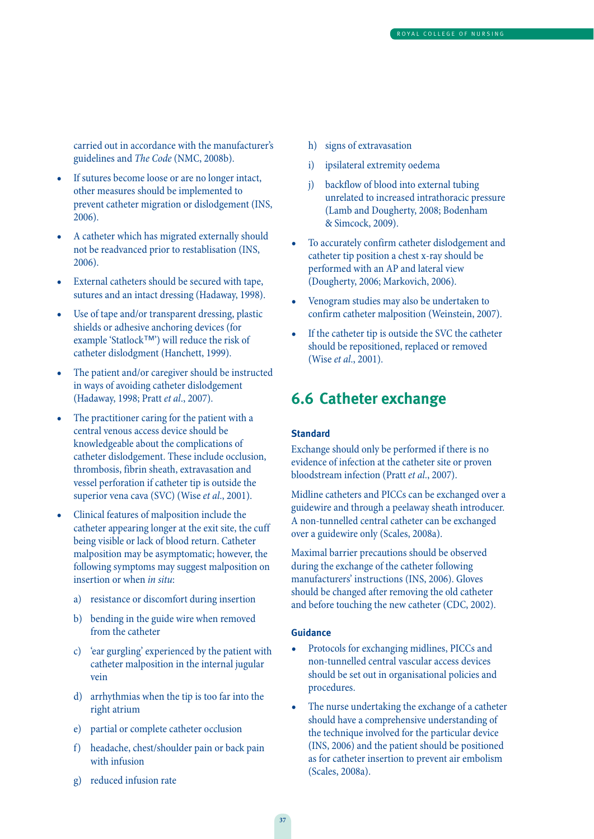carried out in accordance with the manufacturer's guidelines and The Code (NMC, 2008b).

- If sutures become loose or are no longer intact, other measures should be implemented to prevent catheter migration or dislodgement (INS, 2006).
- A catheter which has migrated externally should not be readvanced prior to restablisation (INS, 2006).
- External catheters should be secured with tape, sutures and an intact dressing (Hadaway, 1998).
- Use of tape and/or transparent dressing, plastic shields or adhesive anchoring devices (for example 'Statlock™') will reduce the risk of catheter dislodgment (Hanchett, 1999).
- The patient and/or caregiver should be instructed in ways of avoiding catheter dislodgement (Hadaway, 1998; Pratt et al., 2007).
- The practitioner caring for the patient with a central venous access device should be knowledgeable about the complications of catheter dislodgement. These include occlusion, thrombosis, fibrin sheath, extravasation and vessel perforation if catheter tip is outside the superior vena cava (SVC) (Wise et al., 2001).
- Clinical features of malposition include the catheter appearing longer at the exit site, the cuff being visible or lack of blood return. Catheter malposition may be asymptomatic; however, the following symptoms may suggest malposition on insertion or when in situ:
	- a) resistance or discomfort during insertion
	- b) bending in the guide wire when removed from the catheter
	- c) 'ear gurgling' experienced by the patient with catheter malposition in the internal jugular vein
	- d) arrhythmias when the tip is too far into the right atrium
	- e) partial or complete catheter occlusion
	- f) headache, chest/shoulder pain or back pain with infusion
	- g) reduced infusion rate
- h) signs of extravasation
- i) ipsilateral extremity oedema
- j) backflow of blood into external tubing unrelated to increased intrathoracic pressure (Lamb and Dougherty, 2008; Bodenham & Simcock, 2009).
- To accurately confirm catheter dislodgement and catheter tip position a chest x-ray should be performed with an AP and lateral view (Dougherty, 2006; Markovich, 2006).
- Venogram studies may also be undertaken to confirm catheter malposition (Weinstein, 2007).
- If the catheter tip is outside the SVC the catheter should be repositioned, replaced or removed (Wise et al., 2001).

### **6.6 Catheter exchange**

#### **Standard**

Exchange should only be performed if there is no evidence of infection at the catheter site or proven bloodstream infection (Pratt et al., 2007).

Midline catheters and PICCs can be exchanged over a guidewire and through a peelaway sheath introducer. A non-tunnelled central catheter can be exchanged over a guidewire only (Scales, 2008a).

Maximal barrier precautions should be observed during the exchange of the catheter following manufacturers' instructions (INS, 2006). Gloves should be changed after removing the old catheter and before touching the new catheter (CDC, 2002).

- Protocols for exchanging midlines, PICCs and non-tunnelled central vascular access devices should be set out in organisational policies and procedures.
- The nurse undertaking the exchange of a catheter should have a comprehensive understanding of the technique involved for the particular device (INS, 2006) and the patient should be positioned as for catheter insertion to prevent air embolism (Scales, 2008a).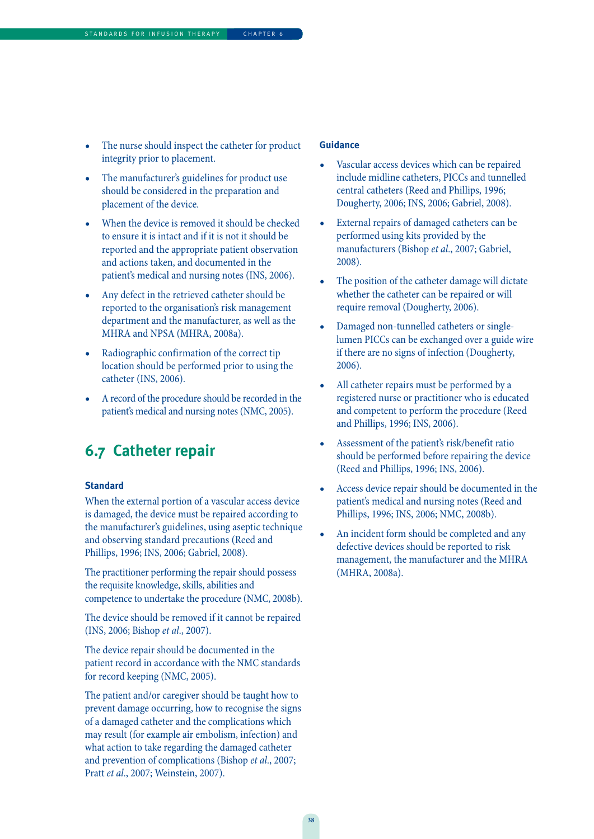- The nurse should inspect the catheter for product integrity prior to placement.
- The manufacturer's guidelines for product use should be considered in the preparation and placement of the device.
- When the device is removed it should be checked to ensure it is intact and if it is not it should be reported and the appropriate patient observation and actions taken, and documented in the patient's medical and nursing notes (INS, 2006).
- Any defect in the retrieved catheter should be reported to the organisation's risk management department and the manufacturer, as well as the MHRA and NPSA (MHRA, 2008a).
- Radiographic confirmation of the correct tip location should be performed prior to using the catheter (INS, 2006).
- A record of the procedure should be recorded in the patient's medical and nursing notes (NMC, 2005).

### **6.7 Catheter repair**

#### **Standard**

When the external portion of a vascular access device is damaged, the device must be repaired according to the manufacturer's guidelines, using aseptic technique and observing standard precautions (Reed and Phillips, 1996; INS, 2006; Gabriel, 2008).

The practitioner performing the repair should possess the requisite knowledge, skills, abilities and competence to undertake the procedure (NMC, 2008b).

The device should be removed if it cannot be repaired (INS, 2006; Bishop et al., 2007).

The device repair should be documented in the patient record in accordance with the NMC standards for record keeping (NMC, 2005).

The patient and/or caregiver should be taught how to prevent damage occurring, how to recognise the signs of a damaged catheter and the complications which may result (for example air embolism, infection) and what action to take regarding the damaged catheter and prevention of complications (Bishop et al., 2007; Pratt et al., 2007; Weinstein, 2007).

- Vascular access devices which can be repaired include midline catheters, PICCs and tunnelled central catheters (Reed and Phillips, 1996; Dougherty, 2006; INS, 2006; Gabriel, 2008).
- External repairs of damaged catheters can be performed using kits provided by the manufacturers (Bishop et al., 2007; Gabriel, 2008).
- The position of the catheter damage will dictate whether the catheter can be repaired or will require removal (Dougherty, 2006).
- Damaged non-tunnelled catheters or singlelumen PICCs can be exchanged over a guide wire if there are no signs of infection (Dougherty, 2006).
- All catheter repairs must be performed by a registered nurse or practitioner who is educated and competent to perform the procedure (Reed and Phillips, 1996; INS, 2006).
- Assessment of the patient's risk/benefit ratio should be performed before repairing the device (Reed and Phillips, 1996; INS, 2006).
- Access device repair should be documented in the patient's medical and nursing notes (Reed and Phillips, 1996; INS, 2006; NMC, 2008b).
- An incident form should be completed and any defective devices should be reported to risk management, the manufacturer and the MHRA (MHRA, 2008a).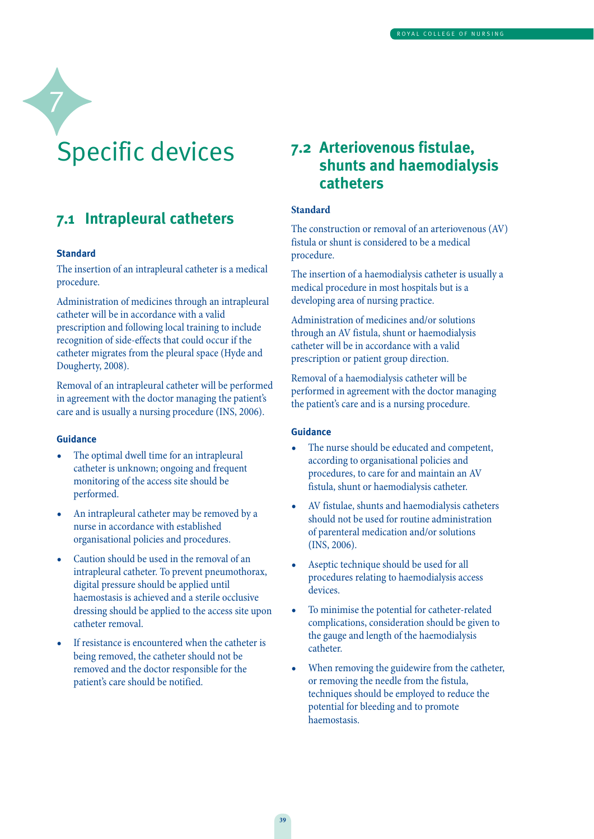# Specific devices

### **7.1 Intrapleural catheters**

#### **Standard**

7

The insertion of an intrapleural catheter is a medical procedure.

Administration of medicines through an intrapleural catheter will be in accordance with a valid prescription and following local training to include recognition of side-effects that could occur if the catheter migrates from the pleural space (Hyde and Dougherty, 2008).

Removal of an intrapleural catheter will be performed in agreement with the doctor managing the patient's care and is usually a nursing procedure (INS, 2006).

#### **Guidance**

- The optimal dwell time for an intrapleural catheter is unknown; ongoing and frequent monitoring of the access site should be performed.
- An intrapleural catheter may be removed by a nurse in accordance with established organisational policies and procedures.
- Caution should be used in the removal of an intrapleural catheter. To prevent pneumothorax, digital pressure should be applied until haemostasis is achieved and a sterile occlusive dressing should be applied to the access site upon catheter removal.
- If resistance is encountered when the catheter is being removed, the catheter should not be removed and the doctor responsible for the patient's care should be notified.

### **7.2 Arteriovenous fistulae, shunts and haemodialysis catheters**

#### **Standard**

The construction or removal of an arteriovenous (AV) fistula or shunt is considered to be a medical procedure.

The insertion of a haemodialysis catheter is usually a medical procedure in most hospitals but is a developing area of nursing practice.

Administration of medicines and/or solutions through an AV fistula, shunt or haemodialysis catheter will be in accordance with a valid prescription or patient group direction.

Removal of a haemodialysis catheter will be performed in agreement with the doctor managing the patient's care and is a nursing procedure.

- The nurse should be educated and competent, according to organisational policies and procedures, to care for and maintain an AV fistula, shunt or haemodialysis catheter.
- AV fistulae, shunts and haemodialysis catheters should not be used for routine administration of parenteral medication and/or solutions (INS, 2006).
- Aseptic technique should be used for all procedures relating to haemodialysis access devices.
- To minimise the potential for catheter-related complications, consideration should be given to the gauge and length of the haemodialysis catheter.
- When removing the guidewire from the catheter, or removing the needle from the fistula, techniques should be employed to reduce the potential for bleeding and to promote haemostasis.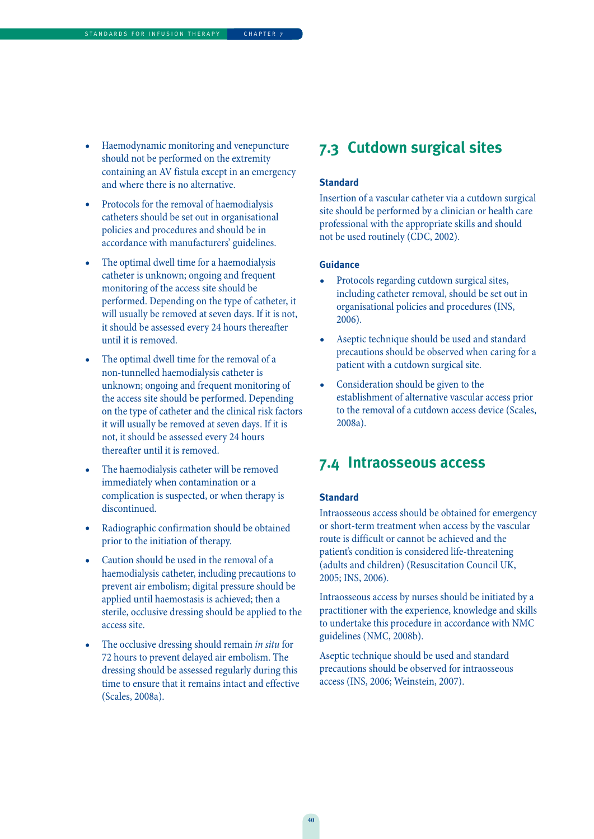- Haemodynamic monitoring and venepuncture should not be performed on the extremity containing an AV fistula except in an emergency and where there is no alternative.
- Protocols for the removal of haemodialysis catheters should be set out in organisational policies and procedures and should be in accordance with manufacturers' guidelines.
- The optimal dwell time for a haemodialysis catheter is unknown; ongoing and frequent monitoring of the access site should be performed. Depending on the type of catheter, it will usually be removed at seven days. If it is not, it should be assessed every 24 hours thereafter until it is removed.
- The optimal dwell time for the removal of a non-tunnelled haemodialysis catheter is unknown; ongoing and frequent monitoring of the access site should be performed. Depending on the type of catheter and the clinical risk factors it will usually be removed at seven days. If it is not, it should be assessed every 24 hours thereafter until it is removed.
- The haemodialysis catheter will be removed immediately when contamination or a complication is suspected, or when therapy is discontinued.
- Radiographic confirmation should be obtained prior to the initiation of therapy.
- Caution should be used in the removal of a haemodialysis catheter, including precautions to prevent air embolism; digital pressure should be applied until haemostasis is achieved; then a sterile, occlusive dressing should be applied to the access site.
- The occlusive dressing should remain in situ for 72 hours to prevent delayed air embolism. The dressing should be assessed regularly during this time to ensure that it remains intact and effective (Scales, 2008a).

### **7.3 Cutdown surgical sites**

#### **Standard**

Insertion of a vascular catheter via a cutdown surgical site should be performed by a clinician or health care professional with the appropriate skills and should not be used routinely (CDC, 2002).

#### **Guidance**

- Protocols regarding cutdown surgical sites, including catheter removal, should be set out in organisational policies and procedures (INS, 2006).
- Aseptic technique should be used and standard precautions should be observed when caring for a patient with a cutdown surgical site.
- Consideration should be given to the establishment of alternative vascular access prior to the removal of a cutdown access device (Scales, 2008a).

### **7.4 Intraosseous access**

#### **Standard**

Intraosseous access should be obtained for emergency or short-term treatment when access by the vascular route is difficult or cannot be achieved and the patient's condition is considered life-threatening (adults and children) (Resuscitation Council UK, 2005; INS, 2006).

Intraosseous access by nurses should be initiated by a practitioner with the experience, knowledge and skills to undertake this procedure in accordance with NMC guidelines (NMC, 2008b).

Aseptic technique should be used and standard precautions should be observed for intraosseous access (INS, 2006; Weinstein, 2007).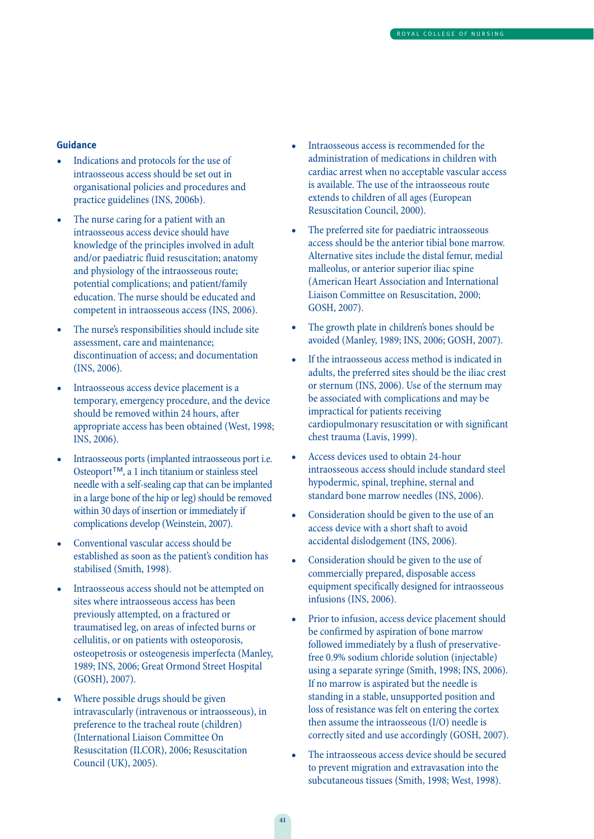- Indications and protocols for the use of intraosseous access should be set out in organisational policies and procedures and practice guidelines (INS, 2006b).
- The nurse caring for a patient with an intraosseous access device should have knowledge of the principles involved in adult and/or paediatric fluid resuscitation; anatomy and physiology of the intraosseous route; potential complications; and patient/family education. The nurse should be educated and competent in intraosseous access (INS, 2006).
- The nurse's responsibilities should include site assessment, care and maintenance; discontinuation of access; and documentation (INS, 2006).
- Intraosseous access device placement is a temporary, emergency procedure, and the device should be removed within 24 hours, after appropriate access has been obtained (West, 1998; INS, 2006).
- Intraosseous ports (implanted intraosseous port i.e. Osteoport™, a 1 inch titanium or stainless steel needle with a self-sealing cap that can be implanted in a large bone of the hip or leg) should be removed within 30 days of insertion or immediately if complications develop (Weinstein, 2007).
- Conventional vascular access should be established as soon as the patient's condition has stabilised (Smith, 1998).
- Intraosseous access should not be attempted on sites where intraosseous access has been previously attempted, on a fractured or traumatised leg, on areas of infected burns or cellulitis, or on patients with osteoporosis, osteopetrosis or osteogenesis imperfecta (Manley, 1989; INS, 2006; Great Ormond Street Hospital (GOSH), 2007).
- Where possible drugs should be given intravascularly (intravenous or intraosseous), in preference to the tracheal route (children) (International Liaison Committee On Resuscitation (ILCOR), 2006; Resuscitation Council (UK), 2005).
- Intraosseous access is recommended for the administration of medications in children with cardiac arrest when no acceptable vascular access is available. The use of the intraosseous route extends to children of all ages (European Resuscitation Council, 2000).
- The preferred site for paediatric intraosseous access should be the anterior tibial bone marrow. Alternative sites include the distal femur, medial malleolus, or anterior superior iliac spine (American Heart Association and International Liaison Committee on Resuscitation, 2000; GOSH, 2007).
- The growth plate in children's bones should be avoided (Manley, 1989; INS, 2006; GOSH, 2007).
- If the intraosseous access method is indicated in adults, the preferred sites should be the iliac crest or sternum (INS, 2006). Use of the sternum may be associated with complications and may be impractical for patients receiving cardiopulmonary resuscitation or with significant chest trauma (Lavis, 1999).
- Access devices used to obtain 24-hour intraosseous access should include standard steel hypodermic, spinal, trephine, sternal and standard bone marrow needles (INS, 2006).
- Consideration should be given to the use of an access device with a short shaft to avoid accidental dislodgement (INS, 2006).
- Consideration should be given to the use of commercially prepared, disposable access equipment specifically designed for intraosseous infusions (INS, 2006).
- Prior to infusion, access device placement should be confirmed by aspiration of bone marrow followed immediately by a flush of preservativefree 0.9% sodium chloride solution (injectable) using a separate syringe (Smith, 1998; INS, 2006). If no marrow is aspirated but the needle is standing in a stable, unsupported position and loss of resistance was felt on entering the cortex then assume the intraosseous (I/O) needle is correctly sited and use accordingly (GOSH, 2007).
- The intraosseous access device should be secured to prevent migration and extravasation into the subcutaneous tissues (Smith, 1998; West, 1998).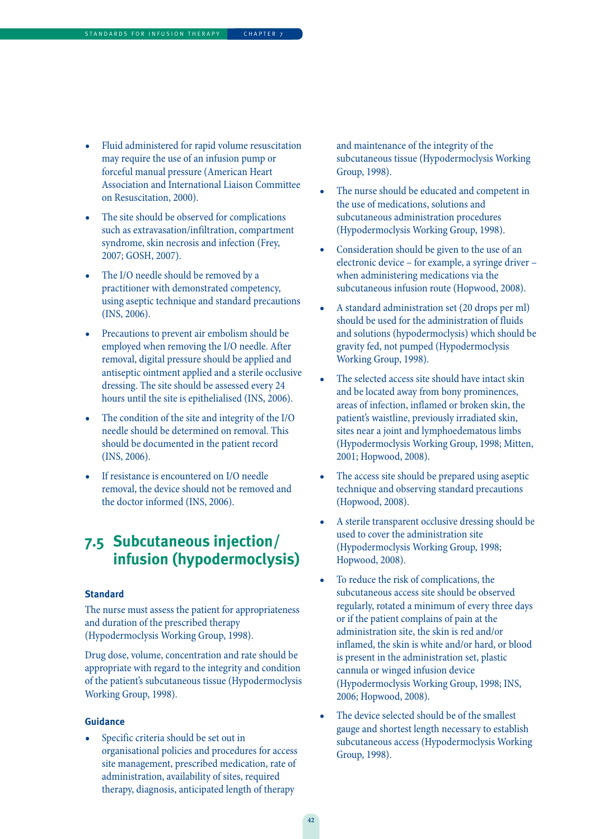- Fluid administered for rapid volume resuscitation may require the use of an infusion pump or forceful manual pressure (American Heart Association and International Liaison Committee on Resuscitation, 2000).
- The site should be observed for complications such as extravasation/infiltration, compartment syndrome, skin necrosis and infection (Frey, 2007; GOSH, 2007).
- The I/O needle should be removed by a practitioner with demonstrated competency, using aseptic technique and standard precautions (INS, 2006).
- Precautions to prevent air embolism should be employed when removing the I/O needle. After removal, digital pressure should be applied and antiseptic ointment applied and a sterile occlusive dressing. The site should be assessed every 24 hours until the site is epithelialised (INS, 2006).
- The condition of the site and integrity of the I/O needle should be determined on removal. This should be documented in the patient record (INS, 2006).
- If resistance is encountered on I/O needle removal, the device should not be removed and the doctor informed (INS, 2006).

### **7.5 Subcutaneous injection/ infusion (hypodermoclysis)**

#### **Standard**

The nurse must assess the patient for appropriateness and duration of the prescribed therapy (Hypodermoclysis Working Group, 1998).

Drug dose, volume, concentration and rate should be appropriate with regard to the integrity and condition of the patient's subcutaneous tissue (Hypodermoclysis Working Group, 1998).

#### **Guidance**

Specific criteria should be set out in organisational policies and procedures for access site management, prescribed medication, rate of administration, availability of sites, required therapy, diagnosis, anticipated length of therapy

and maintenance of the integrity of the subcutaneous tissue (Hypodermoclysis Working Group, 1998).

- The nurse should be educated and competent in the use of medications, solutions and subcutaneous administration procedures (Hypodermoclysis Working Group, 1998).
- Consideration should be given to the use of an electronic device – for example, a syringe driver – when administering medications via the subcutaneous infusion route (Hopwood, 2008).
- A standard administration set (20 drops per ml) should be used for the administration of fluids and solutions (hypodermoclysis) which should be gravity fed, not pumped (Hypodermoclysis Working Group, 1998).
- The selected access site should have intact skin and be located away from bony prominences, areas of infection, inflamed or broken skin, the patient's waistline, previously irradiated skin, sites near a joint and lymphoedematous limbs (Hypodermoclysis Working Group, 1998; Mitten, 2001; Hopwood, 2008).
- The access site should be prepared using aseptic technique and observing standard precautions (Hopwood, 2008).
- A sterile transparent occlusive dressing should be used to cover the administration site (Hypodermoclysis Working Group, 1998; Hopwood, 2008).
- To reduce the risk of complications, the subcutaneous access site should be observed regularly, rotated a minimum of every three days or if the patient complains of pain at the administration site, the skin is red and/or inflamed, the skin is white and/or hard, or blood is present in the administration set, plastic cannula or winged infusion device (Hypodermoclysis Working Group, 1998; INS, 2006; Hopwood, 2008).
- The device selected should be of the smallest gauge and shortest length necessary to establish subcutaneous access (Hypodermoclysis Working Group, 1998).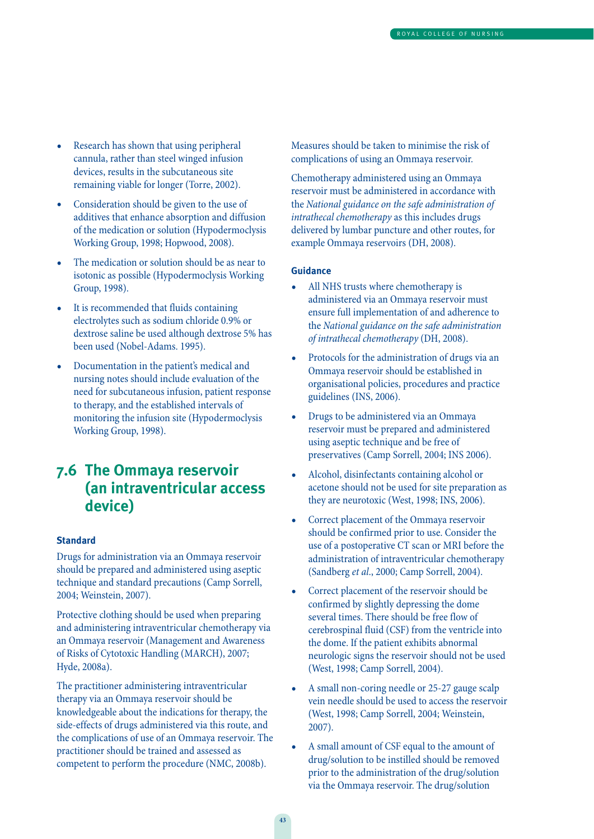- Research has shown that using peripheral cannula, rather than steel winged infusion devices, results in the subcutaneous site remaining viable for longer (Torre, 2002).
- Consideration should be given to the use of additives that enhance absorption and diffusion of the medication or solution (Hypodermoclysis Working Group, 1998; Hopwood, 2008).
- The medication or solution should be as near to isotonic as possible (Hypodermoclysis Working Group, 1998).
- It is recommended that fluids containing electrolytes such as sodium chloride 0.9% or dextrose saline be used although dextrose 5% has been used (Nobel-Adams. 1995).
- Documentation in the patient's medical and nursing notes should include evaluation of the need for subcutaneous infusion, patient response to therapy, and the established intervals of monitoring the infusion site (Hypodermoclysis Working Group, 1998).

### **7.6 The Ommaya reservoir (an intraventricular access device)**

#### **Standard**

Drugs for administration via an Ommaya reservoir should be prepared and administered using aseptic technique and standard precautions (Camp Sorrell, 2004; Weinstein, 2007).

Protective clothing should be used when preparing and administering intraventricular chemotherapy via an Ommaya reservoir (Management and Awareness of Risks of Cytotoxic Handling (MARCH), 2007; Hyde, 2008a).

The practitioner administering intraventricular therapy via an Ommaya reservoir should be knowledgeable about the indications for therapy, the side-effects of drugs administered via this route, and the complications of use of an Ommaya reservoir. The practitioner should be trained and assessed as competent to perform the procedure (NMC, 2008b).

Measures should be taken to minimise the risk of complications of using an Ommaya reservoir.

Chemotherapy administered using an Ommaya reservoir must be administered in accordance with the National guidance on the safe administration of intrathecal chemotherapy as this includes drugs delivered by lumbar puncture and other routes, for example Ommaya reservoirs (DH, 2008).

- All NHS trusts where chemotherapy is administered via an Ommaya reservoir must ensure full implementation of and adherence to the National guidance on the safe administration of intrathecal chemotherapy (DH, 2008).
- Protocols for the administration of drugs via an Ommaya reservoir should be established in organisational policies, procedures and practice guidelines (INS, 2006).
- Drugs to be administered via an Ommaya reservoir must be prepared and administered using aseptic technique and be free of preservatives (Camp Sorrell, 2004; INS 2006).
- Alcohol, disinfectants containing alcohol or acetone should not be used for site preparation as they are neurotoxic (West, 1998; INS, 2006).
- Correct placement of the Ommaya reservoir should be confirmed prior to use. Consider the use of a postoperative CT scan or MRI before the administration of intraventricular chemotherapy (Sandberg et al., 2000; Camp Sorrell, 2004).
- Correct placement of the reservoir should be confirmed by slightly depressing the dome several times. There should be free flow of cerebrospinal fluid (CSF) from the ventricle into the dome. If the patient exhibits abnormal neurologic signs the reservoir should not be used (West, 1998; Camp Sorrell, 2004).
- A small non-coring needle or 25-27 gauge scalp vein needle should be used to access the reservoir (West, 1998; Camp Sorrell, 2004; Weinstein, 2007).
- A small amount of CSF equal to the amount of drug/solution to be instilled should be removed prior to the administration of the drug/solution via the Ommaya reservoir. The drug/solution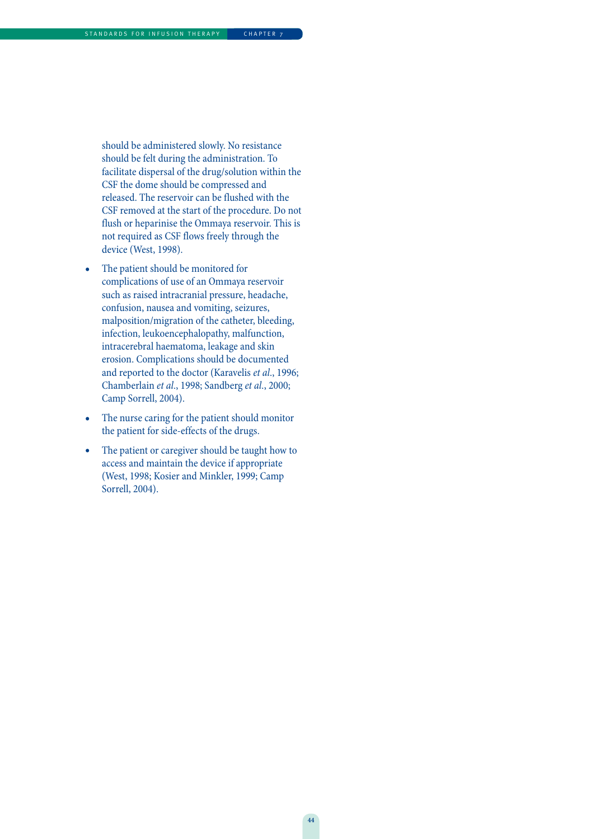should be administered slowly. No resistance should be felt during the administration. To facilitate dispersal of the drug/solution within the CSF the dome should be compressed and released. The reservoir can be flushed with the CSF removed at the start of the procedure. Do not flush or heparinise the Ommaya reservoir. This is not required as CSF flows freely through the device (West, 1998).

- The patient should be monitored for complications of use of an Ommaya reservoir such as raised intracranial pressure, headache, confusion, nausea and vomiting, seizures, malposition/migration of the catheter, bleeding, infection, leukoencephalopathy, malfunction, intracerebral haematoma, leakage and skin erosion. Complications should be documented and reported to the doctor (Karavelis et al., 1996; Chamberlain et al., 1998; Sandberg et al., 2000; Camp Sorrell, 2004).
- The nurse caring for the patient should monitor the patient for side-effects of the drugs.
- The patient or caregiver should be taught how to access and maintain the device if appropriate (West, 1998; Kosier and Minkler, 1999; Camp Sorrell, 2004).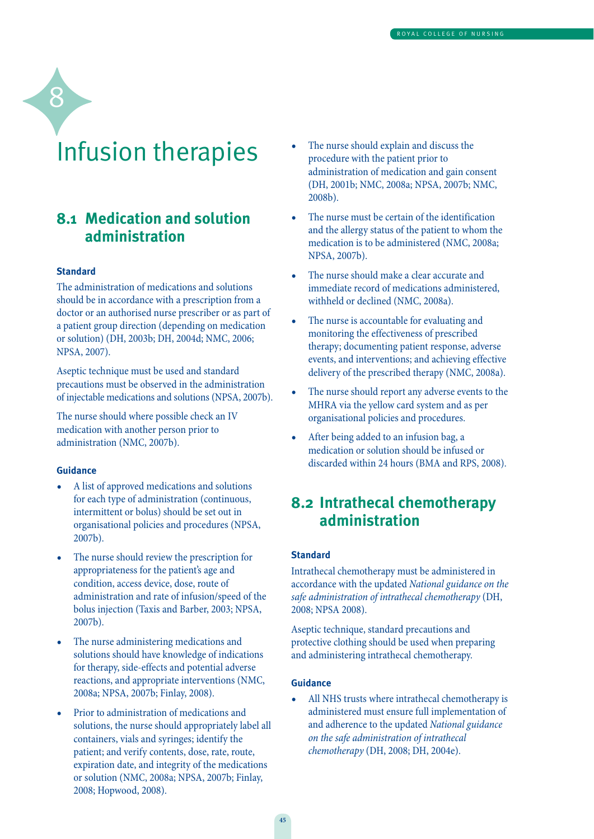## Infusion therapies

### **8.1 Medication and solution administration**

#### **Standard**

8

The administration of medications and solutions should be in accordance with a prescription from a doctor or an authorised nurse prescriber or as part of a patient group direction (depending on medication or solution) (DH, 2003b; DH, 2004d; NMC, 2006; NPSA, 2007).

Aseptic technique must be used and standard precautions must be observed in the administration of injectable medications and solutions (NPSA, 2007b).

The nurse should where possible check an IV medication with another person prior to administration (NMC, 2007b).

#### **Guidance**

- A list of approved medications and solutions for each type of administration (continuous, intermittent or bolus) should be set out in organisational policies and procedures (NPSA, 2007b).
- The nurse should review the prescription for appropriateness for the patient's age and condition, access device, dose, route of administration and rate of infusion/speed of the bolus injection (Taxis and Barber, 2003; NPSA, 2007b).
- The nurse administering medications and solutions should have knowledge of indications for therapy, side-effects and potential adverse reactions, and appropriate interventions (NMC, 2008a; NPSA, 2007b; Finlay, 2008).
- Prior to administration of medications and solutions, the nurse should appropriately label all containers, vials and syringes; identify the patient; and verify contents, dose, rate, route, expiration date, and integrity of the medications or solution (NMC, 2008a; NPSA, 2007b; Finlay, 2008; Hopwood, 2008).
- The nurse should explain and discuss the procedure with the patient prior to administration of medication and gain consent (DH, 2001b; NMC, 2008a; NPSA, 2007b; NMC, 2008b).
- The nurse must be certain of the identification and the allergy status of the patient to whom the medication is to be administered (NMC, 2008a; NPSA, 2007b).
- The nurse should make a clear accurate and immediate record of medications administered, withheld or declined (NMC, 2008a).
- The nurse is accountable for evaluating and monitoring the effectiveness of prescribed therapy; documenting patient response, adverse events, and interventions; and achieving effective delivery of the prescribed therapy (NMC, 2008a).
- The nurse should report any adverse events to the MHRA via the yellow card system and as per organisational policies and procedures.
- After being added to an infusion bag, a medication or solution should be infused or discarded within 24 hours (BMA and RPS, 2008).

### **8.2 Intrathecal chemotherapy administration**

#### **Standard**

Intrathecal chemotherapy must be administered in accordance with the updated National guidance on the safe administration of intrathecal chemotherapy (DH, 2008; NPSA 2008).

Aseptic technique, standard precautions and protective clothing should be used when preparing and administering intrathecal chemotherapy.

#### **Guidance**

All NHS trusts where intrathecal chemotherapy is administered must ensure full implementation of and adherence to the updated National guidance on the safe administration of intrathecal chemotherapy (DH, 2008; DH, 2004e).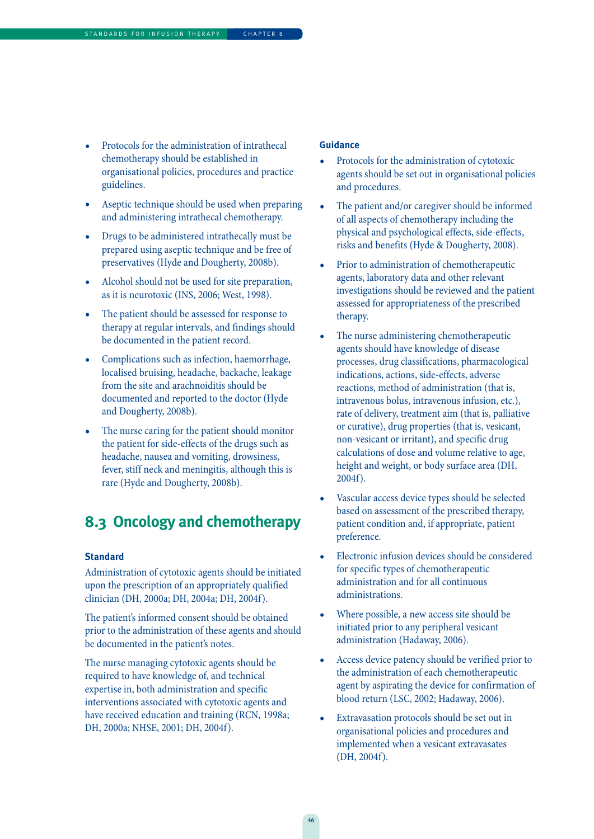- Protocols for the administration of intrathecal chemotherapy should be established in organisational policies, procedures and practice guidelines.
- Aseptic technique should be used when preparing and administering intrathecal chemotherapy.
- Drugs to be administered intrathecally must be prepared using aseptic technique and be free of preservatives (Hyde and Dougherty, 2008b).
- Alcohol should not be used for site preparation, as it is neurotoxic (INS, 2006; West, 1998).
- The patient should be assessed for response to therapy at regular intervals, and findings should be documented in the patient record.
- Complications such as infection, haemorrhage, localised bruising, headache, backache, leakage from the site and arachnoiditis should be documented and reported to the doctor (Hyde and Dougherty, 2008b).
- The nurse caring for the patient should monitor the patient for side-effects of the drugs such as headache, nausea and vomiting, drowsiness, fever, stiff neck and meningitis, although this is rare (Hyde and Dougherty, 2008b).

### **8.3 Oncology and chemotherapy**

#### **Standard**

Administration of cytotoxic agents should be initiated upon the prescription of an appropriately qualified clinician (DH, 2000a; DH, 2004a; DH, 2004f).

The patient's informed consent should be obtained prior to the administration of these agents and should be documented in the patient's notes.

The nurse managing cytotoxic agents should be required to have knowledge of, and technical expertise in, both administration and specific interventions associated with cytotoxic agents and have received education and training (RCN, 1998a; DH, 2000a; NHSE, 2001; DH, 2004f).

- Protocols for the administration of cytotoxic agents should be set out in organisational policies and procedures.
- The patient and/or caregiver should be informed of all aspects of chemotherapy including the physical and psychological effects, side-effects, risks and benefits (Hyde & Dougherty, 2008).
- Prior to administration of chemotherapeutic agents, laboratory data and other relevant investigations should be reviewed and the patient assessed for appropriateness of the prescribed therapy.
- The nurse administering chemotherapeutic agents should have knowledge of disease processes, drug classifications, pharmacological indications, actions, side-effects, adverse reactions, method of administration (that is, intravenous bolus, intravenous infusion, etc.), rate of delivery, treatment aim (that is, palliative or curative), drug properties (that is, vesicant, non-vesicant or irritant), and specific drug calculations of dose and volume relative to age, height and weight, or body surface area (DH, 2004f).
- Vascular access device types should be selected based on assessment of the prescribed therapy, patient condition and, if appropriate, patient preference.
- Electronic infusion devices should be considered for specific types of chemotherapeutic administration and for all continuous administrations.
- Where possible, a new access site should be initiated prior to any peripheral vesicant administration (Hadaway, 2006).
- Access device patency should be verified prior to the administration of each chemotherapeutic agent by aspirating the device for confirmation of blood return (LSC, 2002; Hadaway, 2006).
- Extravasation protocols should be set out in organisational policies and procedures and implemented when a vesicant extravasates (DH, 2004f).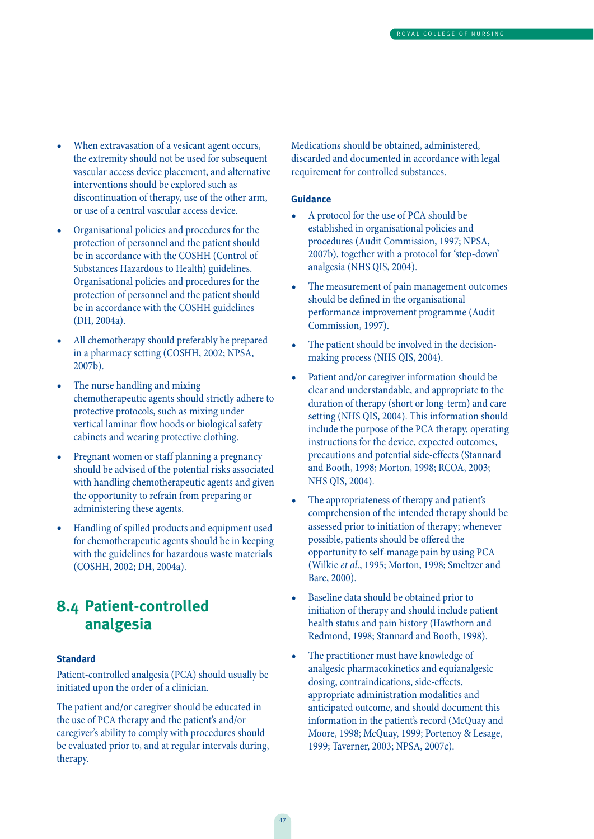- When extravasation of a vesicant agent occurs, the extremity should not be used for subsequent vascular access device placement, and alternative interventions should be explored such as discontinuation of therapy, use of the other arm, or use of a central vascular access device.
- Organisational policies and procedures for the protection of personnel and the patient should be in accordance with the COSHH (Control of Substances Hazardous to Health) guidelines. Organisational policies and procedures for the protection of personnel and the patient should be in accordance with the COSHH guidelines (DH, 2004a).
- All chemotherapy should preferably be prepared in a pharmacy setting (COSHH, 2002; NPSA, 2007b).
- The nurse handling and mixing chemotherapeutic agents should strictly adhere to protective protocols, such as mixing under vertical laminar flow hoods or biological safety cabinets and wearing protective clothing.
- Pregnant women or staff planning a pregnancy should be advised of the potential risks associated with handling chemotherapeutic agents and given the opportunity to refrain from preparing or administering these agents.
- Handling of spilled products and equipment used for chemotherapeutic agents should be in keeping with the guidelines for hazardous waste materials (COSHH, 2002; DH, 2004a).

### **8.4 Patient-controlled analgesia**

#### **Standard**

Patient-controlled analgesia (PCA) should usually be initiated upon the order of a clinician.

The patient and/or caregiver should be educated in the use of PCA therapy and the patient's and/or caregiver's ability to comply with procedures should be evaluated prior to, and at regular intervals during, therapy.

Medications should be obtained, administered, discarded and documented in accordance with legal requirement for controlled substances.

- A protocol for the use of PCA should be established in organisational policies and procedures (Audit Commission, 1997; NPSA, 2007b), together with a protocol for 'step-down' analgesia (NHS QIS, 2004).
- The measurement of pain management outcomes should be defined in the organisational performance improvement programme (Audit Commission, 1997).
- The patient should be involved in the decisionmaking process (NHS QIS, 2004).
- Patient and/or caregiver information should be clear and understandable, and appropriate to the duration of therapy (short or long-term) and care setting (NHS QIS, 2004). This information should include the purpose of the PCA therapy, operating instructions for the device, expected outcomes, precautions and potential side-effects (Stannard and Booth, 1998; Morton, 1998; RCOA, 2003; NHS QIS, 2004).
- The appropriateness of therapy and patient's comprehension of the intended therapy should be assessed prior to initiation of therapy; whenever possible, patients should be offered the opportunity to self-manage pain by using PCA (Wilkie et al., 1995; Morton, 1998; Smeltzer and Bare, 2000).
- Baseline data should be obtained prior to initiation of therapy and should include patient health status and pain history (Hawthorn and Redmond, 1998; Stannard and Booth, 1998).
- The practitioner must have knowledge of analgesic pharmacokinetics and equianalgesic dosing, contraindications, side-effects, appropriate administration modalities and anticipated outcome, and should document this information in the patient's record (McQuay and Moore, 1998; McQuay, 1999; Portenoy & Lesage, 1999; Taverner, 2003; NPSA, 2007c).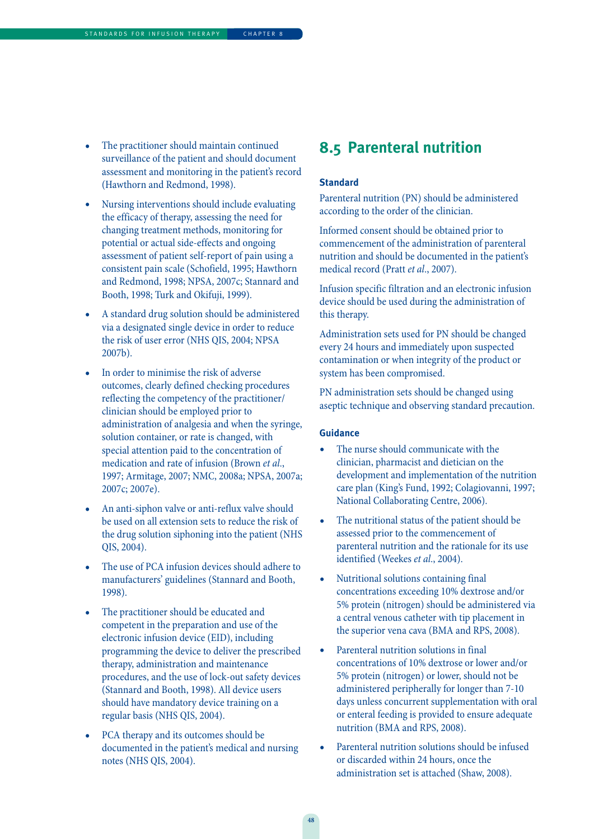- The practitioner should maintain continued surveillance of the patient and should document assessment and monitoring in the patient's record (Hawthorn and Redmond, 1998).
- Nursing interventions should include evaluating the efficacy of therapy, assessing the need for changing treatment methods, monitoring for potential or actual side-effects and ongoing assessment of patient self-report of pain using a consistent pain scale (Schofield, 1995; Hawthorn and Redmond, 1998; NPSA, 2007c; Stannard and Booth, 1998; Turk and Okifuji, 1999).
- A standard drug solution should be administered via a designated single device in order to reduce the risk of user error (NHS QIS, 2004; NPSA 2007b).
- In order to minimise the risk of adverse outcomes, clearly defined checking procedures reflecting the competency of the practitioner/ clinician should be employed prior to administration of analgesia and when the syringe, solution container, or rate is changed, with special attention paid to the concentration of medication and rate of infusion (Brown et al., 1997; Armitage, 2007; NMC, 2008a; NPSA, 2007a; 2007c; 2007e).
- An anti-siphon valve or anti-reflux valve should be used on all extension sets to reduce the risk of the drug solution siphoning into the patient (NHS QIS, 2004).
- The use of PCA infusion devices should adhere to manufacturers' guidelines (Stannard and Booth, 1998).
- The practitioner should be educated and competent in the preparation and use of the electronic infusion device (EID), including programming the device to deliver the prescribed therapy, administration and maintenance procedures, and the use of lock-out safety devices (Stannard and Booth, 1998). All device users should have mandatory device training on a regular basis (NHS QIS, 2004).
- PCA therapy and its outcomes should be documented in the patient's medical and nursing notes (NHS QIS, 2004).

### **8.5 Parenteral nutrition**

#### **Standard**

Parenteral nutrition (PN) should be administered according to the order of the clinician.

Informed consent should be obtained prior to commencement of the administration of parenteral nutrition and should be documented in the patient's medical record (Pratt et al., 2007).

Infusion specific filtration and an electronic infusion device should be used during the administration of this therapy.

Administration sets used for PN should be changed every 24 hours and immediately upon suspected contamination or when integrity of the product or system has been compromised.

PN administration sets should be changed using aseptic technique and observing standard precaution.

- The nurse should communicate with the clinician, pharmacist and dietician on the development and implementation of the nutrition care plan (King's Fund, 1992; Colagiovanni, 1997; National Collaborating Centre, 2006).
- The nutritional status of the patient should be assessed prior to the commencement of parenteral nutrition and the rationale for its use identified (Weekes et al., 2004).
- Nutritional solutions containing final concentrations exceeding 10% dextrose and/or 5% protein (nitrogen) should be administered via a central venous catheter with tip placement in the superior vena cava (BMA and RPS, 2008).
- Parenteral nutrition solutions in final concentrations of 10% dextrose or lower and/or 5% protein (nitrogen) or lower, should not be administered peripherally for longer than 7-10 days unless concurrent supplementation with oral or enteral feeding is provided to ensure adequate nutrition (BMA and RPS, 2008).
- Parenteral nutrition solutions should be infused or discarded within 24 hours, once the administration set is attached (Shaw, 2008).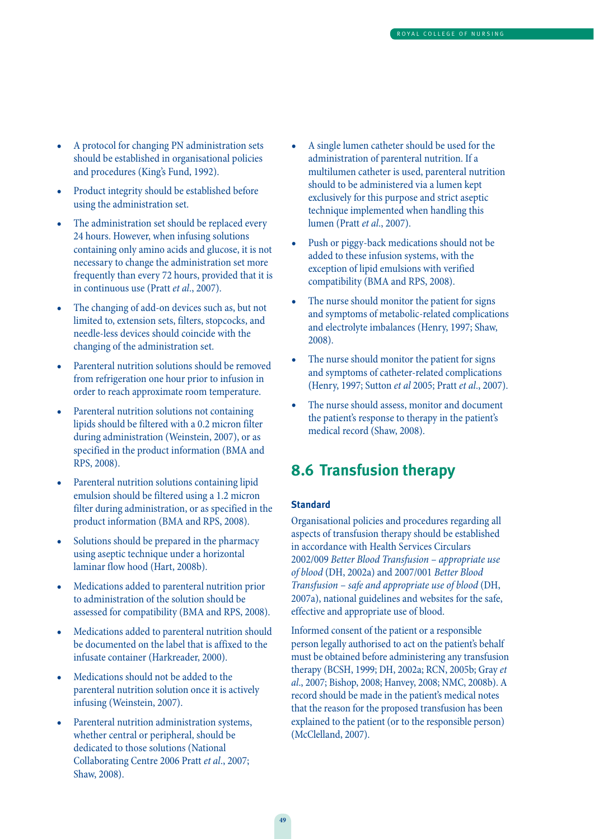- A protocol for changing PN administration sets should be established in organisational policies and procedures (King's Fund, 1992).
- Product integrity should be established before using the administration set.
- The administration set should be replaced every 24 hours. However, when infusing solutions containing only amino acids and glucose, it is not necessary to change the administration set more frequently than every 72 hours, provided that it is in continuous use (Pratt et al., 2007).
- The changing of add-on devices such as, but not limited to, extension sets, filters, stopcocks, and needle-less devices should coincide with the changing of the administration set.
- Parenteral nutrition solutions should be removed from refrigeration one hour prior to infusion in order to reach approximate room temperature.
- Parenteral nutrition solutions not containing lipids should be filtered with a 0.2 micron filter during administration (Weinstein, 2007), or as specified in the product information (BMA and RPS, 2008).
- Parenteral nutrition solutions containing lipid emulsion should be filtered using a 1.2 micron filter during administration, or as specified in the product information (BMA and RPS, 2008).
- Solutions should be prepared in the pharmacy using aseptic technique under a horizontal laminar flow hood (Hart, 2008b).
- Medications added to parenteral nutrition prior to administration of the solution should be assessed for compatibility (BMA and RPS, 2008).
- Medications added to parenteral nutrition should be documented on the label that is affixed to the infusate container (Harkreader, 2000).
- Medications should not be added to the parenteral nutrition solution once it is actively infusing (Weinstein, 2007).
- Parenteral nutrition administration systems, whether central or peripheral, should be dedicated to those solutions (National Collaborating Centre 2006 Pratt et al., 2007; Shaw, 2008).
- A single lumen catheter should be used for the administration of parenteral nutrition. If a multilumen catheter is used, parenteral nutrition should to be administered via a lumen kept exclusively for this purpose and strict aseptic technique implemented when handling this lumen (Pratt et al., 2007).
- Push or piggy-back medications should not be added to these infusion systems, with the exception of lipid emulsions with verified compatibility (BMA and RPS, 2008).
- The nurse should monitor the patient for signs and symptoms of metabolic-related complications and electrolyte imbalances (Henry, 1997; Shaw, 2008).
- The nurse should monitor the patient for signs and symptoms of catheter-related complications (Henry, 1997; Sutton et al 2005; Pratt et al., 2007).
- The nurse should assess, monitor and document the patient's response to therapy in the patient's medical record (Shaw, 2008).

### **8.6 Transfusion therapy**

#### **Standard**

Organisational policies and procedures regarding all aspects of transfusion therapy should be established in accordance with Health Services Circulars 2002/009 Better Blood Transfusion – appropriate use of blood (DH, 2002a) and 2007/001 Better Blood Transfusion – safe and appropriate use of blood (DH, 2007a), national guidelines and websites for the safe, effective and appropriate use of blood.

Informed consent of the patient or a responsible person legally authorised to act on the patient's behalf must be obtained before administering any transfusion therapy (BCSH, 1999; DH, 2002a; RCN, 2005b; Gray et al., 2007; Bishop, 2008; Hanvey, 2008; NMC, 2008b). A record should be made in the patient's medical notes that the reason for the proposed transfusion has been explained to the patient (or to the responsible person) (McClelland, 2007).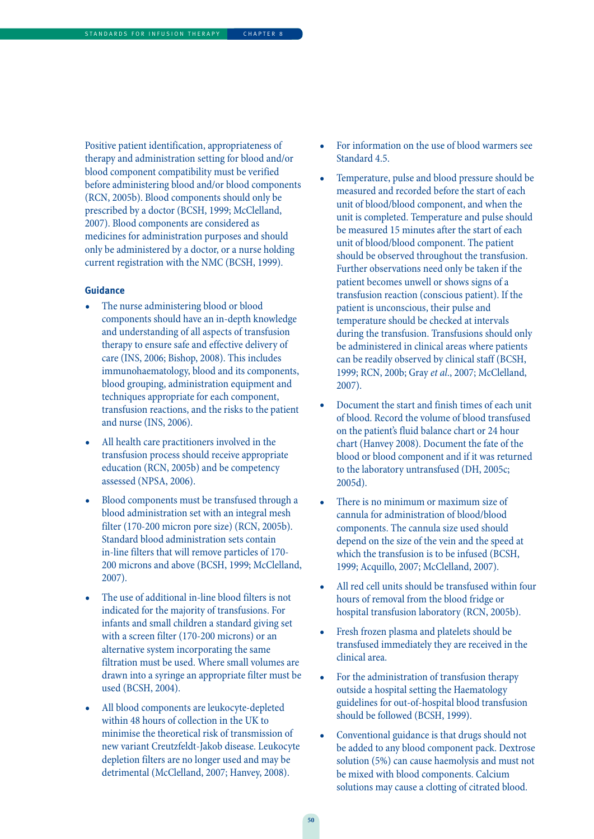Positive patient identification, appropriateness of therapy and administration setting for blood and/or blood component compatibility must be verified before administering blood and/or blood components (RCN, 2005b). Blood components should only be prescribed by a doctor (BCSH, 1999; McClelland, 2007). Blood components are considered as medicines for administration purposes and should only be administered by a doctor, or a nurse holding current registration with the NMC (BCSH, 1999).

- The nurse administering blood or blood components should have an in-depth knowledge and understanding of all aspects of transfusion therapy to ensure safe and effective delivery of care (INS, 2006; Bishop, 2008). This includes immunohaematology, blood and its components, blood grouping, administration equipment and techniques appropriate for each component, transfusion reactions, and the risks to the patient and nurse (INS, 2006).
- All health care practitioners involved in the transfusion process should receive appropriate education (RCN, 2005b) and be competency assessed (NPSA, 2006).
- Blood components must be transfused through a blood administration set with an integral mesh filter (170-200 micron pore size) (RCN, 2005b). Standard blood administration sets contain in-line filters that will remove particles of 170- 200 microns and above (BCSH, 1999; McClelland, 2007).
- The use of additional in-line blood filters is not indicated for the majority of transfusions. For infants and small children a standard giving set with a screen filter (170-200 microns) or an alternative system incorporating the same filtration must be used. Where small volumes are drawn into a syringe an appropriate filter must be used (BCSH, 2004).
- All blood components are leukocyte-depleted within 48 hours of collection in the UK to minimise the theoretical risk of transmission of new variant Creutzfeldt-Jakob disease. Leukocyte depletion filters are no longer used and may be detrimental (McClelland, 2007; Hanvey, 2008).
- For information on the use of blood warmers see Standard 4.5.
- Temperature, pulse and blood pressure should be measured and recorded before the start of each unit of blood/blood component, and when the unit is completed. Temperature and pulse should be measured 15 minutes after the start of each unit of blood/blood component. The patient should be observed throughout the transfusion. Further observations need only be taken if the patient becomes unwell or shows signs of a transfusion reaction (conscious patient). If the patient is unconscious, their pulse and temperature should be checked at intervals during the transfusion. Transfusions should only be administered in clinical areas where patients can be readily observed by clinical staff (BCSH, 1999; RCN, 200b; Gray et al., 2007; McClelland, 2007).
- Document the start and finish times of each unit of blood. Record the volume of blood transfused on the patient's fluid balance chart or 24 hour chart (Hanvey 2008). Document the fate of the blood or blood component and if it was returned to the laboratory untransfused (DH, 2005c; 2005d).
- There is no minimum or maximum size of cannula for administration of blood/blood components. The cannula size used should depend on the size of the vein and the speed at which the transfusion is to be infused (BCSH, 1999; Acquillo, 2007; McClelland, 2007).
- All red cell units should be transfused within four hours of removal from the blood fridge or hospital transfusion laboratory (RCN, 2005b).
- Fresh frozen plasma and platelets should be transfused immediately they are received in the clinical area.
- For the administration of transfusion therapy outside a hospital setting the Haematology guidelines for out-of-hospital blood transfusion should be followed (BCSH, 1999).
- Conventional guidance is that drugs should not be added to any blood component pack. Dextrose solution (5%) can cause haemolysis and must not be mixed with blood components. Calcium solutions may cause a clotting of citrated blood.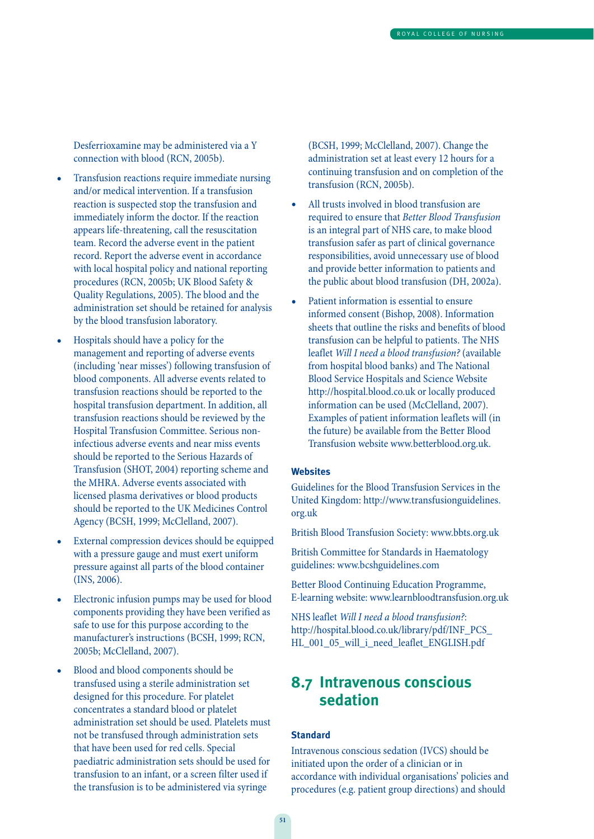Desferrioxamine may be administered via a Y connection with blood (RCN, 2005b).

- Transfusion reactions require immediate nursing and/or medical intervention. If a transfusion reaction is suspected stop the transfusion and immediately inform the doctor. If the reaction appears life-threatening, call the resuscitation team. Record the adverse event in the patient record. Report the adverse event in accordance with local hospital policy and national reporting procedures (RCN, 2005b; UK Blood Safety & Quality Regulations, 2005). The blood and the administration set should be retained for analysis by the blood transfusion laboratory.
- Hospitals should have a policy for the management and reporting of adverse events (including 'near misses') following transfusion of blood components. All adverse events related to transfusion reactions should be reported to the hospital transfusion department. In addition, all transfusion reactions should be reviewed by the Hospital Transfusion Committee. Serious noninfectious adverse events and near miss events should be reported to the Serious Hazards of Transfusion (SHOT, 2004) reporting scheme and the MHRA. Adverse events associated with licensed plasma derivatives or blood products should be reported to the UK Medicines Control Agency (BCSH, 1999; McClelland, 2007).
- External compression devices should be equipped with a pressure gauge and must exert uniform pressure against all parts of the blood container (INS, 2006).
- Electronic infusion pumps may be used for blood components providing they have been verified as safe to use for this purpose according to the manufacturer's instructions (BCSH, 1999; RCN, 2005b; McClelland, 2007).
- Blood and blood components should be transfused using a sterile administration set designed for this procedure. For platelet concentrates a standard blood or platelet administration set should be used. Platelets must not be transfused through administration sets that have been used for red cells. Special paediatric administration sets should be used for transfusion to an infant, or a screen filter used if the transfusion is to be administered via syringe

(BCSH, 1999; McClelland, 2007). Change the administration set at least every 12 hours for a continuing transfusion and on completion of the transfusion (RCN, 2005b).

- All trusts involved in blood transfusion are required to ensure that Better Blood Transfusion is an integral part of NHS care, to make blood transfusion safer as part of clinical governance responsibilities, avoid unnecessary use of blood and provide better information to patients and the public about blood transfusion (DH, 2002a).
- Patient information is essential to ensure informed consent (Bishop, 2008). Information sheets that outline the risks and benefits of blood transfusion can be helpful to patients. The NHS leaflet Will I need a blood transfusion? (available from hospital blood banks) and The National Blood Service Hospitals and Science Website http://hospital.blood.co.uk or locally produced information can be used (McClelland, 2007). Examples of patient information leaflets will (in the future) be available from the Better Blood Transfusion website www.betterblood.org.uk.

#### **Websites**

Guidelines for the Blood Transfusion Services in the United Kingdom: http://www.transfusionguidelines. org.uk

British Blood Transfusion Society: www.bbts.org.uk

British Committee for Standards in Haematology guidelines: www.bcshguidelines.com

Better Blood Continuing Education Programme, E-learning website: www.learnbloodtransfusion.org.uk

NHS leaflet Will I need a blood transfusion?: http://hospital.blood.co.uk/library/pdf/INF\_PCS\_ HL\_001\_05\_will\_i\_need\_leaflet\_ENGLISH.pdf

### **8.7 Intravenous conscious sedation**

#### **Standard**

Intravenous conscious sedation (IVCS) should be initiated upon the order of a clinician or in accordance with individual organisations' policies and procedures (e.g. patient group directions) and should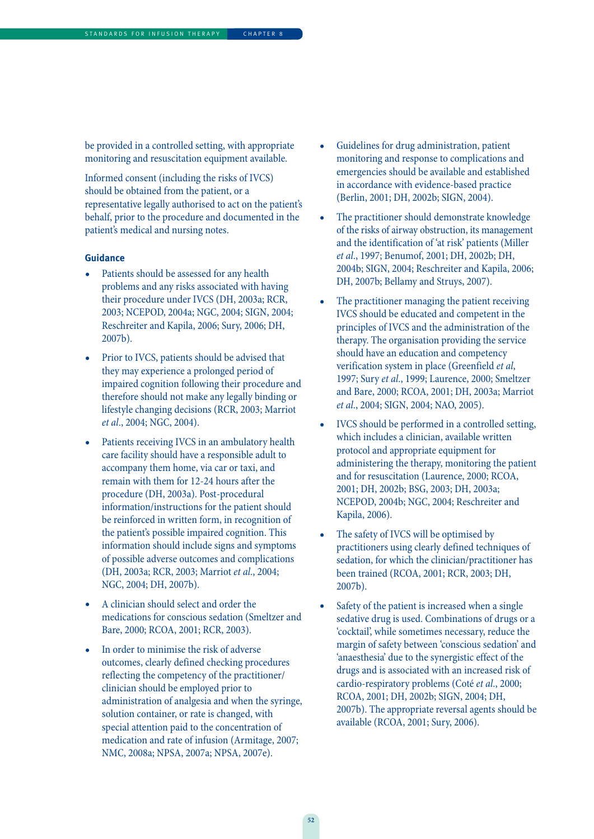be provided in a controlled setting, with appropriate monitoring and resuscitation equipment available.

Informed consent (including the risks of IVCS) should be obtained from the patient, or a representative legally authorised to act on the patient's behalf, prior to the procedure and documented in the patient's medical and nursing notes.

- Patients should be assessed for any health problems and any risks associated with having their procedure under IVCS (DH, 2003a; RCR, 2003; NCEPOD, 2004a; NGC, 2004; SIGN, 2004; Reschreiter and Kapila, 2006; Sury, 2006; DH, 2007b).
- Prior to IVCS, patients should be advised that they may experience a prolonged period of impaired cognition following their procedure and therefore should not make any legally binding or lifestyle changing decisions (RCR, 2003; Marriot et al., 2004; NGC, 2004).
- Patients receiving IVCS in an ambulatory health care facility should have a responsible adult to accompany them home, via car or taxi, and remain with them for 12-24 hours after the procedure (DH, 2003a). Post-procedural information/instructions for the patient should be reinforced in written form, in recognition of the patient's possible impaired cognition. This information should include signs and symptoms of possible adverse outcomes and complications (DH, 2003a; RCR, 2003; Marriot et al., 2004; NGC, 2004; DH, 2007b).
- A clinician should select and order the medications for conscious sedation (Smeltzer and Bare, 2000; RCOA, 2001; RCR, 2003).
- In order to minimise the risk of adverse outcomes, clearly defined checking procedures reflecting the competency of the practitioner/ clinician should be employed prior to administration of analgesia and when the syringe, solution container, or rate is changed, with special attention paid to the concentration of medication and rate of infusion (Armitage, 2007; NMC, 2008a; NPSA, 2007a; NPSA, 2007e).
- Guidelines for drug administration, patient monitoring and response to complications and emergencies should be available and established in accordance with evidence-based practice (Berlin, 2001; DH, 2002b; SIGN, 2004).
- The practitioner should demonstrate knowledge of the risks of airway obstruction, its management and the identification of 'at risk' patients (Miller et al., 1997; Benumof, 2001; DH, 2002b; DH, 2004b; SIGN, 2004; Reschreiter and Kapila, 2006; DH, 2007b; Bellamy and Struys, 2007).
- The practitioner managing the patient receiving IVCS should be educated and competent in the principles of IVCS and the administration of the therapy. The organisation providing the service should have an education and competency verification system in place (Greenfield et al, 1997; Sury et al., 1999; Laurence, 2000; Smeltzer and Bare, 2000; RCOA, 2001; DH, 2003a; Marriot et al., 2004; SIGN, 2004; NAO, 2005).
- IVCS should be performed in a controlled setting, which includes a clinician, available written protocol and appropriate equipment for administering the therapy, monitoring the patient and for resuscitation (Laurence, 2000; RCOA, 2001; DH, 2002b; BSG, 2003; DH, 2003a; NCEPOD, 2004b; NGC, 2004; Reschreiter and Kapila, 2006).
- The safety of IVCS will be optimised by practitioners using clearly defined techniques of sedation, for which the clinician/practitioner has been trained (RCOA, 2001; RCR, 2003; DH, 2007b).
- Safety of the patient is increased when a single sedative drug is used. Combinations of drugs or a 'cocktail', while sometimes necessary, reduce the margin of safety between 'conscious sedation' and 'anaesthesia' due to the synergistic effect of the drugs and is associated with an increased risk of cardio-respiratory problems (Coté et al., 2000; RCOA, 2001; DH, 2002b; SIGN, 2004; DH, 2007b). The appropriate reversal agents should be available (RCOA, 2001; Sury, 2006).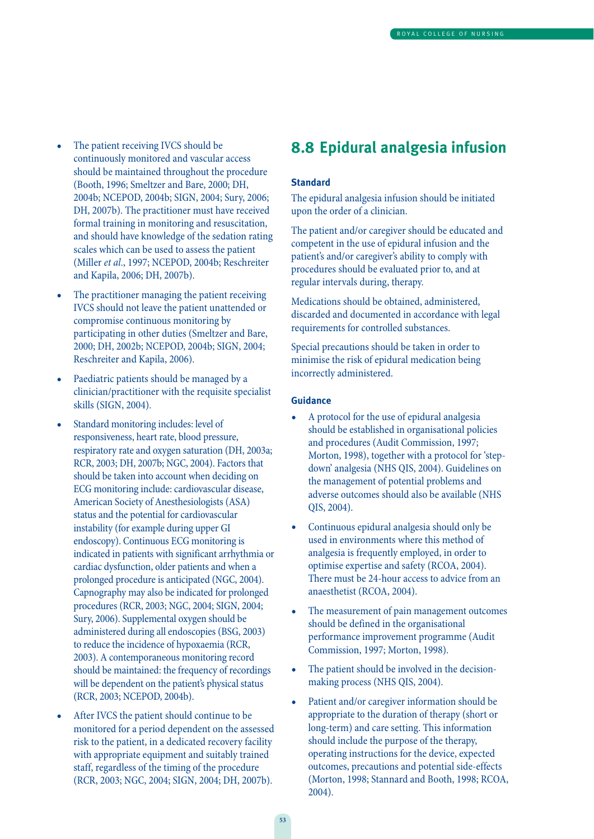- The patient receiving IVCS should be continuously monitored and vascular access should be maintained throughout the procedure (Booth, 1996; Smeltzer and Bare, 2000; DH, 2004b; NCEPOD, 2004b; SIGN, 2004; Sury, 2006; DH, 2007b). The practitioner must have received formal training in monitoring and resuscitation, and should have knowledge of the sedation rating scales which can be used to assess the patient (Miller et al., 1997; NCEPOD, 2004b; Reschreiter and Kapila, 2006; DH, 2007b).
- The practitioner managing the patient receiving IVCS should not leave the patient unattended or compromise continuous monitoring by participating in other duties (Smeltzer and Bare, 2000; DH, 2002b; NCEPOD, 2004b; SIGN, 2004; Reschreiter and Kapila, 2006).
- Paediatric patients should be managed by a clinician/practitioner with the requisite specialist skills (SIGN, 2004).
- Standard monitoring includes: level of responsiveness, heart rate, blood pressure, respiratory rate and oxygen saturation (DH, 2003a; RCR, 2003; DH, 2007b; NGC, 2004). Factors that should be taken into account when deciding on ECG monitoring include: cardiovascular disease, American Society of Anesthesiologists (ASA) status and the potential for cardiovascular instability (for example during upper GI endoscopy). Continuous ECG monitoring is indicated in patients with significant arrhythmia or cardiac dysfunction, older patients and when a prolonged procedure is anticipated (NGC, 2004). Capnography may also be indicated for prolonged procedures (RCR, 2003; NGC, 2004; SIGN, 2004; Sury, 2006). Supplemental oxygen should be administered during all endoscopies (BSG, 2003) to reduce the incidence of hypoxaemia (RCR, 2003). A contemporaneous monitoring record should be maintained: the frequency of recordings will be dependent on the patient's physical status (RCR, 2003; NCEPOD, 2004b).
- After IVCS the patient should continue to be monitored for a period dependent on the assessed risk to the patient, in a dedicated recovery facility with appropriate equipment and suitably trained staff, regardless of the timing of the procedure (RCR, 2003; NGC, 2004; SIGN, 2004; DH, 2007b).

### **8.8 Epidural analgesia infusion**

#### **Standard**

The epidural analgesia infusion should be initiated upon the order of a clinician.

The patient and/or caregiver should be educated and competent in the use of epidural infusion and the patient's and/or caregiver's ability to comply with procedures should be evaluated prior to, and at regular intervals during, therapy.

Medications should be obtained, administered, discarded and documented in accordance with legal requirements for controlled substances.

Special precautions should be taken in order to minimise the risk of epidural medication being incorrectly administered.

- A protocol for the use of epidural analgesia should be established in organisational policies and procedures (Audit Commission, 1997; Morton, 1998), together with a protocol for 'stepdown' analgesia (NHS QIS, 2004). Guidelines on the management of potential problems and adverse outcomes should also be available (NHS QIS, 2004).
- Continuous epidural analgesia should only be used in environments where this method of analgesia is frequently employed, in order to optimise expertise and safety (RCOA, 2004). There must be 24-hour access to advice from an anaesthetist (RCOA, 2004).
- The measurement of pain management outcomes should be defined in the organisational performance improvement programme (Audit Commission, 1997; Morton, 1998).
- The patient should be involved in the decisionmaking process (NHS QIS, 2004).
- Patient and/or caregiver information should be appropriate to the duration of therapy (short or long-term) and care setting. This information should include the purpose of the therapy, operating instructions for the device, expected outcomes, precautions and potential side-effects (Morton, 1998; Stannard and Booth, 1998; RCOA, 2004).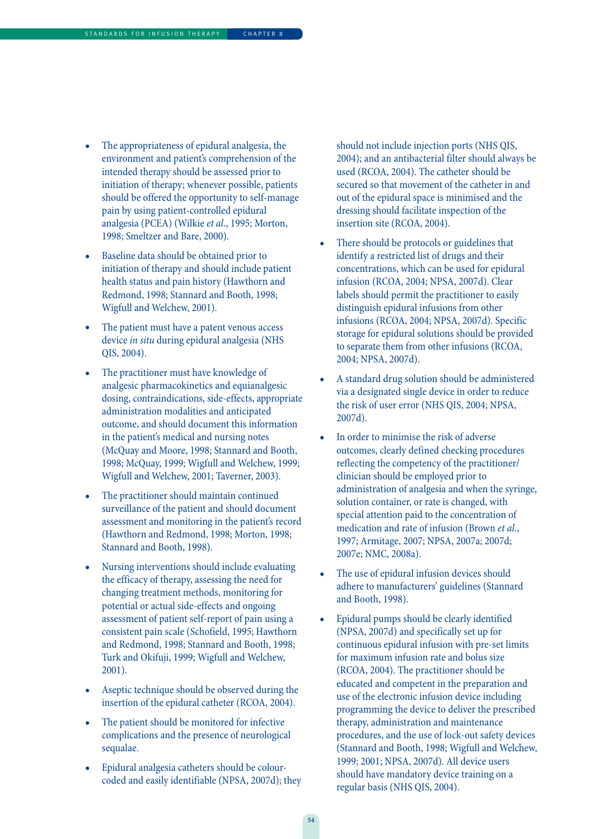- The appropriateness of epidural analgesia, the environment and patient's comprehension of the intended therapy should be assessed prior to initiation of therapy; whenever possible, patients should be offered the opportunity to self-manage pain by using patient-controlled epidural analgesia (PCEA) (Wilkie et al., 1995; Morton, 1998; Smeltzer and Bare, 2000).
- Baseline data should be obtained prior to initiation of therapy and should include patient health status and pain history (Hawthorn and Redmond, 1998; Stannard and Booth, 1998; Wigfull and Welchew, 2001).
- The patient must have a patent venous access device in situ during epidural analgesia (NHS QIS, 2004).
- The practitioner must have knowledge of analgesic pharmacokinetics and equianalgesic dosing, contraindications, side-effects, appropriate administration modalities and anticipated outcome, and should document this information in the patient's medical and nursing notes (McQuay and Moore, 1998; Stannard and Booth, 1998; McQuay, 1999; Wigfull and Welchew, 1999; Wigfull and Welchew, 2001; Taverner, 2003).
- The practitioner should maintain continued surveillance of the patient and should document assessment and monitoring in the patient's record (Hawthorn and Redmond, 1998; Morton, 1998; Stannard and Booth, 1998).
- Nursing interventions should include evaluating the efficacy of therapy, assessing the need for changing treatment methods, monitoring for potential or actual side-effects and ongoing assessment of patient self-report of pain using a consistent pain scale (Schofield, 1995; Hawthorn and Redmond, 1998; Stannard and Booth, 1998; Turk and Okifuji, 1999; Wigfull and Welchew, 2001).
- Aseptic technique should be observed during the insertion of the epidural catheter (RCOA, 2004).
- The patient should be monitored for infective complications and the presence of neurological sequalae.
- Epidural analgesia catheters should be colourcoded and easily identifiable (NPSA, 2007d); they

should not include injection ports (NHS QIS, 2004); and an antibacterial filter should always be used (RCOA, 2004). The catheter should be secured so that movement of the catheter in and out of the epidural space is minimised and the dressing should facilitate inspection of the insertion site (RCOA, 2004).

- There should be protocols or guidelines that identify a restricted list of drugs and their concentrations, which can be used for epidural infusion (RCOA, 2004; NPSA, 2007d). Clear labels should permit the practitioner to easily distinguish epidural infusions from other infusions (RCOA, 2004; NPSA, 2007d). Specific storage for epidural solutions should be provided to separate them from other infusions (RCOA, 2004; NPSA, 2007d).
- A standard drug solution should be administered via a designated single device in order to reduce the risk of user error (NHS QIS, 2004; NPSA, 2007d).
- In order to minimise the risk of adverse outcomes, clearly defined checking procedures reflecting the competency of the practitioner/ clinician should be employed prior to administration of analgesia and when the syringe, solution container, or rate is changed, with special attention paid to the concentration of medication and rate of infusion (Brown et al., 1997; Armitage, 2007; NPSA, 2007a; 2007d; 2007e; NMC, 2008a).
- The use of epidural infusion devices should adhere to manufacturers' guidelines (Stannard and Booth, 1998).
- Epidural pumps should be clearly identified (NPSA, 2007d) and specifically set up for continuous epidural infusion with pre-set limits for maximum infusion rate and bolus size (RCOA, 2004). The practitioner should be educated and competent in the preparation and use of the electronic infusion device including programming the device to deliver the prescribed therapy, administration and maintenance procedures, and the use of lock-out safety devices (Stannard and Booth, 1998; Wigfull and Welchew, 1999; 2001; NPSA, 2007d). All device users should have mandatory device training on a regular basis (NHS QIS, 2004).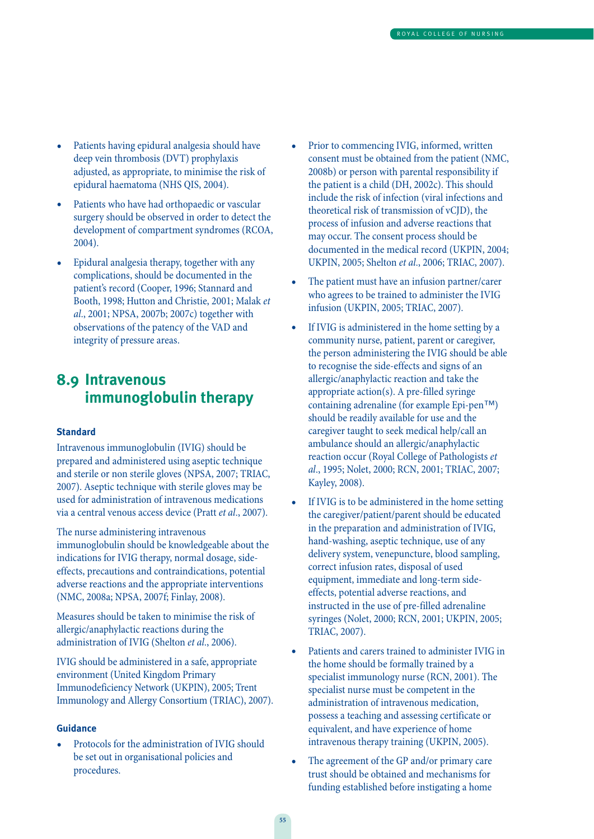- Patients having epidural analgesia should have deep vein thrombosis (DVT) prophylaxis adjusted, as appropriate, to minimise the risk of epidural haematoma (NHS QIS, 2004).
- Patients who have had orthopaedic or vascular surgery should be observed in order to detect the development of compartment syndromes (RCOA, 2004).
- Epidural analgesia therapy, together with any complications, should be documented in the patient's record (Cooper, 1996; Stannard and Booth, 1998; Hutton and Christie, 2001; Malak et al., 2001; NPSA, 2007b; 2007c) together with observations of the patency of the VAD and integrity of pressure areas.

### **8.9 Intravenous immunoglobulin therapy**

#### **Standard**

Intravenous immunoglobulin (IVIG) should be prepared and administered using aseptic technique and sterile or non sterile gloves (NPSA, 2007; TRIAC, 2007). Aseptic technique with sterile gloves may be used for administration of intravenous medications via a central venous access device (Pratt et al., 2007).

The nurse administering intravenous immunoglobulin should be knowledgeable about the indications for IVIG therapy, normal dosage, sideeffects, precautions and contraindications, potential adverse reactions and the appropriate interventions (NMC, 2008a; NPSA, 2007f; Finlay, 2008).

Measures should be taken to minimise the risk of allergic/anaphylactic reactions during the administration of IVIG (Shelton et al., 2006).

IVIG should be administered in a safe, appropriate environment (United Kingdom Primary Immunodeficiency Network (UKPIN), 2005; Trent Immunology and Allergy Consortium (TRIAC), 2007).

#### **Guidance**

• Protocols for the administration of IVIG should be set out in organisational policies and procedures.

- Prior to commencing IVIG, informed, written consent must be obtained from the patient (NMC, 2008b) or person with parental responsibility if the patient is a child (DH, 2002c). This should include the risk of infection (viral infections and theoretical risk of transmission of vCJD), the process of infusion and adverse reactions that may occur. The consent process should be documented in the medical record (UKPIN, 2004; UKPIN, 2005; Shelton et al., 2006; TRIAC, 2007).
- The patient must have an infusion partner/carer who agrees to be trained to administer the IVIG infusion (UKPIN, 2005; TRIAC, 2007).
- If IVIG is administered in the home setting by a community nurse, patient, parent or caregiver, the person administering the IVIG should be able to recognise the side-effects and signs of an allergic/anaphylactic reaction and take the appropriate action(s). A pre-filled syringe containing adrenaline (for example Epi-pen™) should be readily available for use and the caregiver taught to seek medical help/call an ambulance should an allergic/anaphylactic reaction occur (Royal College of Pathologists et al., 1995; Nolet, 2000; RCN, 2001; TRIAC, 2007; Kayley, 2008).
- If IVIG is to be administered in the home setting the caregiver/patient/parent should be educated in the preparation and administration of IVIG, hand-washing, aseptic technique, use of any delivery system, venepuncture, blood sampling, correct infusion rates, disposal of used equipment, immediate and long-term sideeffects, potential adverse reactions, and instructed in the use of pre-filled adrenaline syringes (Nolet, 2000; RCN, 2001; UKPIN, 2005; TRIAC, 2007).
- Patients and carers trained to administer IVIG in the home should be formally trained by a specialist immunology nurse (RCN, 2001). The specialist nurse must be competent in the administration of intravenous medication, possess a teaching and assessing certificate or equivalent, and have experience of home intravenous therapy training (UKPIN, 2005).
- The agreement of the GP and/or primary care trust should be obtained and mechanisms for funding established before instigating a home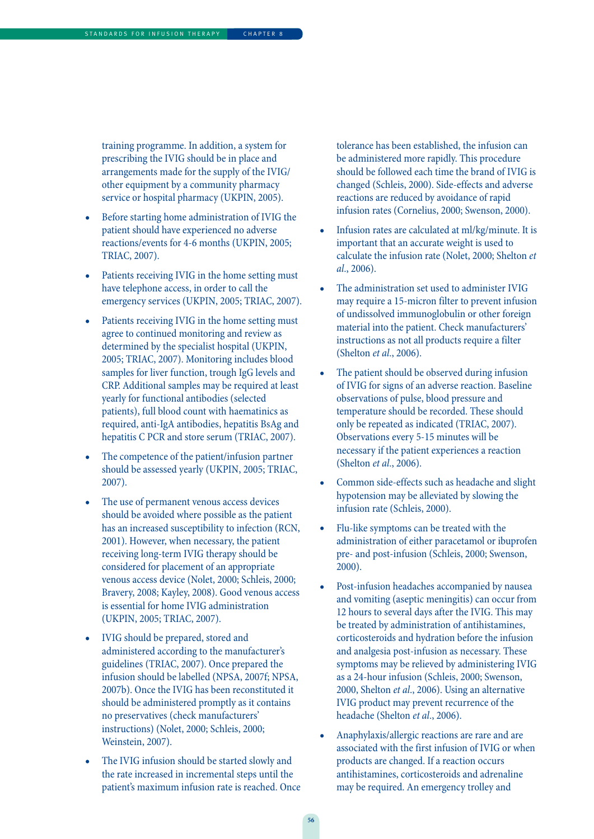training programme. In addition, a system for prescribing the IVIG should be in place and arrangements made for the supply of the IVIG/ other equipment by a community pharmacy service or hospital pharmacy (UKPIN, 2005).

- Before starting home administration of IVIG the patient should have experienced no adverse reactions/events for 4-6 months (UKPIN, 2005; TRIAC, 2007).
- Patients receiving IVIG in the home setting must have telephone access, in order to call the emergency services (UKPIN, 2005; TRIAC, 2007).
- Patients receiving IVIG in the home setting must agree to continued monitoring and review as determined by the specialist hospital (UKPIN, 2005; TRIAC, 2007). Monitoring includes blood samples for liver function, trough IgG levels and CRP. Additional samples may be required at least yearly for functional antibodies (selected patients), full blood count with haematinics as required, anti-IgA antibodies, hepatitis BsAg and hepatitis C PCR and store serum (TRIAC, 2007).
- The competence of the patient/infusion partner should be assessed yearly (UKPIN, 2005; TRIAC, 2007).
- The use of permanent venous access devices should be avoided where possible as the patient has an increased susceptibility to infection (RCN, 2001). However, when necessary, the patient receiving long-term IVIG therapy should be considered for placement of an appropriate venous access device (Nolet, 2000; Schleis, 2000; Bravery, 2008; Kayley, 2008). Good venous access is essential for home IVIG administration (UKPIN, 2005; TRIAC, 2007).
- IVIG should be prepared, stored and administered according to the manufacturer's guidelines (TRIAC, 2007). Once prepared the infusion should be labelled (NPSA, 2007f; NPSA, 2007b). Once the IVIG has been reconstituted it should be administered promptly as it contains no preservatives (check manufacturers' instructions) (Nolet, 2000; Schleis, 2000; Weinstein, 2007).
- The IVIG infusion should be started slowly and the rate increased in incremental steps until the patient's maximum infusion rate is reached. Once

tolerance has been established, the infusion can be administered more rapidly. This procedure should be followed each time the brand of IVIG is changed (Schleis, 2000). Side-effects and adverse reactions are reduced by avoidance of rapid infusion rates (Cornelius, 2000; Swenson, 2000).

- Infusion rates are calculated at ml/kg/minute. It is important that an accurate weight is used to calculate the infusion rate (Nolet, 2000; Shelton et  $al., 2006$ ).
- The administration set used to administer IVIG may require a 15-micron filter to prevent infusion of undissolved immunoglobulin or other foreign material into the patient. Check manufacturers' instructions as not all products require a filter (Shelton et al., 2006).
- The patient should be observed during infusion of IVIG for signs of an adverse reaction. Baseline observations of pulse, blood pressure and temperature should be recorded. These should only be repeated as indicated (TRIAC, 2007). Observations every 5-15 minutes will be necessary if the patient experiences a reaction (Shelton et al., 2006).
- Common side-effects such as headache and slight hypotension may be alleviated by slowing the infusion rate (Schleis, 2000).
- Flu-like symptoms can be treated with the administration of either paracetamol or ibuprofen pre- and post-infusion (Schleis, 2000; Swenson, 2000).
- Post-infusion headaches accompanied by nausea and vomiting (aseptic meningitis) can occur from 12 hours to several days after the IVIG. This may be treated by administration of antihistamines, corticosteroids and hydration before the infusion and analgesia post-infusion as necessary. These symptoms may be relieved by administering IVIG as a 24-hour infusion (Schleis, 2000; Swenson, 2000, Shelton et al., 2006). Using an alternative IVIG product may prevent recurrence of the headache (Shelton et al., 2006).
- Anaphylaxis/allergic reactions are rare and are associated with the first infusion of IVIG or when products are changed. If a reaction occurs antihistamines, corticosteroids and adrenaline may be required. An emergency trolley and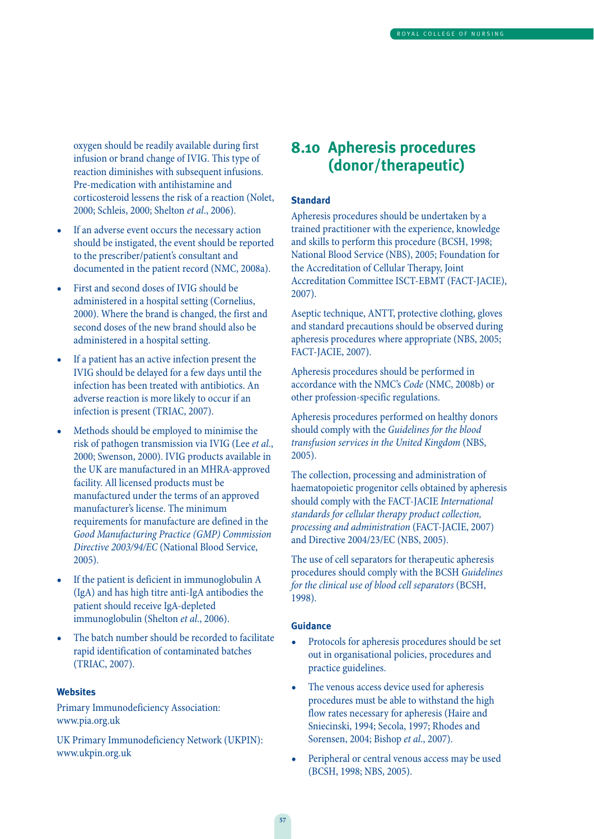oxygen should be readily available during first infusion or brand change of IVIG. This type of reaction diminishes with subsequent infusions. Pre-medication with antihistamine and corticosteroid lessens the risk of a reaction (Nolet, 2000; Schleis, 2000; Shelton et al., 2006).

- If an adverse event occurs the necessary action should be instigated, the event should be reported to the prescriber/patient's consultant and documented in the patient record (NMC, 2008a).
- First and second doses of IVIG should be administered in a hospital setting (Cornelius, 2000). Where the brand is changed, the first and second doses of the new brand should also be administered in a hospital setting.
- If a patient has an active infection present the IVIG should be delayed for a few days until the infection has been treated with antibiotics. An adverse reaction is more likely to occur if an infection is present (TRIAC, 2007).
- Methods should be employed to minimise the risk of pathogen transmission via IVIG (Lee et al., 2000; Swenson, 2000). IVIG products available in the UK are manufactured in an MHRA-approved facility. All licensed products must be manufactured under the terms of an approved manufacturer's license. The minimum requirements for manufacture are defined in the Good Manufacturing Practice (GMP) Commission Directive 2003/94/EC (National Blood Service, 2005).
- If the patient is deficient in immunoglobulin A (IgA) and has high titre anti-IgA antibodies the patient should receive IgA-depleted immunoglobulin (Shelton et al., 2006).
- The batch number should be recorded to facilitate rapid identification of contaminated batches (TRIAC, 2007).

#### **Websites**

Primary Immunodeficiency Association: www.pia.org.uk

UK Primary Immunodeficiency Network (UKPIN): www.ukpin.org.uk

### **8.10 Apheresis procedures (donor/therapeutic)**

#### **Standard**

Apheresis procedures should be undertaken by a trained practitioner with the experience, knowledge and skills to perform this procedure (BCSH, 1998; National Blood Service (NBS), 2005; Foundation for the Accreditation of Cellular Therapy, Joint Accreditation Committee ISCT-EBMT (FACT-JACIE), 2007).

Aseptic technique, ANTT, protective clothing, gloves and standard precautions should be observed during apheresis procedures where appropriate (NBS, 2005; FACT-JACIE, 2007).

Apheresis procedures should be performed in accordance with the NMC's Code (NMC, 2008b) or other profession-specific regulations.

Apheresis procedures performed on healthy donors should comply with the Guidelines for the blood transfusion services in the United Kingdom (NBS, 2005).

The collection, processing and administration of haematopoietic progenitor cells obtained by apheresis should comply with the FACT-JACIE International standards for cellular therapy product collection, processing and administration (FACT-JACIE, 2007) and Directive 2004/23/EC (NBS, 2005).

The use of cell separators for therapeutic apheresis procedures should comply with the BCSH Guidelines for the clinical use of blood cell separators (BCSH, 1998).

- Protocols for apheresis procedures should be set out in organisational policies, procedures and practice guidelines.
- The venous access device used for apheresis procedures must be able to withstand the high flow rates necessary for apheresis (Haire and Sniecinski, 1994; Secola, 1997; Rhodes and Sorensen, 2004; Bishop et al., 2007).
- Peripheral or central venous access may be used (BCSH, 1998; NBS, 2005).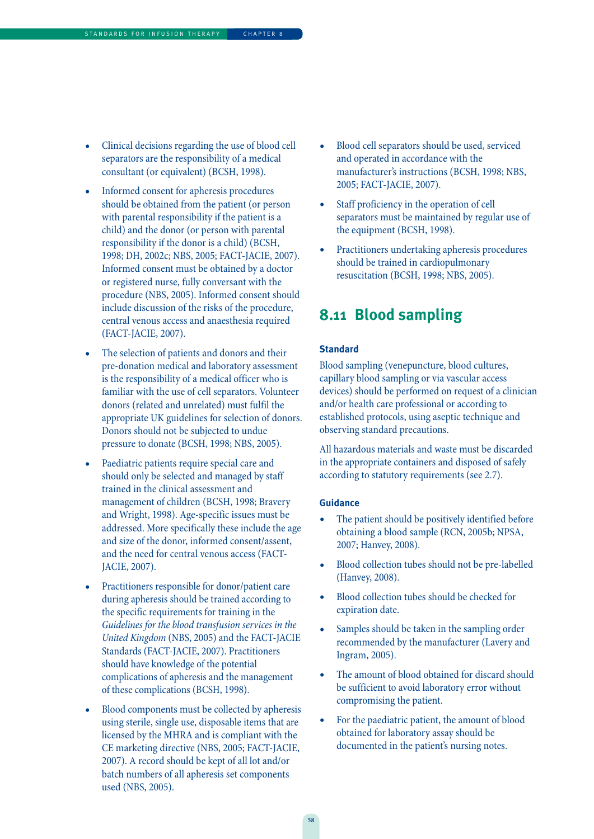- Clinical decisions regarding the use of blood cell separators are the responsibility of a medical consultant (or equivalent) (BCSH, 1998).
- Informed consent for apheresis procedures should be obtained from the patient (or person with parental responsibility if the patient is a child) and the donor (or person with parental responsibility if the donor is a child) (BCSH, 1998; DH, 2002c; NBS, 2005; FACT-JACIE, 2007). Informed consent must be obtained by a doctor or registered nurse, fully conversant with the procedure (NBS, 2005). Informed consent should include discussion of the risks of the procedure, central venous access and anaesthesia required (FACT-JACIE, 2007).
- The selection of patients and donors and their pre-donation medical and laboratory assessment is the responsibility of a medical officer who is familiar with the use of cell separators. Volunteer donors (related and unrelated) must fulfil the appropriate UK guidelines for selection of donors. Donors should not be subjected to undue pressure to donate (BCSH, 1998; NBS, 2005).
- Paediatric patients require special care and should only be selected and managed by staff trained in the clinical assessment and management of children (BCSH, 1998; Bravery and Wright, 1998). Age-specific issues must be addressed. More specifically these include the age and size of the donor, informed consent/assent, and the need for central venous access (FACT-JACIE, 2007).
- Practitioners responsible for donor/patient care during apheresis should be trained according to the specific requirements for training in the Guidelines for the blood transfusion services in the United Kingdom (NBS, 2005) and the FACT-JACIE Standards (FACT-JACIE, 2007). Practitioners should have knowledge of the potential complications of apheresis and the management of these complications (BCSH, 1998).
- Blood components must be collected by apheresis using sterile, single use, disposable items that are licensed by the MHRA and is compliant with the CE marketing directive (NBS, 2005; FACT-JACIE, 2007). A record should be kept of all lot and/or batch numbers of all apheresis set components used (NBS, 2005).
- Blood cell separators should be used, serviced and operated in accordance with the manufacturer's instructions (BCSH, 1998; NBS, 2005; FACT-JACIE, 2007).
- Staff proficiency in the operation of cell separators must be maintained by regular use of the equipment (BCSH, 1998).
- Practitioners undertaking apheresis procedures should be trained in cardiopulmonary resuscitation (BCSH, 1998; NBS, 2005).

### **8.11 Blood sampling**

#### **Standard**

Blood sampling (venepuncture, blood cultures, capillary blood sampling or via vascular access devices) should be performed on request of a clinician and/or health care professional or according to established protocols, using aseptic technique and observing standard precautions.

All hazardous materials and waste must be discarded in the appropriate containers and disposed of safely according to statutory requirements (see 2.7).

- The patient should be positively identified before obtaining a blood sample (RCN, 2005b; NPSA, 2007; Hanvey, 2008).
- Blood collection tubes should not be pre-labelled (Hanvey, 2008).
- Blood collection tubes should be checked for expiration date.
- Samples should be taken in the sampling order recommended by the manufacturer (Lavery and Ingram, 2005).
- The amount of blood obtained for discard should be sufficient to avoid laboratory error without compromising the patient.
- For the paediatric patient, the amount of blood obtained for laboratory assay should be documented in the patient's nursing notes.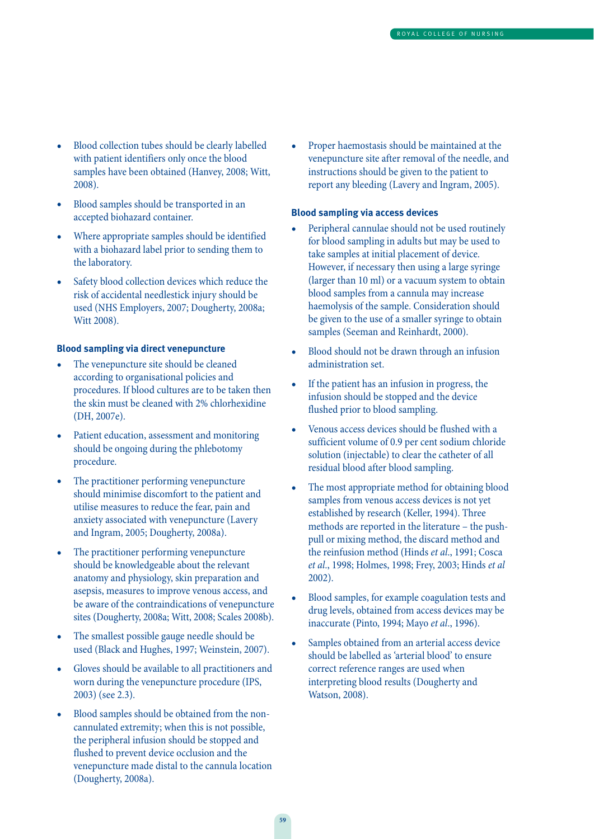- Blood collection tubes should be clearly labelled with patient identifiers only once the blood samples have been obtained (Hanvey, 2008; Witt, 2008).
- Blood samples should be transported in an accepted biohazard container.
- Where appropriate samples should be identified with a biohazard label prior to sending them to the laboratory.
- Safety blood collection devices which reduce the risk of accidental needlestick injury should be used (NHS Employers, 2007; Dougherty, 2008a; Witt 2008).

#### **Blood sampling via direct venepuncture**

- The venepuncture site should be cleaned according to organisational policies and procedures. If blood cultures are to be taken then the skin must be cleaned with 2% chlorhexidine (DH, 2007e).
- Patient education, assessment and monitoring should be ongoing during the phlebotomy procedure.
- The practitioner performing venepuncture should minimise discomfort to the patient and utilise measures to reduce the fear, pain and anxiety associated with venepuncture (Lavery and Ingram, 2005; Dougherty, 2008a).
- The practitioner performing venepuncture should be knowledgeable about the relevant anatomy and physiology, skin preparation and asepsis, measures to improve venous access, and be aware of the contraindications of venepuncture sites (Dougherty, 2008a; Witt, 2008; Scales 2008b).
- The smallest possible gauge needle should be used (Black and Hughes, 1997; Weinstein, 2007).
- Gloves should be available to all practitioners and worn during the venepuncture procedure (IPS, 2003) (see 2.3).
- Blood samples should be obtained from the noncannulated extremity; when this is not possible, the peripheral infusion should be stopped and flushed to prevent device occlusion and the venepuncture made distal to the cannula location (Dougherty, 2008a).

• Proper haemostasis should be maintained at the venepuncture site after removal of the needle, and instructions should be given to the patient to report any bleeding (Lavery and Ingram, 2005).

#### **Blood sampling via access devices**

- Peripheral cannulae should not be used routinely for blood sampling in adults but may be used to take samples at initial placement of device. However, if necessary then using a large syringe (larger than 10 ml) or a vacuum system to obtain blood samples from a cannula may increase haemolysis of the sample. Consideration should be given to the use of a smaller syringe to obtain samples (Seeman and Reinhardt, 2000).
- Blood should not be drawn through an infusion administration set.
- If the patient has an infusion in progress, the infusion should be stopped and the device flushed prior to blood sampling.
- Venous access devices should be flushed with a sufficient volume of 0.9 per cent sodium chloride solution (injectable) to clear the catheter of all residual blood after blood sampling.
- The most appropriate method for obtaining blood samples from venous access devices is not yet established by research (Keller, 1994). Three methods are reported in the literature – the pushpull or mixing method, the discard method and the reinfusion method (Hinds et al., 1991; Cosca et al., 1998; Holmes, 1998; Frey, 2003; Hinds et al 2002).
- Blood samples, for example coagulation tests and drug levels, obtained from access devices may be inaccurate (Pinto, 1994; Mayo et al., 1996).
- Samples obtained from an arterial access device should be labelled as 'arterial blood' to ensure correct reference ranges are used when interpreting blood results (Dougherty and Watson, 2008).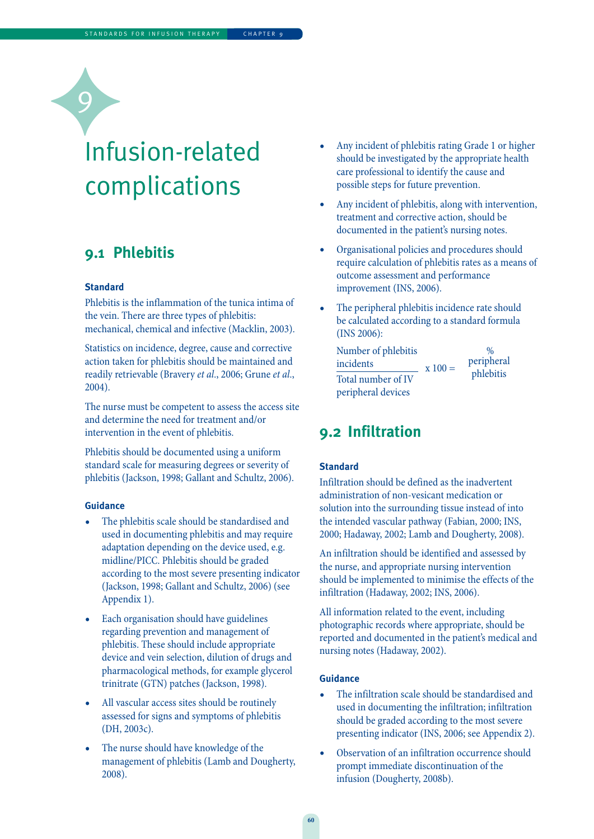# Infusion-related complications

### **9.1 Phlebitis**

#### **Standard**

C

Phlebitis is the inflammation of the tunica intima of the vein. There are three types of phlebitis: mechanical, chemical and infective (Macklin, 2003).

Statistics on incidence, degree, cause and corrective action taken for phlebitis should be maintained and readily retrievable (Bravery et al., 2006; Grune et al., 2004).

The nurse must be competent to assess the access site and determine the need for treatment and/or intervention in the event of phlebitis.

Phlebitis should be documented using a uniform standard scale for measuring degrees or severity of phlebitis (Jackson, 1998; Gallant and Schultz, 2006).

#### **Guidance**

- The phlebitis scale should be standardised and used in documenting phlebitis and may require adaptation depending on the device used, e.g. midline/PICC. Phlebitis should be graded according to the most severe presenting indicator (Jackson, 1998; Gallant and Schultz, 2006) (see Appendix 1).
- Each organisation should have guidelines regarding prevention and management of phlebitis. These should include appropriate device and vein selection, dilution of drugs and pharmacological methods, for example glycerol trinitrate (GTN) patches (Jackson, 1998).
- All vascular access sites should be routinely assessed for signs and symptoms of phlebitis (DH, 2003c).
- The nurse should have knowledge of the management of phlebitis (Lamb and Dougherty, 2008).
- Any incident of phlebitis rating Grade 1 or higher should be investigated by the appropriate health care professional to identify the cause and possible steps for future prevention.
- Any incident of phlebitis, along with intervention, treatment and corrective action, should be documented in the patient's nursing notes.
- Organisational policies and procedures should require calculation of phlebitis rates as a means of outcome assessment and performance improvement (INS, 2006).
- The peripheral phlebitis incidence rate should be calculated according to a standard formula (INS 2006):

```
Number of phlebitis %
\frac{\text{incidents}}{\text{Total number of IV}} x 100 = peripheral
Total number of IV
peripheral devices
```
### **9.2 Infiltration**

#### **Standard**

Infiltration should be defined as the inadvertent administration of non-vesicant medication or solution into the surrounding tissue instead of into the intended vascular pathway (Fabian, 2000; INS, 2000; Hadaway, 2002; Lamb and Dougherty, 2008).

An infiltration should be identified and assessed by the nurse, and appropriate nursing intervention should be implemented to minimise the effects of the infiltration (Hadaway, 2002; INS, 2006).

All information related to the event, including photographic records where appropriate, should be reported and documented in the patient's medical and nursing notes (Hadaway, 2002).

- The infiltration scale should be standardised and used in documenting the infiltration; infiltration should be graded according to the most severe presenting indicator (INS, 2006; see Appendix 2).
- Observation of an infiltration occurrence should prompt immediate discontinuation of the infusion (Dougherty, 2008b).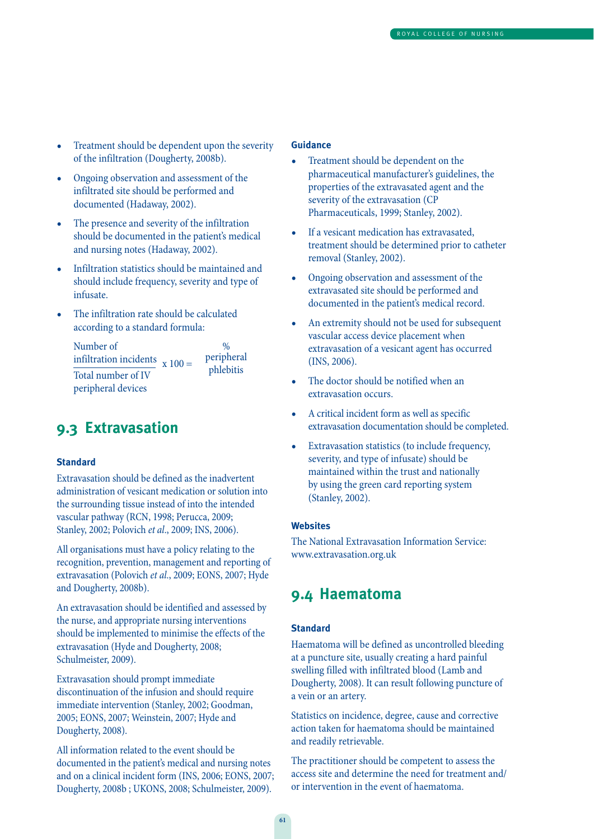- Treatment should be dependent upon the severity of the infiltration (Dougherty, 2008b).
- Ongoing observation and assessment of the infiltrated site should be performed and documented (Hadaway, 2002).
- The presence and severity of the infiltration should be documented in the patient's medical and nursing notes (Hadaway, 2002).
- Infiltration statistics should be maintained and should include frequency, severity and type of infusate.
- The infiltration rate should be calculated according to a standard formula:

Number of  $\frac{\%}{\%}$  infiltration incidents are peripheral infiltration incidents  $x 100 =$  peripheral<br>Theorem control phlebitis Total number of IV peripheral devices

### **9.3 Extravasation**

#### **Standard**

Extravasation should be defined as the inadvertent administration of vesicant medication or solution into the surrounding tissue instead of into the intended vascular pathway (RCN, 1998; Perucca, 2009; Stanley, 2002; Polovich et al., 2009; INS, 2006).

All organisations must have a policy relating to the recognition, prevention, management and reporting of extravasation (Polovich et al., 2009; EONS, 2007; Hyde and Dougherty, 2008b).

An extravasation should be identified and assessed by the nurse, and appropriate nursing interventions should be implemented to minimise the effects of the extravasation (Hyde and Dougherty, 2008; Schulmeister, 2009).

Extravasation should prompt immediate discontinuation of the infusion and should require immediate intervention (Stanley, 2002; Goodman, 2005; EONS, 2007; Weinstein, 2007; Hyde and Dougherty, 2008).

All information related to the event should be documented in the patient's medical and nursing notes and on a clinical incident form (INS, 2006; EONS, 2007; Dougherty, 2008b ; UKONS, 2008; Schulmeister, 2009).

#### **Guidance**

- Treatment should be dependent on the pharmaceutical manufacturer's guidelines, the properties of the extravasated agent and the severity of the extravasation (CP Pharmaceuticals, 1999; Stanley, 2002).
- If a vesicant medication has extravasated, treatment should be determined prior to catheter removal (Stanley, 2002).
- Ongoing observation and assessment of the extravasated site should be performed and documented in the patient's medical record.
- An extremity should not be used for subsequent vascular access device placement when extravasation of a vesicant agent has occurred (INS, 2006).
- The doctor should be notified when an extravasation occurs.
- A critical incident form as well as specific extravasation documentation should be completed.
- Extravasation statistics (to include frequency, severity, and type of infusate) should be maintained within the trust and nationally by using the green card reporting system (Stanley, 2002).

#### **Websites**

The National Extravasation Information Service: www.extravasation.org.uk

### **9.4 Haematoma**

#### **Standard**

Haematoma will be defined as uncontrolled bleeding at a puncture site, usually creating a hard painful swelling filled with infiltrated blood (Lamb and Dougherty, 2008). It can result following puncture of a vein or an artery.

Statistics on incidence, degree, cause and corrective action taken for haematoma should be maintained and readily retrievable.

The practitioner should be competent to assess the access site and determine the need for treatment and/ or intervention in the event of haematoma.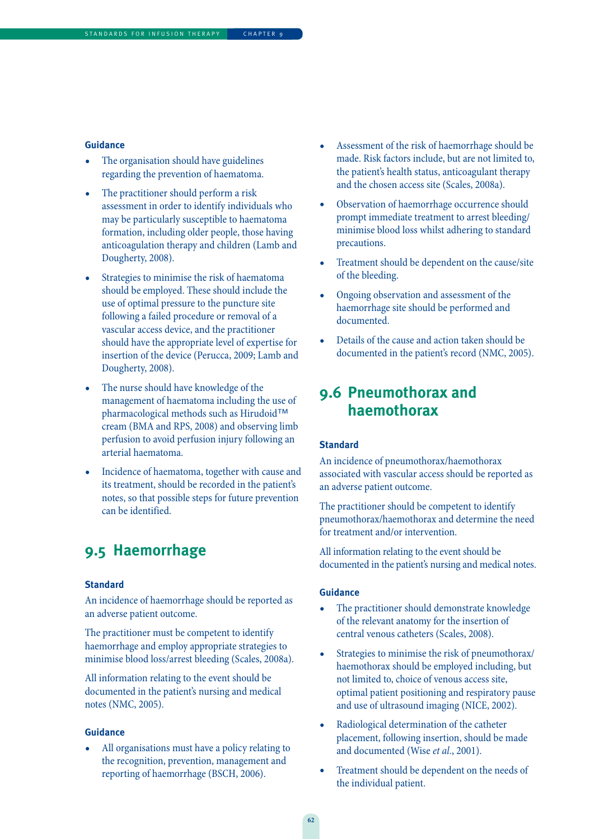#### **Guidance**

- The organisation should have guidelines regarding the prevention of haematoma.
- The practitioner should perform a risk assessment in order to identify individuals who may be particularly susceptible to haematoma formation, including older people, those having anticoagulation therapy and children (Lamb and Dougherty, 2008).
- Strategies to minimise the risk of haematoma should be employed. These should include the use of optimal pressure to the puncture site following a failed procedure or removal of a vascular access device, and the practitioner should have the appropriate level of expertise for insertion of the device (Perucca, 2009; Lamb and Dougherty, 2008).
- The nurse should have knowledge of the management of haematoma including the use of pharmacological methods such as Hirudoid™ cream (BMA and RPS, 2008) and observing limb perfusion to avoid perfusion injury following an arterial haematoma.
- Incidence of haematoma, together with cause and its treatment, should be recorded in the patient's notes, so that possible steps for future prevention can be identified.

### **9.5 Haemorrhage**

#### **Standard**

An incidence of haemorrhage should be reported as an adverse patient outcome.

The practitioner must be competent to identify haemorrhage and employ appropriate strategies to minimise blood loss/arrest bleeding (Scales, 2008a).

All information relating to the event should be documented in the patient's nursing and medical notes (NMC, 2005).

#### **Guidance**

• All organisations must have a policy relating to the recognition, prevention, management and reporting of haemorrhage (BSCH, 2006).

- Assessment of the risk of haemorrhage should be made. Risk factors include, but are not limited to, the patient's health status, anticoagulant therapy and the chosen access site (Scales, 2008a).
- Observation of haemorrhage occurrence should prompt immediate treatment to arrest bleeding/ minimise blood loss whilst adhering to standard precautions.
- Treatment should be dependent on the cause/site of the bleeding.
- Ongoing observation and assessment of the haemorrhage site should be performed and documented.
- Details of the cause and action taken should be documented in the patient's record (NMC, 2005).

### **9.6 Pneumothorax and haemothorax**

#### **Standard**

An incidence of pneumothorax/haemothorax associated with vascular access should be reported as an adverse patient outcome.

The practitioner should be competent to identify pneumothorax/haemothorax and determine the need for treatment and/or intervention.

All information relating to the event should be documented in the patient's nursing and medical notes.

- The practitioner should demonstrate knowledge of the relevant anatomy for the insertion of central venous catheters (Scales, 2008).
- Strategies to minimise the risk of pneumothorax/ haemothorax should be employed including, but not limited to, choice of venous access site, optimal patient positioning and respiratory pause and use of ultrasound imaging (NICE, 2002).
- Radiological determination of the catheter placement, following insertion, should be made and documented (Wise et al., 2001).
- Treatment should be dependent on the needs of the individual patient.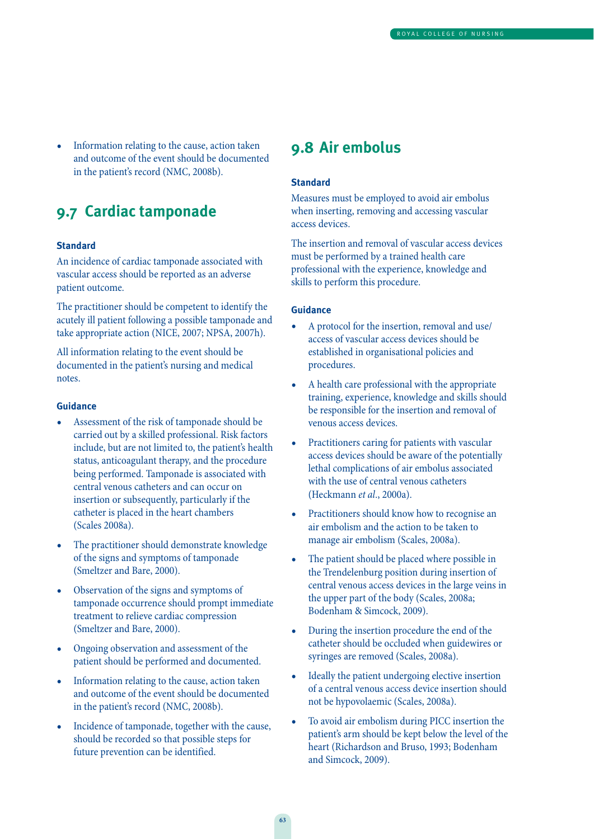• Information relating to the cause, action taken and outcome of the event should be documented in the patient's record (NMC, 2008b).

### **9.7 Cardiac tamponade**

#### **Standard**

An incidence of cardiac tamponade associated with vascular access should be reported as an adverse patient outcome.

The practitioner should be competent to identify the acutely ill patient following a possible tamponade and take appropriate action (NICE, 2007; NPSA, 2007h).

All information relating to the event should be documented in the patient's nursing and medical notes.

#### **Guidance**

- Assessment of the risk of tamponade should be carried out by a skilled professional. Risk factors include, but are not limited to, the patient's health status, anticoagulant therapy, and the procedure being performed. Tamponade is associated with central venous catheters and can occur on insertion or subsequently, particularly if the catheter is placed in the heart chambers (Scales 2008a).
- The practitioner should demonstrate knowledge of the signs and symptoms of tamponade (Smeltzer and Bare, 2000).
- Observation of the signs and symptoms of tamponade occurrence should prompt immediate treatment to relieve cardiac compression (Smeltzer and Bare, 2000).
- Ongoing observation and assessment of the patient should be performed and documented.
- Information relating to the cause, action taken and outcome of the event should be documented in the patient's record (NMC, 2008b).
- Incidence of tamponade, together with the cause, should be recorded so that possible steps for future prevention can be identified.

### **9.8 Air embolus**

#### **Standard**

Measures must be employed to avoid air embolus when inserting, removing and accessing vascular access devices.

The insertion and removal of vascular access devices must be performed by a trained health care professional with the experience, knowledge and skills to perform this procedure.

- A protocol for the insertion, removal and use/ access of vascular access devices should be established in organisational policies and procedures.
- A health care professional with the appropriate training, experience, knowledge and skills should be responsible for the insertion and removal of venous access devices.
- Practitioners caring for patients with vascular access devices should be aware of the potentially lethal complications of air embolus associated with the use of central venous catheters (Heckmann et al., 2000a).
- Practitioners should know how to recognise an air embolism and the action to be taken to manage air embolism (Scales, 2008a).
- The patient should be placed where possible in the Trendelenburg position during insertion of central venous access devices in the large veins in the upper part of the body (Scales, 2008a; Bodenham & Simcock, 2009).
- During the insertion procedure the end of the catheter should be occluded when guidewires or syringes are removed (Scales, 2008a).
- Ideally the patient undergoing elective insertion of a central venous access device insertion should not be hypovolaemic (Scales, 2008a).
- To avoid air embolism during PICC insertion the patient's arm should be kept below the level of the heart (Richardson and Bruso, 1993; Bodenham and Simcock, 2009).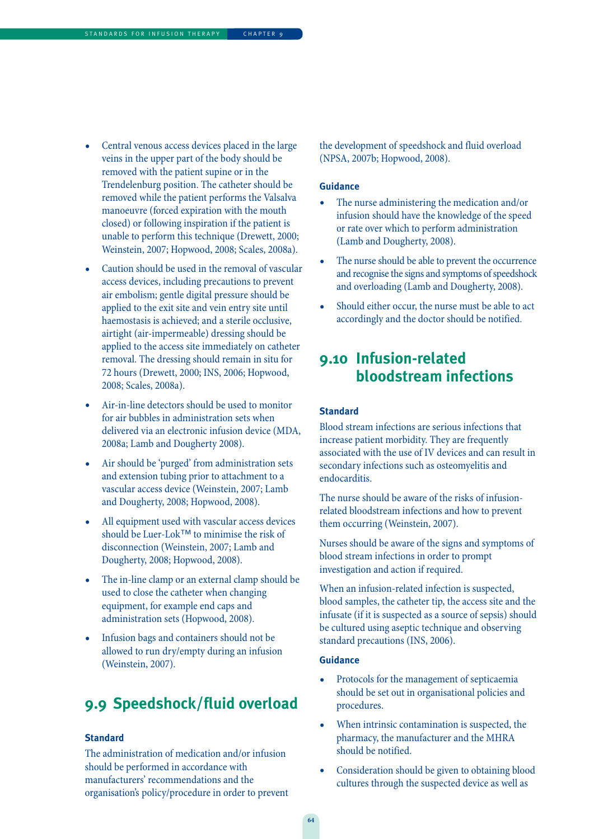- Central venous access devices placed in the large veins in the upper part of the body should be removed with the patient supine or in the Trendelenburg position. The catheter should be removed while the patient performs the Valsalva manoeuvre (forced expiration with the mouth closed) or following inspiration if the patient is unable to perform this technique (Drewett, 2000; Weinstein, 2007; Hopwood, 2008; Scales, 2008a).
- Caution should be used in the removal of vascular access devices, including precautions to prevent air embolism; gentle digital pressure should be applied to the exit site and vein entry site until haemostasis is achieved; and a sterile occlusive, airtight (air-impermeable) dressing should be applied to the access site immediately on catheter removal. The dressing should remain in situ for 72 hours (Drewett, 2000; INS, 2006; Hopwood, 2008; Scales, 2008a).
- Air-in-line detectors should be used to monitor for air bubbles in administration sets when delivered via an electronic infusion device (MDA, 2008a; Lamb and Dougherty 2008).
- Air should be 'purged' from administration sets and extension tubing prior to attachment to a vascular access device (Weinstein, 2007; Lamb and Dougherty, 2008; Hopwood, 2008).
- All equipment used with vascular access devices should be Luer-Lok™ to minimise the risk of disconnection (Weinstein, 2007; Lamb and Dougherty, 2008; Hopwood, 2008).
- The in-line clamp or an external clamp should be used to close the catheter when changing equipment, for example end caps and administration sets (Hopwood, 2008).
- Infusion bags and containers should not be allowed to run dry/empty during an infusion (Weinstein, 2007).

### **9.9 Speedshock/fluid overload**

#### **Standard**

The administration of medication and/or infusion should be performed in accordance with manufacturers' recommendations and the organisation's policy/procedure in order to prevent the development of speedshock and fluid overload (NPSA, 2007b; Hopwood, 2008).

#### **Guidance**

- The nurse administering the medication and/or infusion should have the knowledge of the speed or rate over which to perform administration (Lamb and Dougherty, 2008).
- The nurse should be able to prevent the occurrence and recognise the signs and symptoms of speedshock and overloading (Lamb and Dougherty, 2008).
- Should either occur, the nurse must be able to act accordingly and the doctor should be notified.

### **9.10 Infusion-related bloodstream infections**

#### **Standard**

Blood stream infections are serious infections that increase patient morbidity. They are frequently associated with the use of IV devices and can result in secondary infections such as osteomyelitis and endocarditis.

The nurse should be aware of the risks of infusionrelated bloodstream infections and how to prevent them occurring (Weinstein, 2007).

Nurses should be aware of the signs and symptoms of blood stream infections in order to prompt investigation and action if required.

When an infusion-related infection is suspected, blood samples, the catheter tip, the access site and the infusate (if it is suspected as a source of sepsis) should be cultured using aseptic technique and observing standard precautions (INS, 2006).

- Protocols for the management of septicaemia should be set out in organisational policies and procedures.
- When intrinsic contamination is suspected, the pharmacy, the manufacturer and the MHRA should be notified.
- Consideration should be given to obtaining blood cultures through the suspected device as well as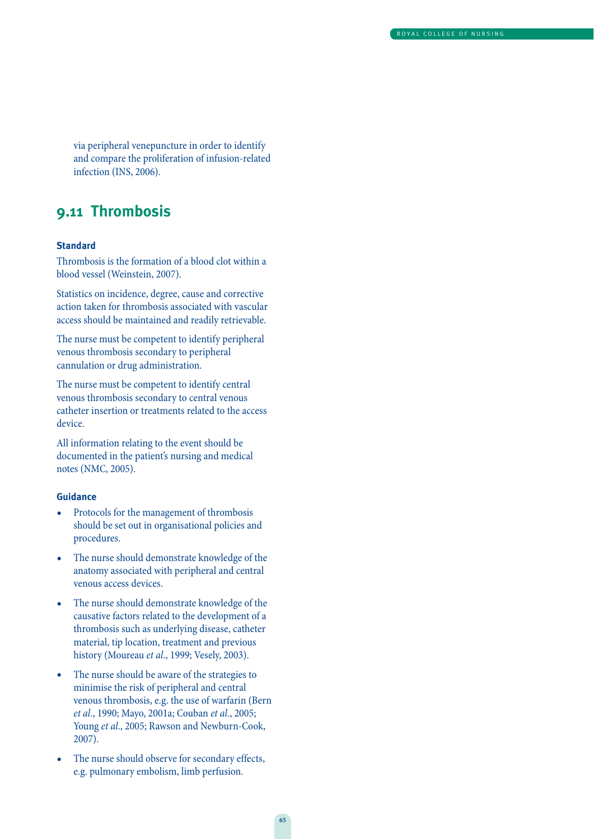via peripheral venepuncture in order to identify and compare the proliferation of infusion-related infection (INS, 2006).

### **9.11 Thrombosis**

#### **Standard**

Thrombosis is the formation of a blood clot within a blood vessel (Weinstein, 2007).

Statistics on incidence, degree, cause and corrective action taken for thrombosis associated with vascular access should be maintained and readily retrievable.

The nurse must be competent to identify peripheral venous thrombosis secondary to peripheral cannulation or drug administration.

The nurse must be competent to identify central venous thrombosis secondary to central venous catheter insertion or treatments related to the access device.

All information relating to the event should be documented in the patient's nursing and medical notes (NMC, 2005).

- Protocols for the management of thrombosis should be set out in organisational policies and procedures.
- The nurse should demonstrate knowledge of the anatomy associated with peripheral and central venous access devices.
- The nurse should demonstrate knowledge of the causative factors related to the development of a thrombosis such as underlying disease, catheter material, tip location, treatment and previous history (Moureau et al., 1999; Vesely, 2003).
- The nurse should be aware of the strategies to minimise the risk of peripheral and central venous thrombosis, e.g. the use of warfarin (Bern et al., 1990; Mayo, 2001a; Couban et al., 2005; Young et al., 2005; Rawson and Newburn-Cook, 2007).
- The nurse should observe for secondary effects, e.g. pulmonary embolism, limb perfusion.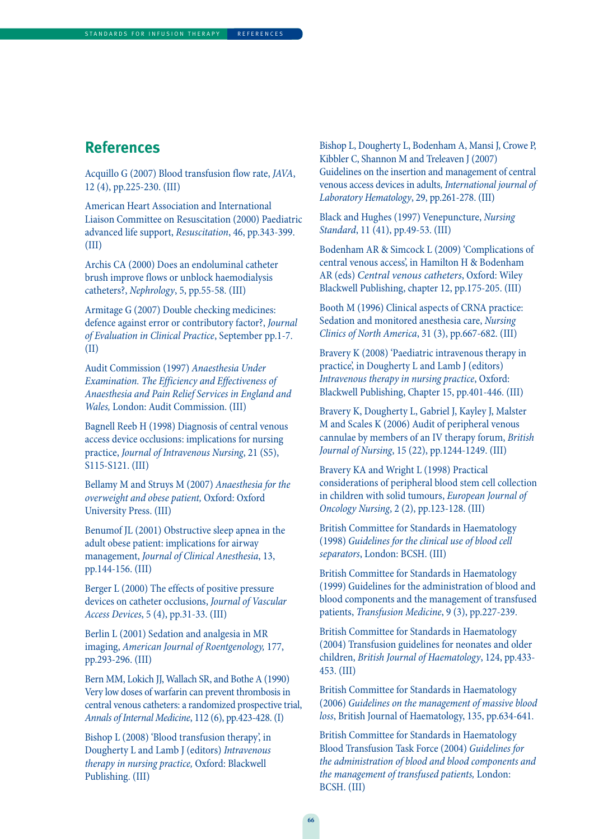### **References**

Acquillo G (2007) Blood transfusion flow rate, JAVA, 12 (4), pp.225-230. (III)

American Heart Association and International Liaison Committee on Resuscitation (2000) Paediatric advanced life support, Resuscitation, 46, pp.343-399. (III)

Archis CA (2000) Does an endoluminal catheter brush improve flows or unblock haemodialysis catheters?, Nephrology, 5, pp.55-58. (III)

Armitage G (2007) Double checking medicines: defence against error or contributory factor?, Journal of Evaluation in Clinical Practice, September pp.1-7. (II)

Audit Commission (1997) Anaesthesia Under Examination. The Efficiency and Effectiveness of Anaesthesia and Pain Relief Services in England and Wales, London: Audit Commission. (III)

Bagnell Reeb H (1998) Diagnosis of central venous access device occlusions: implications for nursing practice, Journal of Intravenous Nursing, 21 (S5), S115-S121. (III)

Bellamy M and Struys M (2007) Anaesthesia for the overweight and obese patient, Oxford: Oxford University Press. (III)

Benumof JL (2001) Obstructive sleep apnea in the adult obese patient: implications for airway management, Journal of Clinical Anesthesia, 13, pp.144-156. (III)

Berger L (2000) The effects of positive pressure devices on catheter occlusions, Journal of Vascular Access Devices, 5 (4), pp.31-33. (III)

Berlin L (2001) Sedation and analgesia in MR imaging, American Journal of Roentgenology, 177, pp.293-296. (III)

Bern MM, Lokich JJ, Wallach SR, and Bothe A (1990) Very low doses of warfarin can prevent thrombosis in central venous catheters: a randomized prospective trial, Annals of Internal Medicine, 112 (6), pp.423-428. (I)

Bishop L (2008) 'Blood transfusion therapy', in Dougherty L and Lamb J (editors) Intravenous therapy in nursing practice, Oxford: Blackwell Publishing. (III)

Bishop L, Dougherty L, Bodenham A, Mansi J, Crowe P, Kibbler C, Shannon M and Treleaven J (2007) Guidelines on the insertion and management of central venous access devices in adults, International journal of Laboratory Hematology, 29, pp.261-278. (III)

Black and Hughes (1997) Venepuncture, Nursing Standard, 11 (41), pp.49-53. (III)

Bodenham AR & Simcock L (2009) 'Complications of central venous access', in Hamilton H & Bodenham AR (eds) Central venous catheters, Oxford: Wiley Blackwell Publishing, chapter 12, pp.175-205. (III)

Booth M (1996) Clinical aspects of CRNA practice: Sedation and monitored anesthesia care, Nursing Clinics of North America, 31 (3), pp.667-682. (III)

Bravery K (2008) 'Paediatric intravenous therapy in practice', in Dougherty L and Lamb J (editors) Intravenous therapy in nursing practice, Oxford: Blackwell Publishing, Chapter 15, pp.401-446. (III)

Bravery K, Dougherty L, Gabriel J, Kayley J, Malster M and Scales K (2006) Audit of peripheral venous cannulae by members of an IV therapy forum, British Journal of Nursing, 15 (22), pp.1244-1249. (III)

Bravery KA and Wright L (1998) Practical considerations of peripheral blood stem cell collection in children with solid tumours, European Journal of Oncology Nursing, 2 (2), pp.123-128. (III)

British Committee for Standards in Haematology (1998) Guidelines for the clinical use of blood cell separators, London: BCSH. (III)

British Committee for Standards in Haematology (1999) Guidelines for the administration of blood and blood components and the management of transfused patients, Transfusion Medicine, 9 (3), pp.227-239.

British Committee for Standards in Haematology (2004) Transfusion guidelines for neonates and older children, British Journal of Haematology, 124, pp.433- 453. (III)

British Committee for Standards in Haematology (2006) Guidelines on the management of massive blood loss, British Journal of Haematology, 135, pp.634-641.

British Committee for Standards in Haematology Blood Transfusion Task Force (2004) Guidelines for the administration of blood and blood components and the management of transfused patients, London: BCSH. (III)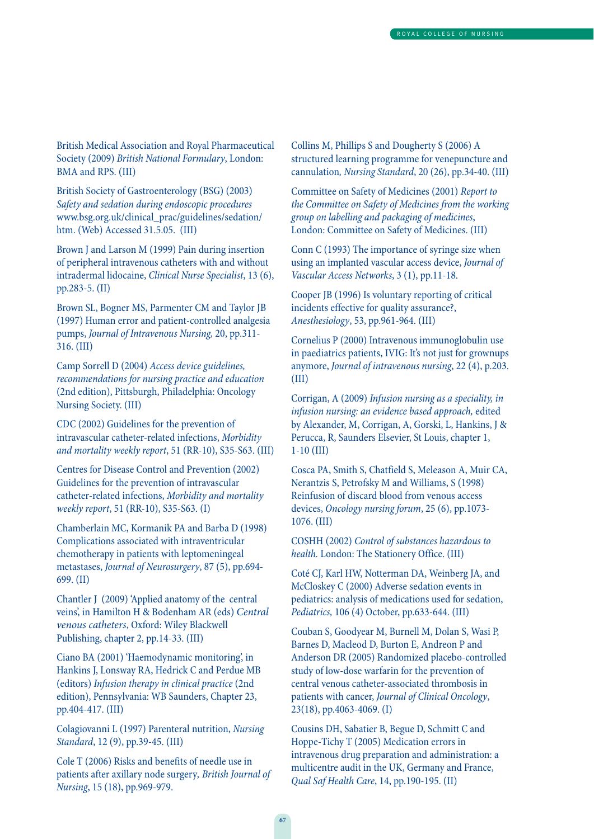British Medical Association and Royal Pharmaceutical Society (2009) British National Formulary, London: BMA and RPS. (III)

British Society of Gastroenterology (BSG) (2003) Safety and sedation during endoscopic procedures www.bsg.org.uk/clinical\_prac/guidelines/sedation/ htm. (Web) Accessed 31.5.05. (III)

Brown J and Larson M (1999) Pain during insertion of peripheral intravenous catheters with and without intradermal lidocaine, Clinical Nurse Specialist, 13 (6), pp.283-5. (II)

Brown SL, Bogner MS, Parmenter CM and Taylor JB (1997) Human error and patient-controlled analgesia pumps, Journal of Intravenous Nursing, 20, pp.311- 316. (III)

Camp Sorrell D (2004) Access device guidelines, recommendations for nursing practice and education (2nd edition), Pittsburgh, Philadelphia: Oncology Nursing Society. (III)

CDC (2002) Guidelines for the prevention of intravascular catheter-related infections, Morbidity and mortality weekly report, 51 (RR-10), S35-S63. (III)

Centres for Disease Control and Prevention (2002) Guidelines for the prevention of intravascular catheter-related infections, Morbidity and mortality weekly report, 51 (RR-10), S35-S63. (I)

Chamberlain MC, Kormanik PA and Barba D (1998) Complications associated with intraventricular chemotherapy in patients with leptomeningeal metastases, Journal of Neurosurgery, 87 (5), pp.694- 699. (II)

Chantler J (2009) 'Applied anatomy of the central veins', in Hamilton H & Bodenham AR (eds) Central venous catheters, Oxford: Wiley Blackwell Publishing, chapter 2, pp.14-33. (III)

Ciano BA (2001) 'Haemodynamic monitoring', in Hankins J, Lonsway RA, Hedrick C and Perdue MB (editors) Infusion therapy in clinical practice (2nd edition), Pennsylvania: WB Saunders, Chapter 23, pp.404-417. (III)

Colagiovanni L (1997) Parenteral nutrition, Nursing Standard, 12 (9), pp.39-45. (III)

Cole T (2006) Risks and benefits of needle use in patients after axillary node surgery, British Journal of Nursing, 15 (18), pp.969-979.

Collins M, Phillips S and Dougherty S (2006) A structured learning programme for venepuncture and cannulation, Nursing Standard, 20 (26), pp.34-40. (III)

Committee on Safety of Medicines (2001) Report to the Committee on Safety of Medicines from the working group on labelling and packaging of medicines, London: Committee on Safety of Medicines. (III)

Conn C (1993) The importance of syringe size when using an implanted vascular access device, Journal of Vascular Access Networks, 3 (1), pp.11-18.

Cooper JB (1996) Is voluntary reporting of critical incidents effective for quality assurance?, Anesthesiology, 53, pp.961-964. (III)

Cornelius P (2000) Intravenous immunoglobulin use in paediatrics patients, IVIG: It's not just for grownups anymore, Journal of intravenous nursing, 22 (4), p.203. (III)

Corrigan, A (2009) Infusion nursing as a speciality, in infusion nursing: an evidence based approach, edited by Alexander, M, Corrigan, A, Gorski, L, Hankins, J & Perucca, R, Saunders Elsevier, St Louis, chapter 1, 1-10 (III)

Cosca PA, Smith S, Chatfield S, Meleason A, Muir CA, Nerantzis S, Petrofsky M and Williams, S (1998) Reinfusion of discard blood from venous access devices, Oncology nursing forum, 25 (6), pp.1073- 1076. (III)

COSHH (2002) Control of substances hazardous to health. London: The Stationery Office. (III)

Coté CJ, Karl HW, Notterman DA, Weinberg JA, and McCloskey C (2000) Adverse sedation events in pediatrics: analysis of medications used for sedation, Pediatrics, 106 (4) October, pp.633-644. (III)

Couban S, Goodyear M, Burnell M, Dolan S, Wasi P, Barnes D, Macleod D, Burton E, Andreon P and Anderson DR (2005) Randomized placebo-controlled study of low-dose warfarin for the prevention of central venous catheter-associated thrombosis in patients with cancer, Journal of Clinical Oncology, 23(18), pp.4063-4069. (I)

Cousins DH, Sabatier B, Begue D, Schmitt C and Hoppe-Tichy T (2005) Medication errors in intravenous drug preparation and administration: a multicentre audit in the UK, Germany and France, Qual Saf Health Care, 14, pp.190-195. (II)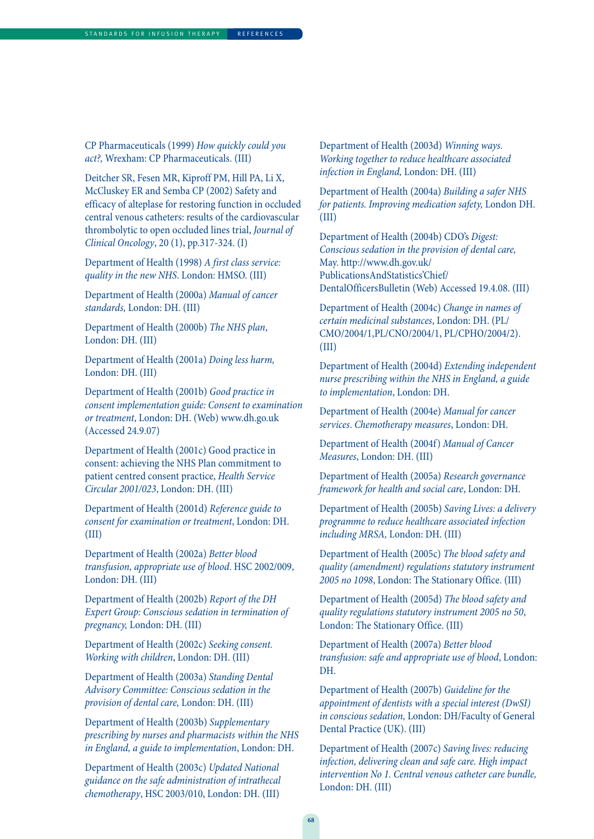CP Pharmaceuticals (1999) How quickly could you act?, Wrexham: CP Pharmaceuticals. (III)

Deitcher SR, Fesen MR, Kiproff PM, Hill PA, Li X, McCluskey ER and Semba CP (2002) Safety and efficacy of alteplase for restoring function in occluded central venous catheters: results of the cardiovascular thrombolytic to open occluded lines trial, Journal of Clinical Oncology, 20 (1), pp.317-324. (I)

Department of Health (1998) A first class service: quality in the new NHS. London: HMSO. (III)

Department of Health (2000a) Manual of cancer standards, London: DH. (III)

Department of Health (2000b) The NHS plan, London: DH. (III)

Department of Health (2001a) Doing less harm, London: DH. (III)

Department of Health (2001b) Good practice in consent implementation guide: Consent to examination or treatment, London: DH. (Web) www.dh.go.uk (Accessed 24.9.07)

Department of Health (2001c) Good practice in consent: achieving the NHS Plan commitment to patient centred consent practice, Health Service Circular 2001/023, London: DH. (III)

Department of Health (2001d) Reference guide to consent for examination or treatment, London: DH. (III)

Department of Health (2002a) Better blood transfusion, appropriate use of blood. HSC 2002/009, London: DH. (III)

Department of Health (2002b) Report of the DH Expert Group: Conscious sedation in termination of pregnancy, London: DH. (III)

Department of Health (2002c) Seeking consent. Working with children, London: DH. (III)

Department of Health (2003a) Standing Dental Advisory Committee: Conscious sedation in the provision of dental care, London: DH. (III)

Department of Health (2003b) Supplementary prescribing by nurses and pharmacists within the NHS in England, a guide to implementation, London: DH.

Department of Health (2003c) Updated National guidance on the safe administration of intrathecal chemotherapy, HSC 2003/010, London: DH. (III)

Department of Health (2003d) Winning ways. Working together to reduce healthcare associated infection in England, London: DH. (III)

Department of Health (2004a) Building a safer NHS for patients. Improving medication safety, London DH. (III)

Department of Health (2004b) CDO's Digest: Conscious sedation in the provision of dental care, May. http://www.dh.gov.uk/ PublicationsAndStatistics'Chief/ DentalOfficersBulletin (Web) Accessed 19.4.08. (III)

Department of Health (2004c) Change in names of certain medicinal substances, London: DH. (PL/ CMO/2004/1,PL/CNO/2004/1, PL/CPHO/2004/2). (III)

Department of Health (2004d) Extending independent nurse prescribing within the NHS in England, a guide to implementation, London: DH.

Department of Health (2004e) Manual for cancer services. Chemotherapy measures, London: DH.

Department of Health (2004f) Manual of Cancer Measures, London: DH. (III)

Department of Health (2005a) Research governance framework for health and social care, London: DH.

Department of Health (2005b) Saving Lives: a delivery programme to reduce healthcare associated infection including MRSA, London: DH. (III)

Department of Health (2005c) The blood safety and quality (amendment) regulations statutory instrument 2005 no 1098, London: The Stationary Office. (III)

Department of Health (2005d) The blood safety and quality regulations statutory instrument 2005 no 50, London: The Stationary Office. (III)

Department of Health (2007a) Better blood transfusion: safe and appropriate use of blood, London: DH.

Department of Health (2007b) Guideline for the appointment of dentists with a special interest (DwSI) in conscious sedation, London: DH/Faculty of General Dental Practice (UK). (III)

Department of Health (2007c) Saving lives: reducing infection, delivering clean and safe care. High impact intervention No 1. Central venous catheter care bundle, London: DH. (III)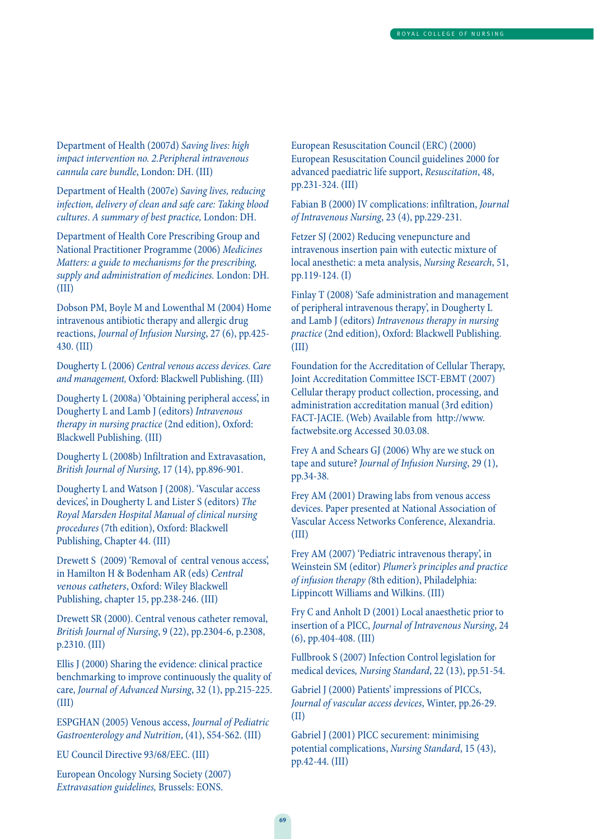Department of Health (2007d) Saving lives: high impact intervention no. 2.Peripheral intravenous cannula care bundle, London: DH. (III)

Department of Health (2007e) Saving lives, reducing infection, delivery of clean and safe care: Taking blood cultures. A summary of best practice, London: DH.

Department of Health Core Prescribing Group and National Practitioner Programme (2006) Medicines Matters: a guide to mechanisms for the prescribing, supply and administration of medicines. London: DH. (III)

Dobson PM, Boyle M and Lowenthal M (2004) Home intravenous antibiotic therapy and allergic drug reactions, Journal of Infusion Nursing, 27 (6), pp.425- 430. (III)

Dougherty L (2006) Central venous access devices. Care and management, Oxford: Blackwell Publishing. (III)

Dougherty L (2008a) 'Obtaining peripheral access', in Dougherty L and Lamb J (editors) Intravenous therapy in nursing practice (2nd edition), Oxford: Blackwell Publishing. (III)

Dougherty L (2008b) Infiltration and Extravasation, British Journal of Nursing, 17 (14), pp.896-901.

Dougherty L and Watson J (2008). 'Vascular access devices', in Dougherty L and Lister S (editors) The Royal Marsden Hospital Manual of clinical nursing procedures (7th edition), Oxford: Blackwell Publishing, Chapter 44. (III)

Drewett S (2009) 'Removal of central venous access', in Hamilton H & Bodenham AR (eds) Central venous catheters, Oxford: Wiley Blackwell Publishing, chapter 15, pp.238-246. (III)

Drewett SR (2000). Central venous catheter removal, British Journal of Nursing, 9 (22), pp.2304-6, p.2308, p.2310. (III)

Ellis J (2000) Sharing the evidence: clinical practice benchmarking to improve continuously the quality of care, Journal of Advanced Nursing, 32 (1), pp.215-225. (III)

ESPGHAN (2005) Venous access, Journal of Pediatric Gastroenterology and Nutrition, (41), S54-S62. (III)

EU Council Directive 93/68/EEC. (III)

European Oncology Nursing Society (2007) Extravasation guidelines, Brussels: EONS.

European Resuscitation Council (ERC) (2000) European Resuscitation Council guidelines 2000 for advanced paediatric life support, Resuscitation, 48, pp.231-324. (III)

Fabian B (2000) IV complications: infiltration, Journal of Intravenous Nursing, 23 (4), pp.229-231.

Fetzer SJ (2002) Reducing venepuncture and intravenous insertion pain with eutectic mixture of local anesthetic: a meta analysis, Nursing Research, 51, pp.119-124. (I)

Finlay T (2008) 'Safe administration and management of peripheral intravenous therapy', in Dougherty L and Lamb J (editors) Intravenous therapy in nursing practice (2nd edition), Oxford: Blackwell Publishing. (III)

Foundation for the Accreditation of Cellular Therapy, Joint Accreditation Committee ISCT-EBMT (2007) Cellular therapy product collection, processing, and administration accreditation manual (3rd edition) FACT-JACIE. (Web) Available from http://www. factwebsite.org Accessed 30.03.08.

Frey A and Schears GJ (2006) Why are we stuck on tape and suture? Journal of Infusion Nursing, 29 (1), pp.34-38.

Frey AM (2001) Drawing labs from venous access devices. Paper presented at National Association of Vascular Access Networks Conference, Alexandria. (III)

Frey AM (2007) 'Pediatric intravenous therapy', in Weinstein SM (editor) Plumer's principles and practice of infusion therapy (8th edition), Philadelphia: Lippincott Williams and Wilkins. (III)

Fry C and Anholt D (2001) Local anaesthetic prior to insertion of a PICC, Journal of Intravenous Nursing, 24 (6), pp.404-408. (III)

Fullbrook S (2007) Infection Control legislation for medical devices, Nursing Standard, 22 (13), pp.51-54.

Gabriel J (2000) Patients' impressions of PICCs, Journal of vascular access devices, Winter, pp.26-29. (II)

Gabriel J (2001) PICC securement: minimising potential complications, Nursing Standard, 15 (43), pp.42-44. (III)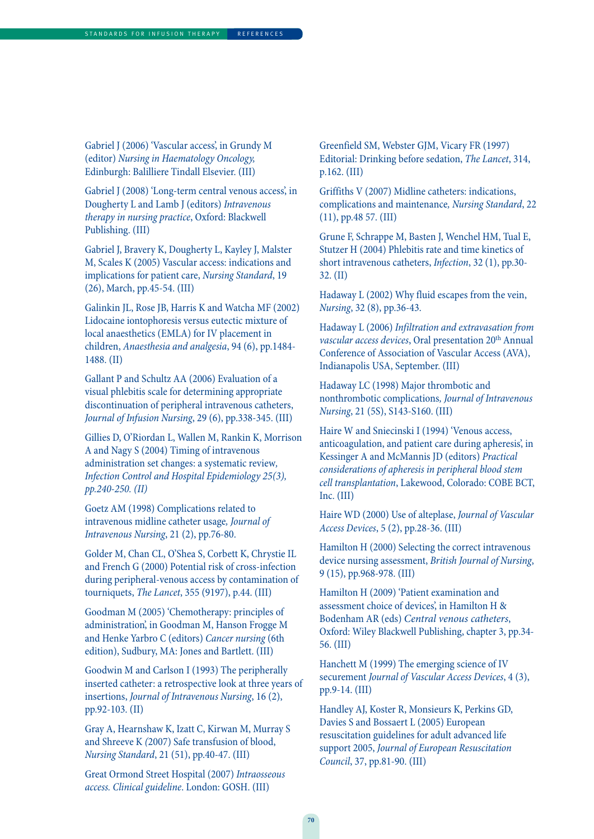Gabriel J (2006) 'Vascular access', in Grundy M (editor) Nursing in Haematology Oncology, Edinburgh: Balilliere Tindall Elsevier. (III)

Gabriel J (2008) 'Long-term central venous access', in Dougherty L and Lamb J (editors) Intravenous therapy in nursing practice, Oxford: Blackwell Publishing. (III)

Gabriel J, Bravery K, Dougherty L, Kayley J, Malster M, Scales K (2005) Vascular access: indications and implications for patient care, Nursing Standard, 19 (26), March, pp.45-54. (III)

Galinkin JL, Rose JB, Harris K and Watcha MF (2002) Lidocaine iontophoresis versus eutectic mixture of local anaesthetics (EMLA) for IV placement in children, Anaesthesia and analgesia, 94 (6), pp.1484- 1488. (II)

Gallant P and Schultz AA (2006) Evaluation of a visual phlebitis scale for determining appropriate discontinuation of peripheral intravenous catheters, Journal of Infusion Nursing, 29 (6), pp.338-345. (III)

Gillies D, O'Riordan L, Wallen M, Rankin K, Morrison A and Nagy S (2004) Timing of intravenous administration set changes: a systematic review, Infection Control and Hospital Epidemiology 25(3), pp.240-250. (II)

Goetz AM (1998) Complications related to intravenous midline catheter usage, Journal of Intravenous Nursing, 21 (2), pp.76-80.

Golder M, Chan CL, O'Shea S, Corbett K, Chrystie IL and French G (2000) Potential risk of cross-infection during peripheral-venous access by contamination of tourniquets, The Lancet, 355 (9197), p.44. (III)

Goodman M (2005) 'Chemotherapy: principles of administration', in Goodman M, Hanson Frogge M and Henke Yarbro C (editors) Cancer nursing (6th edition), Sudbury, MA: Jones and Bartlett. (III)

Goodwin M and Carlson I (1993) The peripherally inserted catheter: a retrospective look at three years of insertions, Journal of Intravenous Nursing, 16 (2), pp.92-103. (II)

Gray A, Hearnshaw K, Izatt C, Kirwan M, Murray S and Shreeve K (2007) Safe transfusion of blood, Nursing Standard, 21 (51), pp.40-47. (III)

Great Ormond Street Hospital (2007) Intraosseous access. Clinical guideline. London: GOSH. (III)

Greenfield SM, Webster GJM, Vicary FR (1997) Editorial: Drinking before sedation, The Lancet, 314, p.162. (III)

Griffiths V (2007) Midline catheters: indications, complications and maintenance, Nursing Standard, 22 (11), pp.48 57. (III)

Grune F, Schrappe M, Basten J, Wenchel HM, Tual E, Stutzer H (2004) Phlebitis rate and time kinetics of short intravenous catheters, Infection, 32 (1), pp.30- 32. (II)

Hadaway L (2002) Why fluid escapes from the vein, Nursing, 32 (8), pp.36-43.

Hadaway L (2006) Infiltration and extravasation from vascular access devices, Oral presentation 20<sup>th</sup> Annual Conference of Association of Vascular Access (AVA), Indianapolis USA, September. (III)

Hadaway LC (1998) Major thrombotic and nonthrombotic complications, Journal of Intravenous Nursing, 21 (5S), S143-S160. (III)

Haire W and Sniecinski I (1994) 'Venous access, anticoagulation, and patient care during apheresis', in Kessinger A and McMannis JD (editors) Practical considerations of apheresis in peripheral blood stem cell transplantation, Lakewood, Colorado: COBE BCT, Inc. (III)

Haire WD (2000) Use of alteplase, Journal of Vascular Access Devices, 5 (2), pp.28-36. (III)

Hamilton H (2000) Selecting the correct intravenous device nursing assessment, British Journal of Nursing, 9 (15), pp.968-978. (III)

Hamilton H (2009) 'Patient examination and assessment choice of devices', in Hamilton H & Bodenham AR (eds) Central venous catheters, Oxford: Wiley Blackwell Publishing, chapter 3, pp.34- 56. (III)

Hanchett M (1999) The emerging science of IV securement Journal of Vascular Access Devices, 4 (3), pp.9-14. (III)

Handley AJ, Koster R, Monsieurs K, Perkins GD, Davies S and Bossaert L (2005) European resuscitation guidelines for adult advanced life support 2005, Journal of European Resuscitation Council, 37, pp.81-90. (III)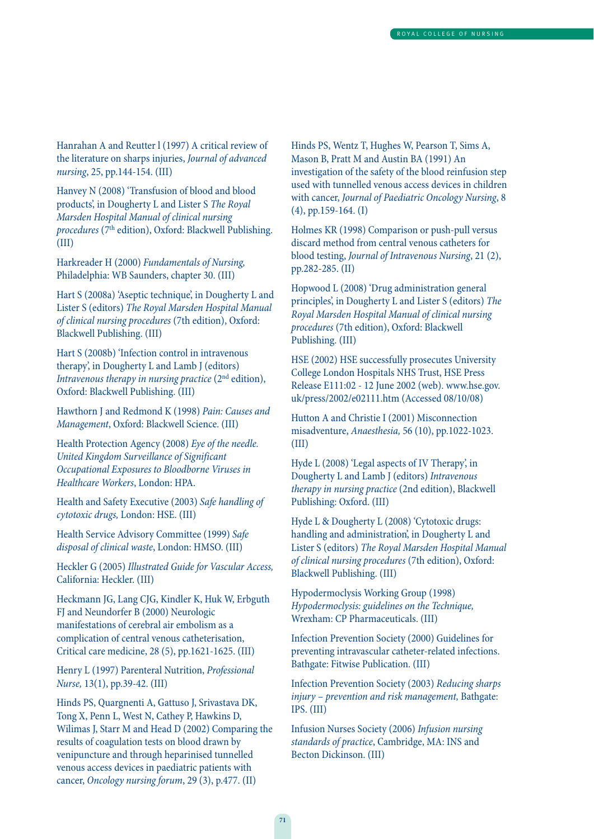Hanrahan A and Reutter l (1997) A critical review of the literature on sharps injuries, Journal of advanced nursing, 25, pp.144-154. (III)

Hanvey N (2008) 'Transfusion of blood and blood products', in Dougherty L and Lister S The Royal Marsden Hospital Manual of clinical nursing procedures (7<sup>th</sup> edition), Oxford: Blackwell Publishing. (III)

Harkreader H (2000) Fundamentals of Nursing, Philadelphia: WB Saunders, chapter 30. (III)

Hart S (2008a) 'Aseptic technique', in Dougherty L and Lister S (editors) The Royal Marsden Hospital Manual of clinical nursing procedures (7th edition), Oxford: Blackwell Publishing. (III)

Hart S (2008b) 'Infection control in intravenous therapy', in Dougherty L and Lamb J (editors) Intravenous therapy in nursing practice  $(2<sup>nd</sup>$  edition), Oxford: Blackwell Publishing. (III)

Hawthorn J and Redmond K (1998) Pain: Causes and Management, Oxford: Blackwell Science. (III)

Health Protection Agency (2008) Eye of the needle. United Kingdom Surveillance of Significant Occupational Exposures to Bloodborne Viruses in Healthcare Workers, London: HPA.

Health and Safety Executive (2003) Safe handling of cytotoxic drugs, London: HSE. (III)

Health Service Advisory Committee (1999) Safe disposal of clinical waste, London: HMSO. (III)

Heckler G (2005) Illustrated Guide for Vascular Access, California: Heckler. (III)

Heckmann JG, Lang CJG, Kindler K, Huk W, Erbguth FJ and Neundorfer B (2000) Neurologic manifestations of cerebral air embolism as a complication of central venous catheterisation, Critical care medicine, 28 (5), pp.1621-1625. (III)

Henry L (1997) Parenteral Nutrition, Professional Nurse, 13(1), pp.39-42. (III)

Hinds PS, Quargnenti A, Gattuso J, Srivastava DK, Tong X, Penn L, West N, Cathey P, Hawkins D, Wilimas J, Starr M and Head D (2002) Comparing the results of coagulation tests on blood drawn by venipuncture and through heparinised tunnelled venous access devices in paediatric patients with cancer, Oncology nursing forum, 29 (3), p.477. (II)

Hinds PS, Wentz T, Hughes W, Pearson T, Sims A, Mason B, Pratt M and Austin BA (1991) An investigation of the safety of the blood reinfusion step used with tunnelled venous access devices in children with cancer, Journal of Paediatric Oncology Nursing, 8 (4), pp.159-164. (I)

Holmes KR (1998) Comparison or push-pull versus discard method from central venous catheters for blood testing, Journal of Intravenous Nursing, 21 (2), pp.282-285. (II)

Hopwood L (2008) 'Drug administration general principles', in Dougherty L and Lister S (editors) The Royal Marsden Hospital Manual of clinical nursing procedures (7th edition), Oxford: Blackwell Publishing. (III)

HSE (2002) HSE successfully prosecutes University College London Hospitals NHS Trust, HSE Press Release E111:02 - 12 June 2002 (web). www.hse.gov. uk/press/2002/e02111.htm (Accessed 08/10/08)

Hutton A and Christie I (2001) Misconnection misadventure, Anaesthesia, 56 (10), pp.1022-1023. (III)

Hyde L (2008) 'Legal aspects of IV Therapy', in Dougherty L and Lamb J (editors) Intravenous therapy in nursing practice (2nd edition), Blackwell Publishing: Oxford. (III)

Hyde L & Dougherty L (2008) 'Cytotoxic drugs: handling and administration', in Dougherty L and Lister S (editors) The Royal Marsden Hospital Manual of clinical nursing procedures (7th edition), Oxford: Blackwell Publishing. (III)

Hypodermoclysis Working Group (1998) Hypodermoclysis: guidelines on the Technique, Wrexham: CP Pharmaceuticals. (III)

Infection Prevention Society (2000) Guidelines for preventing intravascular catheter-related infections. Bathgate: Fitwise Publication. (III)

Infection Prevention Society (2003) Reducing sharps injury – prevention and risk management, Bathgate: IPS. (III)

Infusion Nurses Society (2006) Infusion nursing standards of practice, Cambridge, MA: INS and Becton Dickinson. (III)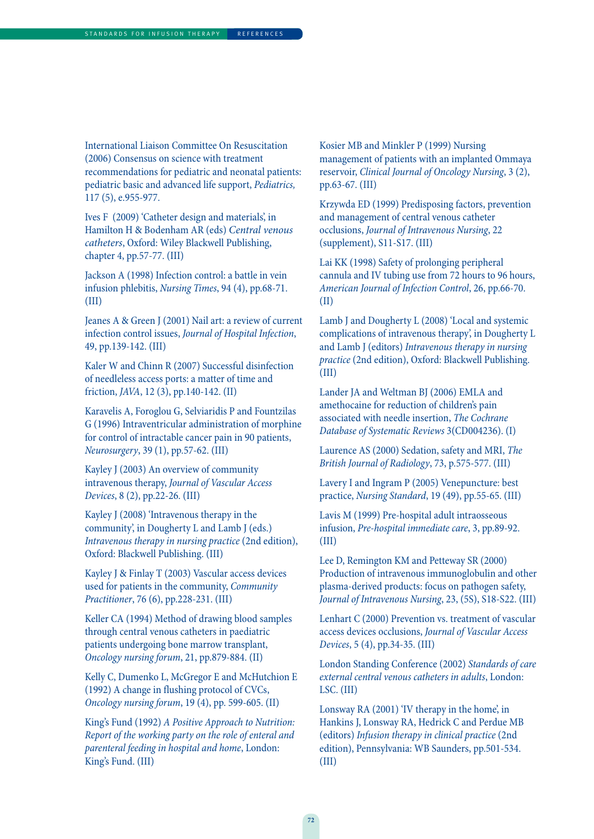International Liaison Committee On Resuscitation (2006) Consensus on science with treatment recommendations for pediatric and neonatal patients: pediatric basic and advanced life support, Pediatrics, 117 (5), e.955-977.

Ives F (2009) 'Catheter design and materials', in Hamilton H & Bodenham AR (eds) Central venous catheters, Oxford: Wiley Blackwell Publishing, chapter 4, pp.57-77. (III)

Jackson A (1998) Infection control: a battle in vein infusion phlebitis, Nursing Times, 94 (4), pp.68-71. (III)

Jeanes A & Green J (2001) Nail art: a review of current infection control issues, Journal of Hospital Infection, 49, pp.139-142. (III)

Kaler W and Chinn R (2007) Successful disinfection of needleless access ports: a matter of time and friction, JAVA, 12 (3), pp.140-142. (II)

Karavelis A, Foroglou G, Selviaridis P and Fountzilas G (1996) Intraventricular administration of morphine for control of intractable cancer pain in 90 patients, Neurosurgery, 39 (1), pp.57-62. (III)

Kayley J (2003) An overview of community intravenous therapy, Journal of Vascular Access Devices, 8 (2), pp.22-26. (III)

Kayley J (2008) 'Intravenous therapy in the community', in Dougherty L and Lamb J (eds.) Intravenous therapy in nursing practice (2nd edition), Oxford: Blackwell Publishing. (III)

Kayley J & Finlay T (2003) Vascular access devices used for patients in the community, Community Practitioner, 76 (6), pp.228-231. (III)

Keller CA (1994) Method of drawing blood samples through central venous catheters in paediatric patients undergoing bone marrow transplant, Oncology nursing forum, 21, pp.879-884. (II)

Kelly C, Dumenko L, McGregor E and McHutchion E (1992) A change in flushing protocol of CVCs, Oncology nursing forum, 19 (4), pp. 599-605. (II)

King's Fund (1992) A Positive Approach to Nutrition: Report of the working party on the role of enteral and parenteral feeding in hospital and home, London: King's Fund. (III)

Kosier MB and Minkler P (1999) Nursing management of patients with an implanted Ommaya reservoir, Clinical Journal of Oncology Nursing, 3 (2), pp.63-67. (III)

Krzywda ED (1999) Predisposing factors, prevention and management of central venous catheter occlusions, Journal of Intravenous Nursing, 22 (supplement), S11-S17. (III)

Lai KK (1998) Safety of prolonging peripheral cannula and IV tubing use from 72 hours to 96 hours, American Journal of Infection Control, 26, pp.66-70. (II)

Lamb J and Dougherty L (2008) 'Local and systemic complications of intravenous therapy', in Dougherty L and Lamb J (editors) Intravenous therapy in nursing practice (2nd edition), Oxford: Blackwell Publishing. (III)

Lander JA and Weltman BJ (2006) EMLA and amethocaine for reduction of children's pain associated with needle insertion, The Cochrane Database of Systematic Reviews 3(CD004236). (I)

Laurence AS (2000) Sedation, safety and MRI, The British Journal of Radiology, 73, p.575-577. (III)

Lavery I and Ingram P (2005) Venepuncture: best practice, Nursing Standard, 19 (49), pp.55-65. (III)

Lavis M (1999) Pre-hospital adult intraosseous infusion, Pre-hospital immediate care, 3, pp.89-92. (III)

Lee D, Remington KM and Petteway SR (2000) Production of intravenous immunoglobulin and other plasma-derived products: focus on pathogen safety, Journal of Intravenous Nursing, 23, (5S), S18-S22. (III)

Lenhart C (2000) Prevention vs. treatment of vascular access devices occlusions, Journal of Vascular Access Devices, 5 (4), pp.34-35. (III)

London Standing Conference (2002) Standards of care external central venous catheters in adults, London: LSC. (III)

Lonsway RA (2001) 'IV therapy in the home', in Hankins J, Lonsway RA, Hedrick C and Perdue MB (editors) Infusion therapy in clinical practice (2nd edition), Pennsylvania: WB Saunders, pp.501-534. (III)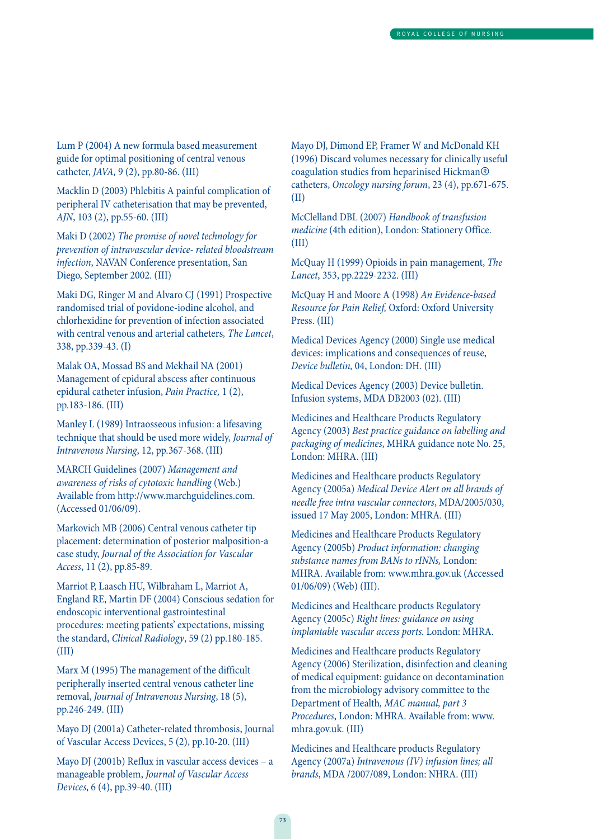Lum P (2004) A new formula based measurement guide for optimal positioning of central venous catheter, JAVA, 9 (2), pp.80-86. (III)

Macklin D (2003) Phlebitis A painful complication of peripheral IV catheterisation that may be prevented, AJN, 103 (2), pp.55-60. (III)

Maki D (2002) The promise of novel technology for prevention of intravascular device- related bloodstream infection, NAVAN Conference presentation, San Diego, September 2002. (III)

Maki DG, Ringer M and Alvaro CJ (1991) Prospective randomised trial of povidone-iodine alcohol, and chlorhexidine for prevention of infection associated with central venous and arterial catheters, The Lancet, 338, pp.339-43. (I)

Malak OA, Mossad BS and Mekhail NA (2001) Management of epidural abscess after continuous epidural catheter infusion, Pain Practice, 1 (2), pp.183-186. (III)

Manley L (1989) Intraosseous infusion: a lifesaving technique that should be used more widely, Journal of Intravenous Nursing, 12, pp.367-368. (III)

MARCH Guidelines (2007) Management and awareness of risks of cytotoxic handling (Web.) Available from http://www.marchguidelines.com. (Accessed 01/06/09).

Markovich MB (2006) Central venous catheter tip placement: determination of posterior malposition-a case study, Journal of the Association for Vascular Access, 11 (2), pp.85-89.

Marriot P, Laasch HU, Wilbraham L, Marriot A, England RE, Martin DF (2004) Conscious sedation for endoscopic interventional gastrointestinal procedures: meeting patients' expectations, missing the standard, Clinical Radiology, 59 (2) pp.180-185. (III)

Marx M (1995) The management of the difficult peripherally inserted central venous catheter line removal, Journal of Intravenous Nursing, 18 (5), pp.246-249. (III)

Mayo DJ (2001a) Catheter-related thrombosis, Journal of Vascular Access Devices, 5 (2), pp.10-20. (III)

Mayo DJ (2001b) Reflux in vascular access devices – a manageable problem, Journal of Vascular Access Devices, 6 (4), pp.39-40. (III)

Mayo DJ, Dimond EP, Framer W and McDonald KH (1996) Discard volumes necessary for clinically useful coagulation studies from heparinised Hickman® catheters, Oncology nursing forum, 23 (4), pp.671-675. (II)

McClelland DBL (2007) Handbook of transfusion medicine (4th edition), London: Stationery Office. (III)

McQuay H (1999) Opioids in pain management, The Lancet, 353, pp.2229-2232. (III)

McQuay H and Moore A (1998) An Evidence-based Resource for Pain Relief, Oxford: Oxford University Press. (III)

Medical Devices Agency (2000) Single use medical devices: implications and consequences of reuse, Device bulletin, 04, London: DH. (III)

Medical Devices Agency (2003) Device bulletin. Infusion systems, MDA DB2003 (02). (III)

Medicines and Healthcare Products Regulatory Agency (2003) Best practice guidance on labelling and packaging of medicines, MHRA guidance note No. 25, London: MHRA. (III)

Medicines and Healthcare products Regulatory Agency (2005a) Medical Device Alert on all brands of needle free intra vascular connectors, MDA/2005/030, issued 17 May 2005, London: MHRA. (III)

Medicines and Healthcare Products Regulatory Agency (2005b) Product information: changing substance names from BANs to rINNs, London: MHRA. Available from: www.mhra.gov.uk (Accessed 01/06/09) (Web) (III).

Medicines and Healthcare products Regulatory Agency (2005c) Right lines: guidance on using implantable vascular access ports. London: MHRA.

Medicines and Healthcare products Regulatory Agency (2006) Sterilization, disinfection and cleaning of medical equipment: guidance on decontamination from the microbiology advisory committee to the Department of Health, MAC manual, part 3 Procedures, London: MHRA. Available from: www. mhra.gov.uk. (III)

Medicines and Healthcare products Regulatory Agency (2007a) Intravenous (IV) infusion lines; all brands, MDA /2007/089, London: NHRA. (III)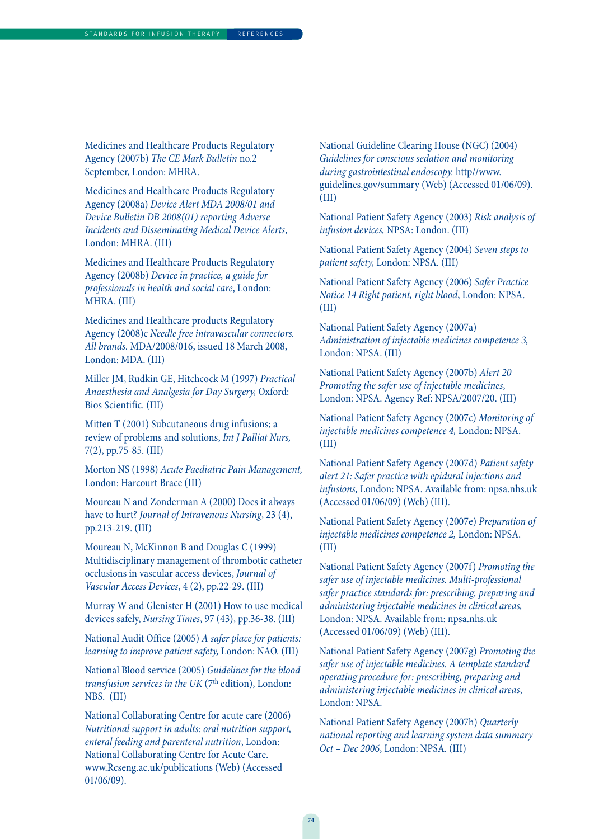Medicines and Healthcare Products Regulatory Agency (2007b) The CE Mark Bulletin no.2 September, London: MHRA.

Medicines and Healthcare Products Regulatory Agency (2008a) Device Alert MDA 2008/01 and Device Bulletin DB 2008(01) reporting Adverse Incidents and Disseminating Medical Device Alerts, London: MHRA. (III)

Medicines and Healthcare Products Regulatory Agency (2008b) Device in practice, a guide for professionals in health and social care, London: MHRA. (III)

Medicines and Healthcare products Regulatory Agency (2008)c Needle free intravascular connectors. All brands. MDA/2008/016, issued 18 March 2008, London: MDA. (III)

Miller JM, Rudkin GE, Hitchcock M (1997) Practical Anaesthesia and Analgesia for Day Surgery, Oxford: Bios Scientific. (III)

Mitten T (2001) Subcutaneous drug infusions; a review of problems and solutions, Int J Palliat Nurs, 7(2), pp.75-85. (III)

Morton NS (1998) Acute Paediatric Pain Management, London: Harcourt Brace (III)

Moureau N and Zonderman A (2000) Does it always have to hurt? Journal of Intravenous Nursing, 23 (4), pp.213-219. (III)

Moureau N, McKinnon B and Douglas C (1999) Multidisciplinary management of thrombotic catheter occlusions in vascular access devices, Journal of Vascular Access Devices, 4 (2), pp.22-29. (III)

Murray W and Glenister H (2001) How to use medical devices safely, Nursing Times, 97 (43), pp.36-38. (III)

National Audit Office (2005) A safer place for patients: learning to improve patient safety, London: NAO. (III)

National Blood service (2005) Guidelines for the blood transfusion services in the UK ( $7<sup>th</sup>$  edition), London: NBS. (III)

National Collaborating Centre for acute care (2006) Nutritional support in adults: oral nutrition support, enteral feeding and parenteral nutrition, London: National Collaborating Centre for Acute Care. www.Rcseng.ac.uk/publications (Web) (Accessed 01/06/09).

National Guideline Clearing House (NGC) (2004) Guidelines for conscious sedation and monitoring during gastrointestinal endoscopy. http//www. guidelines.gov/summary (Web) (Accessed 01/06/09). (III)

National Patient Safety Agency (2003) Risk analysis of infusion devices, NPSA: London. (III)

National Patient Safety Agency (2004) Seven steps to patient safety, London: NPSA. (III)

National Patient Safety Agency (2006) Safer Practice Notice 14 Right patient, right blood, London: NPSA. (III)

National Patient Safety Agency (2007a) Administration of injectable medicines competence 3, London: NPSA. (III)

National Patient Safety Agency (2007b) Alert 20 Promoting the safer use of injectable medicines, London: NPSA. Agency Ref: NPSA/2007/20. (III)

National Patient Safety Agency (2007c) Monitoring of injectable medicines competence 4, London: NPSA. (III)

National Patient Safety Agency (2007d) Patient safety alert 21: Safer practice with epidural injections and infusions, London: NPSA. Available from: npsa.nhs.uk (Accessed 01/06/09) (Web) (III).

National Patient Safety Agency (2007e) Preparation of injectable medicines competence 2, London: NPSA. (III)

National Patient Safety Agency (2007f) Promoting the safer use of injectable medicines. Multi-professional safer practice standards for: prescribing, preparing and administering injectable medicines in clinical areas, London: NPSA. Available from: npsa.nhs.uk (Accessed 01/06/09) (Web) (III).

National Patient Safety Agency (2007g) Promoting the safer use of injectable medicines. A template standard operating procedure for: prescribing, preparing and administering injectable medicines in clinical areas, London: NPSA.

National Patient Safety Agency (2007h) Quarterly national reporting and learning system data summary Oct – Dec 2006, London: NPSA. (III)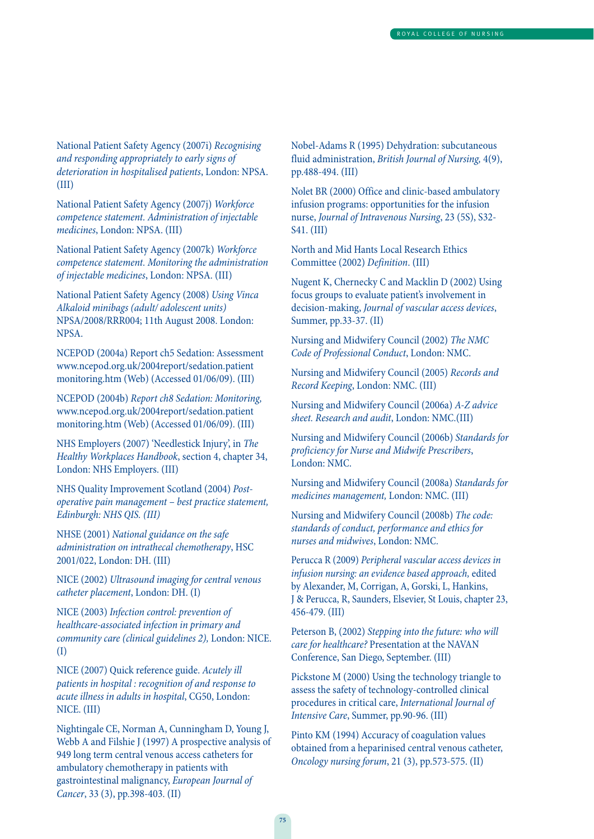National Patient Safety Agency (2007i) Recognising and responding appropriately to early signs of deterioration in hospitalised patients, London: NPSA. (III)

National Patient Safety Agency (2007j) Workforce competence statement. Administration of injectable medicines, London: NPSA. (III)

National Patient Safety Agency (2007k) Workforce competence statement. Monitoring the administration of injectable medicines, London: NPSA. (III)

National Patient Safety Agency (2008) Using Vinca Alkaloid minibags (adult/ adolescent units) NPSA/2008/RRR004; 11th August 2008. London: NPSA.

NCEPOD (2004a) Report ch5 Sedation: Assessment www.ncepod.org.uk/2004report/sedation.patient monitoring.htm (Web) (Accessed 01/06/09). (III)

NCEPOD (2004b) Report ch8 Sedation: Monitoring, www.ncepod.org.uk/2004report/sedation.patient monitoring.htm (Web) (Accessed 01/06/09). (III)

NHS Employers (2007) 'Needlestick Injury', in The Healthy Workplaces Handbook, section 4, chapter 34, London: NHS Employers. (III)

NHS Quality Improvement Scotland (2004) Postoperative pain management – best practice statement, Edinburgh: NHS QIS. (III)

NHSE (2001) National guidance on the safe administration on intrathecal chemotherapy, HSC 2001/022, London: DH. (III)

NICE (2002) Ultrasound imaging for central venous catheter placement, London: DH. (I)

NICE (2003) Infection control: prevention of healthcare-associated infection in primary and community care (clinical guidelines 2), London: NICE. (I)

NICE (2007) Quick reference guide. Acutely ill patients in hospital : recognition of and response to acute illness in adults in hospital, CG50, London: NICE. (III)

Nightingale CE, Norman A, Cunningham D, Young J, Webb A and Filshie J (1997) A prospective analysis of 949 long term central venous access catheters for ambulatory chemotherapy in patients with gastrointestinal malignancy, European Journal of Cancer, 33 (3), pp.398-403. (II)

Nobel-Adams R (1995) Dehydration: subcutaneous fluid administration, British Journal of Nursing, 4(9), pp.488-494. (III)

Nolet BR (2000) Office and clinic-based ambulatory infusion programs: opportunities for the infusion nurse, Journal of Intravenous Nursing, 23 (5S), S32- S41. (III)

North and Mid Hants Local Research Ethics Committee (2002) Definition. (III)

Nugent K, Chernecky C and Macklin D (2002) Using focus groups to evaluate patient's involvement in decision-making, Journal of vascular access devices, Summer, pp.33-37. (II)

Nursing and Midwifery Council (2002) The NMC Code of Professional Conduct, London: NMC.

Nursing and Midwifery Council (2005) Records and Record Keeping, London: NMC. (III)

Nursing and Midwifery Council (2006a) A-Z advice sheet. Research and audit, London: NMC.(III)

Nursing and Midwifery Council (2006b) Standards for proficiency for Nurse and Midwife Prescribers, London: NMC.

Nursing and Midwifery Council (2008a) Standards for medicines management, London: NMC. (III)

Nursing and Midwifery Council (2008b) The code: standards of conduct, performance and ethics for nurses and midwives, London: NMC.

Perucca R (2009) Peripheral vascular access devices in infusion nursing: an evidence based approach, edited by Alexander, M, Corrigan, A, Gorski, L, Hankins, J & Perucca, R, Saunders, Elsevier, St Louis, chapter 23, 456-479. (III)

Peterson B, (2002) Stepping into the future: who will care for healthcare? Presentation at the NAVAN Conference, San Diego, September. (III)

Pickstone M (2000) Using the technology triangle to assess the safety of technology-controlled clinical procedures in critical care, International Journal of Intensive Care, Summer, pp.90-96. (III)

Pinto KM (1994) Accuracy of coagulation values obtained from a heparinised central venous catheter, Oncology nursing forum, 21 (3), pp.573-575. (II)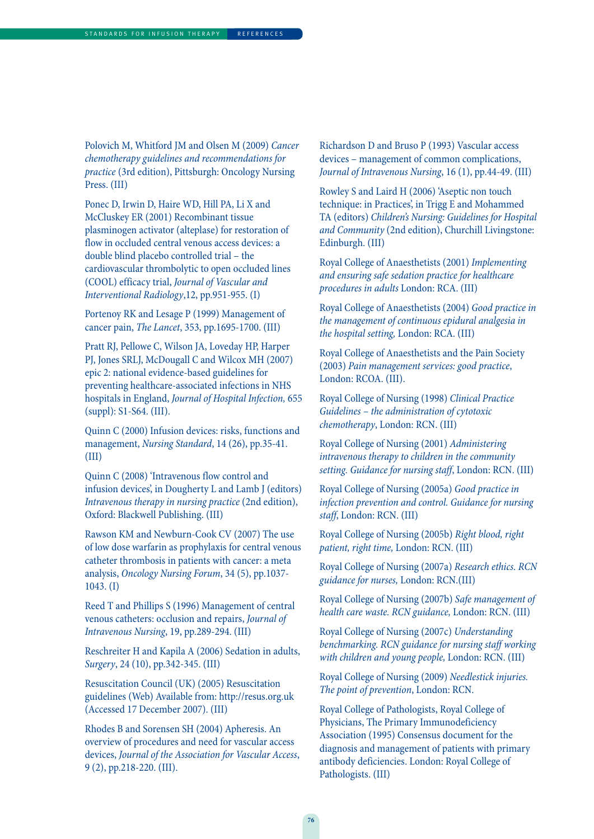Polovich M, Whitford JM and Olsen M (2009) Cancer chemotherapy guidelines and recommendations for practice (3rd edition), Pittsburgh: Oncology Nursing Press. (III)

Ponec D, Irwin D, Haire WD, Hill PA, Li X and McCluskey ER (2001) Recombinant tissue plasminogen activator (alteplase) for restoration of flow in occluded central venous access devices: a double blind placebo controlled trial – the cardiovascular thrombolytic to open occluded lines (COOL) efficacy trial, Journal of Vascular and Interventional Radiology,12, pp.951-955. (I)

Portenoy RK and Lesage P (1999) Management of cancer pain, The Lancet, 353, pp.1695-1700. (III)

Pratt RJ, Pellowe C, Wilson JA, Loveday HP, Harper PJ, Jones SRLJ, McDougall C and Wilcox MH (2007) epic 2: national evidence-based guidelines for preventing healthcare-associated infections in NHS hospitals in England, Journal of Hospital Infection, 655 (suppl): S1-S64. (III).

Quinn C (2000) Infusion devices: risks, functions and management, Nursing Standard, 14 (26), pp.35-41. (III)

Quinn C (2008) 'Intravenous flow control and infusion devices', in Dougherty L and Lamb J (editors) Intravenous therapy in nursing practice (2nd edition), Oxford: Blackwell Publishing. (III)

Rawson KM and Newburn-Cook CV (2007) The use of low dose warfarin as prophylaxis for central venous catheter thrombosis in patients with cancer: a meta analysis, Oncology Nursing Forum, 34 (5), pp.1037- 1043. (I)

Reed T and Phillips S (1996) Management of central venous catheters: occlusion and repairs, Journal of Intravenous Nursing, 19, pp.289-294. (III)

Reschreiter H and Kapila A (2006) Sedation in adults, Surgery, 24 (10), pp.342-345. (III)

Resuscitation Council (UK) (2005) Resuscitation guidelines (Web) Available from: http://resus.org.uk (Accessed 17 December 2007). (III)

Rhodes B and Sorensen SH (2004) Apheresis. An overview of procedures and need for vascular access devices, Journal of the Association for Vascular Access, 9 (2), pp.218-220. (III).

Richardson D and Bruso P (1993) Vascular access devices – management of common complications, Journal of Intravenous Nursing, 16 (1), pp.44-49. (III)

Rowley S and Laird H (2006) 'Aseptic non touch technique: in Practices', in Trigg E and Mohammed TA (editors) Children's Nursing: Guidelines for Hospital and Community (2nd edition), Churchill Livingstone: Edinburgh. (III)

Royal College of Anaesthetists (2001) Implementing and ensuring safe sedation practice for healthcare procedures in adults London: RCA. (III)

Royal College of Anaesthetists (2004) Good practice in the management of continuous epidural analgesia in the hospital setting, London: RCA. (III)

Royal College of Anaesthetists and the Pain Society (2003) Pain management services: good practice, London: RCOA. (III).

Royal College of Nursing (1998) Clinical Practice Guidelines – the administration of cytotoxic chemotherapy, London: RCN. (III)

Royal College of Nursing (2001) Administering intravenous therapy to children in the community setting. Guidance for nursing staff, London: RCN. (III)

Royal College of Nursing (2005a) Good practice in infection prevention and control. Guidance for nursing staff, London: RCN. (III)

Royal College of Nursing (2005b) Right blood, right patient, right time, London: RCN. (III)

Royal College of Nursing (2007a) Research ethics. RCN guidance for nurses, London: RCN.(III)

Royal College of Nursing (2007b) Safe management of health care waste. RCN guidance, London: RCN. (III)

Royal College of Nursing (2007c) Understanding benchmarking. RCN guidance for nursing staff working with children and young people, London: RCN. (III)

Royal College of Nursing (2009) Needlestick injuries. The point of prevention, London: RCN.

Royal College of Pathologists, Royal College of Physicians, The Primary Immunodeficiency Association (1995) Consensus document for the diagnosis and management of patients with primary antibody deficiencies. London: Royal College of Pathologists. (III)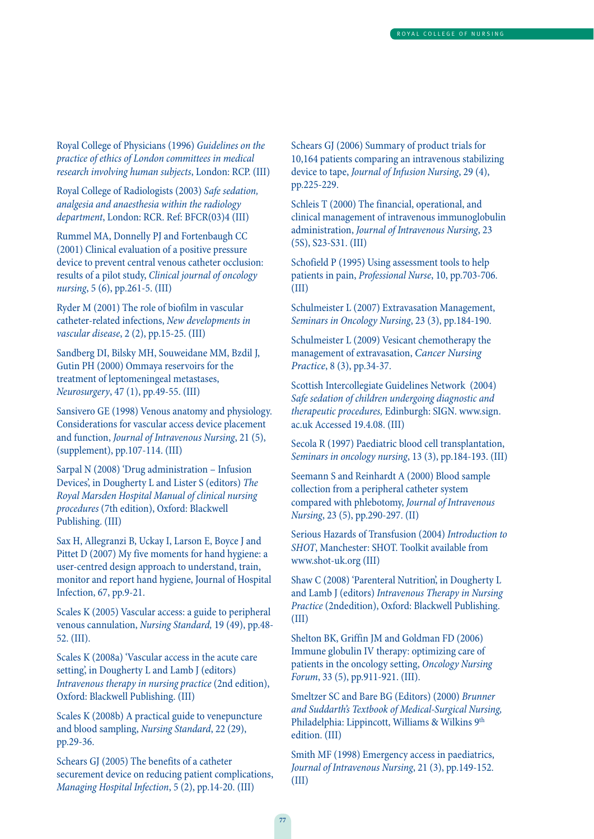Royal College of Physicians (1996) Guidelines on the practice of ethics of London committees in medical research involving human subjects, London: RCP. (III)

Royal College of Radiologists (2003) Safe sedation, analgesia and anaesthesia within the radiology department, London: RCR. Ref: BFCR(03)4 (III)

Rummel MA, Donnelly PJ and Fortenbaugh CC (2001) Clinical evaluation of a positive pressure device to prevent central venous catheter occlusion: results of a pilot study, Clinical journal of oncology nursing, 5 (6), pp.261-5. (III)

Ryder M (2001) The role of biofilm in vascular catheter-related infections, New developments in vascular disease, 2 (2), pp.15-25. (III)

Sandberg DI, Bilsky MH, Souweidane MM, Bzdil J, Gutin PH (2000) Ommaya reservoirs for the treatment of leptomeningeal metastases, Neurosurgery, 47 (1), pp.49-55. (III)

Sansivero GE (1998) Venous anatomy and physiology. Considerations for vascular access device placement and function, Journal of Intravenous Nursing, 21 (5), (supplement), pp.107-114. (III)

Sarpal N (2008) 'Drug administration – Infusion Devices', in Dougherty L and Lister S (editors) The Royal Marsden Hospital Manual of clinical nursing procedures (7th edition), Oxford: Blackwell Publishing. (III)

Sax H, Allegranzi B, Uckay I, Larson E, Boyce J and Pittet D (2007) My five moments for hand hygiene: a user-centred design approach to understand, train, monitor and report hand hygiene, Journal of Hospital Infection, 67, pp.9-21.

Scales K (2005) Vascular access: a guide to peripheral venous cannulation, Nursing Standard, 19 (49), pp.48- 52. (III).

Scales K (2008a) 'Vascular access in the acute care setting', in Dougherty L and Lamb J (editors) Intravenous therapy in nursing practice (2nd edition), Oxford: Blackwell Publishing. (III)

Scales K (2008b) A practical guide to venepuncture and blood sampling, Nursing Standard, 22 (29), pp.29-36.

Schears GJ (2005) The benefits of a catheter securement device on reducing patient complications, Managing Hospital Infection, 5 (2), pp.14-20. (III)

Schears GJ (2006) Summary of product trials for 10,164 patients comparing an intravenous stabilizing device to tape, Journal of Infusion Nursing, 29 (4), pp.225-229.

Schleis T (2000) The financial, operational, and clinical management of intravenous immunoglobulin administration, Journal of Intravenous Nursing, 23 (5S), S23-S31. (III)

Schofield P (1995) Using assessment tools to help patients in pain, Professional Nurse, 10, pp.703-706. (III)

Schulmeister L (2007) Extravasation Management, Seminars in Oncology Nursing, 23 (3), pp.184-190.

Schulmeister L (2009) Vesicant chemotherapy the management of extravasation, Cancer Nursing Practice, 8 (3), pp.34-37.

Scottish Intercollegiate Guidelines Network (2004) Safe sedation of children undergoing diagnostic and therapeutic procedures, Edinburgh: SIGN. www.sign. ac.uk Accessed 19.4.08. (III)

Secola R (1997) Paediatric blood cell transplantation, Seminars in oncology nursing, 13 (3), pp.184-193. (III)

Seemann S and Reinhardt A (2000) Blood sample collection from a peripheral catheter system compared with phlebotomy, Journal of Intravenous Nursing, 23 (5), pp.290-297. (II)

Serious Hazards of Transfusion (2004) Introduction to SHOT, Manchester: SHOT. Toolkit available from www.shot-uk.org (III)

Shaw C (2008) 'Parenteral Nutrition', in Dougherty L and Lamb J (editors) Intravenous Therapy in Nursing Practice (2ndedition), Oxford: Blackwell Publishing. (III)

Shelton BK, Griffin JM and Goldman FD (2006) Immune globulin IV therapy: optimizing care of patients in the oncology setting, Oncology Nursing Forum, 33 (5), pp.911-921. (III).

Smeltzer SC and Bare BG (Editors) (2000) Brunner and Suddarth's Textbook of Medical-Surgical Nursing, Philadelphia: Lippincott, Williams & Wilkins 9<sup>th</sup> edition. (III)

Smith MF (1998) Emergency access in paediatrics, Journal of Intravenous Nursing, 21 (3), pp.149-152. (III)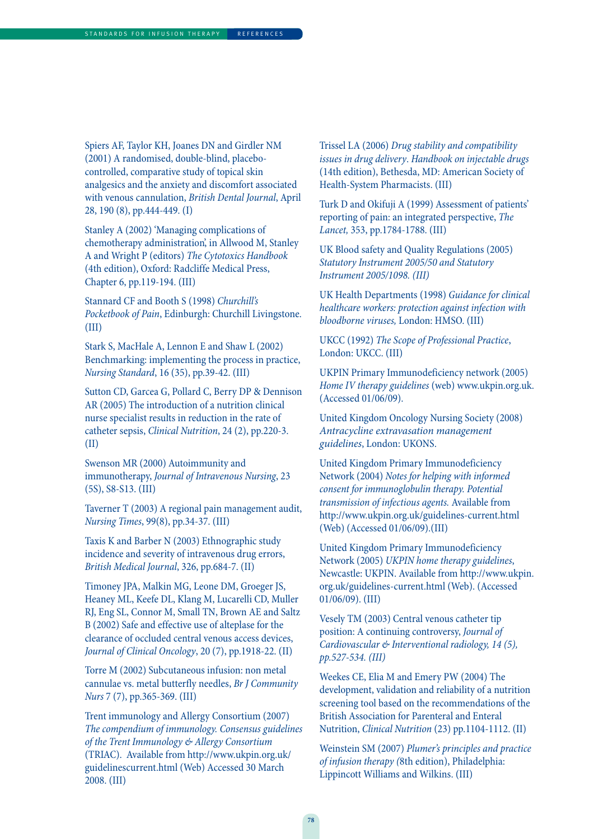Spiers AF, Taylor KH, Joanes DN and Girdler NM (2001) A randomised, double-blind, placebocontrolled, comparative study of topical skin analgesics and the anxiety and discomfort associated with venous cannulation, British Dental Journal, April 28, 190 (8), pp.444-449. (I)

Stanley A (2002) 'Managing complications of chemotherapy administration', in Allwood M, Stanley A and Wright P (editors) The Cytotoxics Handbook (4th edition), Oxford: Radcliffe Medical Press, Chapter 6, pp.119-194. (III)

Stannard CF and Booth S (1998) Churchill's Pocketbook of Pain, Edinburgh: Churchill Livingstone. (III)

Stark S, MacHale A, Lennon E and Shaw L (2002) Benchmarking: implementing the process in practice, Nursing Standard, 16 (35), pp.39-42. (III)

Sutton CD, Garcea G, Pollard C, Berry DP & Dennison AR (2005) The introduction of a nutrition clinical nurse specialist results in reduction in the rate of catheter sepsis, Clinical Nutrition, 24 (2), pp.220-3. (II)

Swenson MR (2000) Autoimmunity and immunotherapy, Journal of Intravenous Nursing, 23 (5S), S8-S13. (III)

Taverner T (2003) A regional pain management audit, Nursing Times, 99(8), pp.34-37. (III)

Taxis K and Barber N (2003) Ethnographic study incidence and severity of intravenous drug errors, British Medical Journal, 326, pp.684-7. (II)

Timoney JPA, Malkin MG, Leone DM, Groeger JS, Heaney ML, Keefe DL, Klang M, Lucarelli CD, Muller RJ, Eng SL, Connor M, Small TN, Brown AE and Saltz B (2002) Safe and effective use of alteplase for the clearance of occluded central venous access devices, Journal of Clinical Oncology, 20 (7), pp.1918-22. (II)

Torre M (2002) Subcutaneous infusion: non metal cannulae vs. metal butterfly needles, Br J Community Nurs 7 (7), pp.365-369. (III)

Trent immunology and Allergy Consortium (2007) The compendium of immunology. Consensus guidelines of the Trent Immunology & Allergy Consortium (TRIAC). Available from http://www.ukpin.org.uk/ guidelinescurrent.html (Web) Accessed 30 March 2008. (III)

Trissel LA (2006) Drug stability and compatibility issues in drug delivery. Handbook on injectable drugs (14th edition), Bethesda, MD: American Society of Health-System Pharmacists. (III)

Turk D and Okifuji A (1999) Assessment of patients' reporting of pain: an integrated perspective, The Lancet, 353, pp.1784-1788. (III)

UK Blood safety and Quality Regulations (2005) Statutory Instrument 2005/50 and Statutory Instrument 2005/1098. (III)

UK Health Departments (1998) Guidance for clinical healthcare workers: protection against infection with bloodborne viruses, London: HMSO. (III)

UKCC (1992) The Scope of Professional Practice, London: UKCC. (III)

UKPIN Primary Immunodeficiency network (2005) Home IV therapy guidelines (web) www.ukpin.org.uk. (Accessed 01/06/09).

United Kingdom Oncology Nursing Society (2008) Antracycline extravasation management guidelines, London: UKONS.

United Kingdom Primary Immunodeficiency Network (2004) Notes for helping with informed consent for immunoglobulin therapy. Potential transmission of infectious agents. Available from http://www.ukpin.org.uk/guidelines-current.html (Web) (Accessed 01/06/09).(III)

United Kingdom Primary Immunodeficiency Network (2005) UKPIN home therapy guidelines, Newcastle: UKPIN. Available from http://www.ukpin. org.uk/guidelines-current.html (Web). (Accessed 01/06/09). (III)

Vesely TM (2003) Central venous catheter tip position: A continuing controversy, Journal of Cardiovascular & Interventional radiology, 14 (5), pp.527-534. (III)

Weekes CE, Elia M and Emery PW (2004) The development, validation and reliability of a nutrition screening tool based on the recommendations of the British Association for Parenteral and Enteral Nutrition, Clinical Nutrition (23) pp.1104-1112. (II)

Weinstein SM (2007) Plumer's principles and practice of infusion therapy (8th edition), Philadelphia: Lippincott Williams and Wilkins. (III)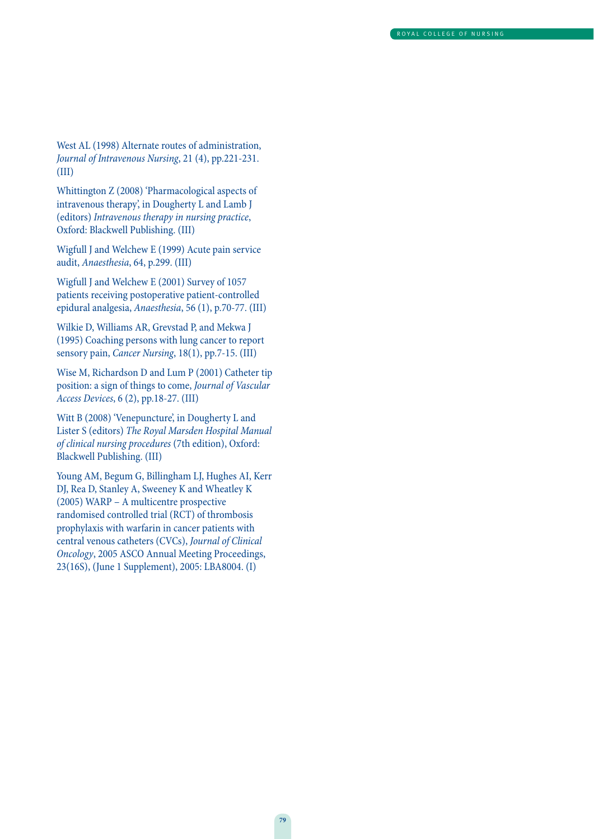West AL (1998) Alternate routes of administration, Journal of Intravenous Nursing, 21 (4), pp.221-231. (III)

Whittington Z (2008) 'Pharmacological aspects of intravenous therapy', in Dougherty L and Lamb J (editors) Intravenous therapy in nursing practice, Oxford: Blackwell Publishing. (III)

Wigfull J and Welchew E (1999) Acute pain service audit, Anaesthesia, 64, p.299. (III)

Wigfull J and Welchew E (2001) Survey of 1057 patients receiving postoperative patient-controlled epidural analgesia, Anaesthesia, 56 (1), p.70-77. (III)

Wilkie D, Williams AR, Grevstad P, and Mekwa J (1995) Coaching persons with lung cancer to report sensory pain, Cancer Nursing, 18(1), pp.7-15. (III)

Wise M, Richardson D and Lum P (2001) Catheter tip position: a sign of things to come, Journal of Vascular Access Devices, 6 (2), pp.18-27. (III)

Witt B (2008) 'Venepuncture', in Dougherty L and Lister S (editors) The Royal Marsden Hospital Manual of clinical nursing procedures (7th edition), Oxford: Blackwell Publishing. (III)

Young AM, Begum G, Billingham LJ, Hughes AI, Kerr DJ, Rea D, Stanley A, Sweeney K and Wheatley K (2005) WARP – A multicentre prospective randomised controlled trial (RCT) of thrombosis prophylaxis with warfarin in cancer patients with central venous catheters (CVCs), Journal of Clinical Oncology, 2005 ASCO Annual Meeting Proceedings, 23(16S), (June 1 Supplement), 2005: LBA8004. (I)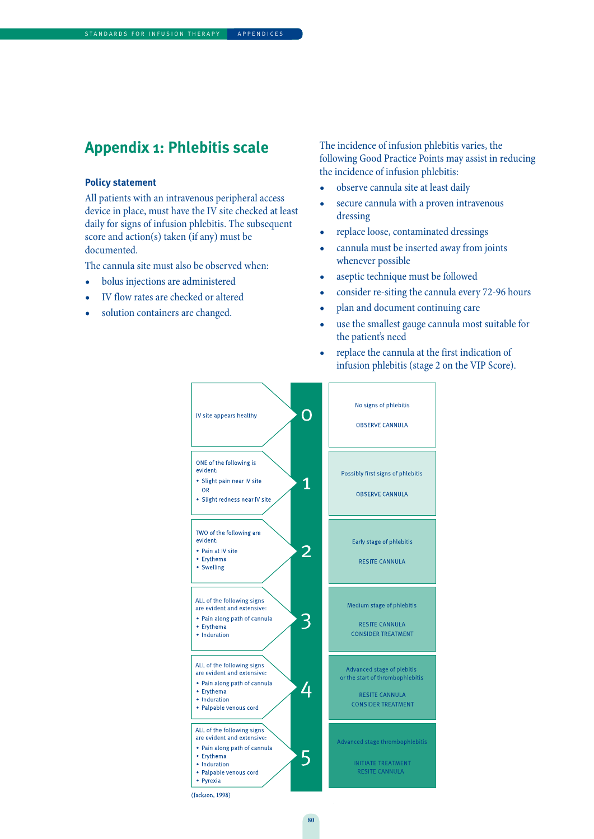### **Appendix 1: Phlebitis scale**

#### **Policy statement**

All patients with an intravenous peripheral access device in place, must have the IV site checked at least daily for signs of infusion phlebitis. The subsequent score and action(s) taken (if any) must be documented.

The cannula site must also be observed when:

- bolus injections are administered
- IV flow rates are checked or altered
- solution containers are changed.

The incidence of infusion phlebitis varies, the following Good Practice Points may assist in reducing the incidence of infusion phlebitis:

- observe cannula site at least daily
- secure cannula with a proven intravenous dressing
- replace loose, contaminated dressings
- cannula must be inserted away from joints whenever possible
- aseptic technique must be followed
- consider re-siting the cannula every 72-96 hours
- plan and document continuing care
- use the smallest gauge cannula most suitable for the patient's need
- replace the cannula at the first indication of infusion phlebitis (stage 2 on the VIP Score).



**80**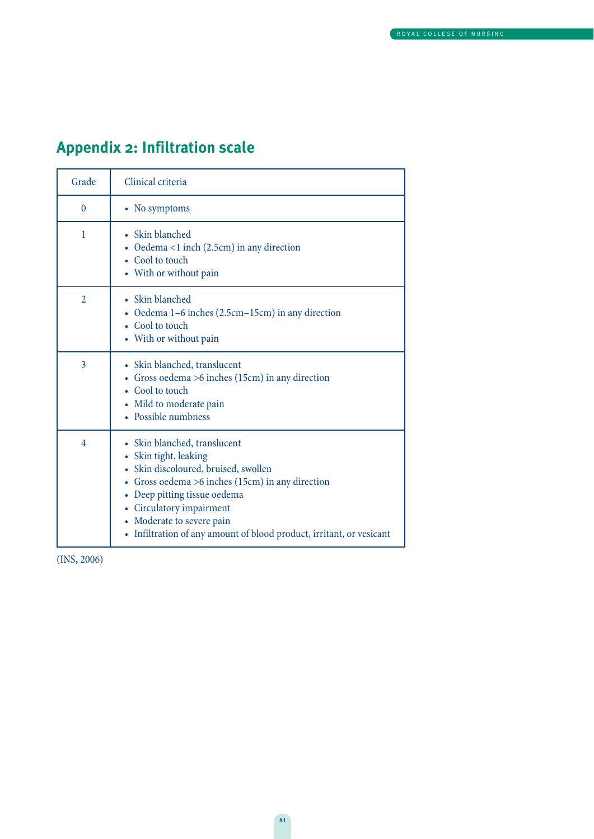# **Appendix 2: Infiltration scale**

| Grade          | Clinical criteria                                                                                                                                                                                                                                                                                                    |
|----------------|----------------------------------------------------------------------------------------------------------------------------------------------------------------------------------------------------------------------------------------------------------------------------------------------------------------------|
| $\theta$       | • No symptoms                                                                                                                                                                                                                                                                                                        |
| 1              | • Skin blanched<br>• Oedema <1 inch $(2.5cm)$ in any direction<br>• Cool to touch<br>• With or without pain                                                                                                                                                                                                          |
| $\overline{2}$ | • Skin blanched<br>• Oedema 1–6 inches (2.5cm–15cm) in any direction<br>• Cool to touch<br>• With or without pain                                                                                                                                                                                                    |
| $\overline{3}$ | • Skin blanched, translucent<br>• Gross oedema $>6$ inches (15cm) in any direction<br>• Cool to touch<br>• Mild to moderate pain<br>• Possible numbness                                                                                                                                                              |
| 4              | • Skin blanched, translucent<br>• Skin tight, leaking<br>• Skin discoloured, bruised, swollen<br>• Gross oedema $>6$ inches (15cm) in any direction<br>• Deep pitting tissue oedema<br>• Circulatory impairment<br>• Moderate to severe pain<br>• Infiltration of any amount of blood product, irritant, or vesicant |

(INS**,** 2006)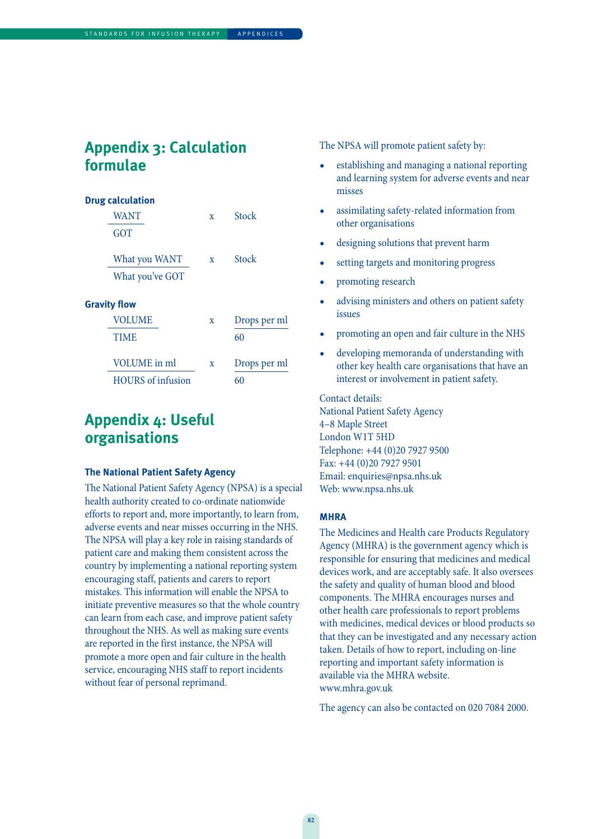## **Appendix 3: Calculation formulae**

#### **Drug calculation**

| <b>WANT</b>              | X            | Stock        |
|--------------------------|--------------|--------------|
| <b>GOT</b>               |              |              |
| What you WANT            | $\mathbf{x}$ | Stock        |
| What you've GOT          |              |              |
| <b>Gravity flow</b>      |              |              |
| <b>VOLUME</b>            | X            | Drops per ml |
| <b>TIME</b>              |              | 60           |
| VOLUME in ml             | X            | Drops per ml |
| <b>HOURS</b> of infusion |              | 60           |

# **Appendix 4: Useful organisations**

#### **The National Patient Safety Agency**

The National Patient Safety Agency (NPSA) is a special health authority created to co-ordinate nationwide efforts to report and, more importantly, to learn from, adverse events and near misses occurring in the NHS. The NPSA will play a key role in raising standards of patient care and making them consistent across the country by implementing a national reporting system encouraging staff, patients and carers to report mistakes. This information will enable the NPSA to initiate preventive measures so that the whole country can learn from each case, and improve patient safety throughout the NHS. As well as making sure events are reported in the first instance, the NPSA will promote a more open and fair culture in the health service, encouraging NHS staff to report incidents without fear of personal reprimand.

The NPSA will promote patient safety by:

- establishing and managing a national reporting and learning system for adverse events and near misses
- assimilating safety-related information from other organisations
- designing solutions that prevent harm
- setting targets and monitoring progress
- promoting research
- advising ministers and others on patient safety issues
- promoting an open and fair culture in the NHS
- developing memoranda of understanding with other key health care organisations that have an interest or involvement in patient safety.

Contact details: National Patient Safety Agency 4–8 Maple Street London W1T 5HD Telephone: +44 (0)20 7927 9500 Fax: +44 (0)20 7927 9501 Email: enquiries@npsa.nhs.uk Web: www.npsa.nhs.uk

#### **MHRA**

The Medicines and Health care Products Regulatory Agency (MHRA) is the government agency which is responsible for ensuring that medicines and medical devices work, and are acceptably safe. It also oversees the safety and quality of human blood and blood components. The MHRA encourages nurses and other health care professionals to report problems with medicines, medical devices or blood products so that they can be investigated and any necessary action taken. Details of how to report, including on-line reporting and important safety information is available via the MHRA website. www.mhra.gov.uk

The agency can also be contacted on 020 7084 2000.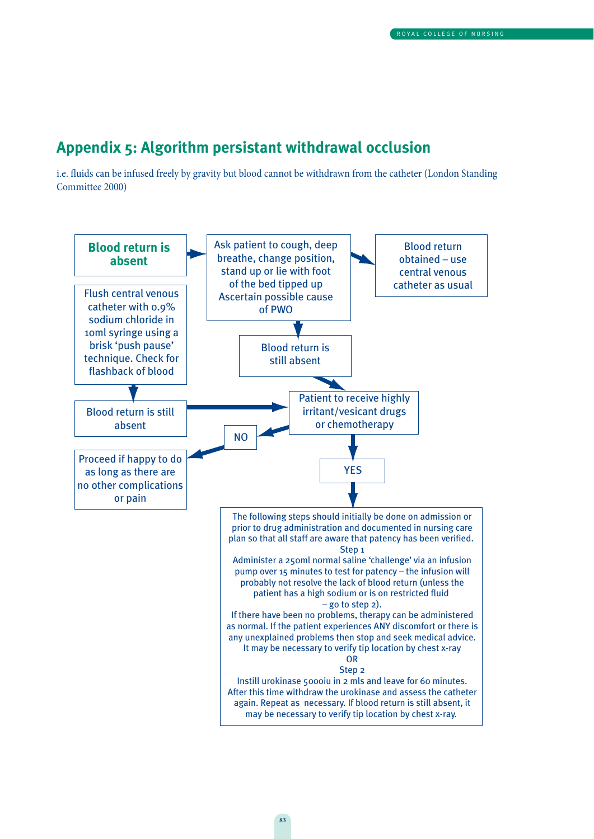### **Appendix 5: Algorithm persistant withdrawal occlusion**

i.e. fluids can be infused freely by gravity but blood cannot be withdrawn from the catheter (London Standing Committee 2000)

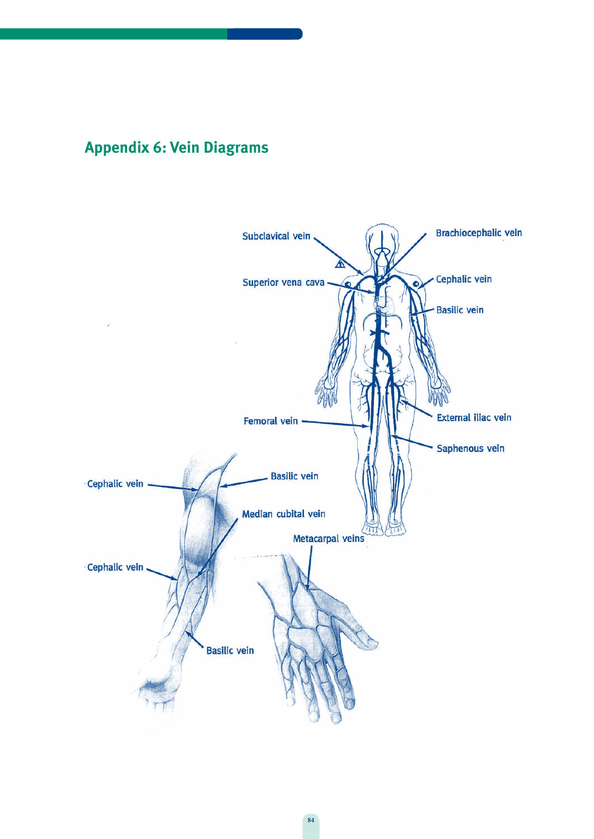# **Appendix 6: Vein Diagrams**

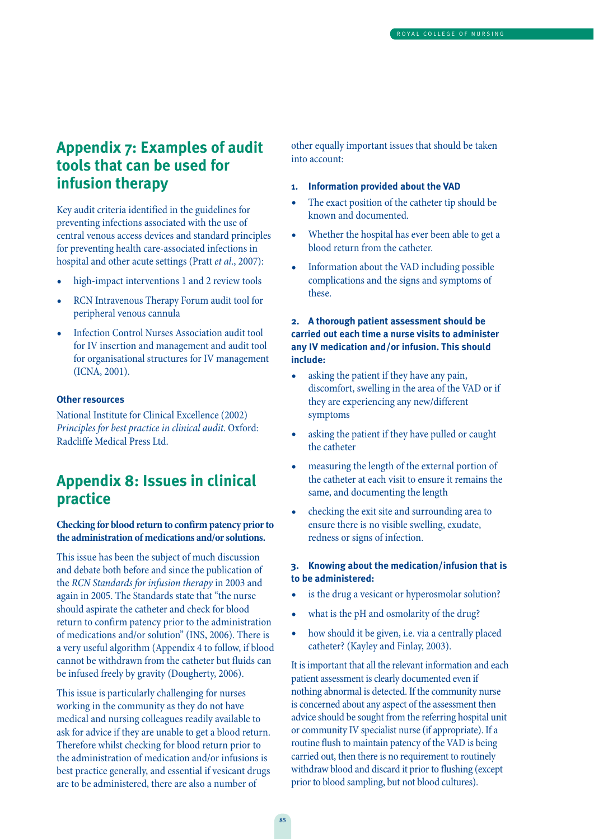## **Appendix 7: Examples of audit tools that can be used for infusion therapy**

Key audit criteria identified in the guidelines for preventing infections associated with the use of central venous access devices and standard principles for preventing health care-associated infections in hospital and other acute settings (Pratt *et al.*, 2007):

- high-impact interventions 1 and 2 review tools
- RCN Intravenous Therapy Forum audit tool for peripheral venous cannula
- Infection Control Nurses Association audit tool for IV insertion and management and audit tool for organisational structures for IV management (ICNA, 2001).

#### **Other resources**

National Institute for Clinical Excellence (2002) Principles for best practice in clinical audit. Oxford: Radcliffe Medical Press Ltd.

## **Appendix 8: Issues in clinical practice**

#### **Checking for blood return to confirm patency prior to the administration of medications and/or solutions.**

This issue has been the subject of much discussion and debate both before and since the publication of the RCN Standards for infusion therapy in 2003 and again in 2005. The Standards state that "the nurse should aspirate the catheter and check for blood return to confirm patency prior to the administration of medications and/or solution" (INS, 2006). There is a very useful algorithm (Appendix 4 to follow, if blood cannot be withdrawn from the catheter but fluids can be infused freely by gravity (Dougherty, 2006).

This issue is particularly challenging for nurses working in the community as they do not have medical and nursing colleagues readily available to ask for advice if they are unable to get a blood return. Therefore whilst checking for blood return prior to the administration of medication and/or infusions is best practice generally, and essential if vesicant drugs are to be administered, there are also a number of

other equally important issues that should be taken into account:

- **1. Information provided about the VAD**
- The exact position of the catheter tip should be known and documented.
- Whether the hospital has ever been able to get a blood return from the catheter.
- Information about the VAD including possible complications and the signs and symptoms of these.

#### **2. A thorough patient assessment should be carried out each time a nurse visits to administer any IV medication and/or infusion. This should include:**

- asking the patient if they have any pain, discomfort, swelling in the area of the VAD or if they are experiencing any new/different symptoms
- asking the patient if they have pulled or caught the catheter
- measuring the length of the external portion of the catheter at each visit to ensure it remains the same, and documenting the length
- checking the exit site and surrounding area to ensure there is no visible swelling, exudate, redness or signs of infection.

#### **3. Knowing about the medication/infusion that is to be administered:**

- is the drug a vesicant or hyperosmolar solution?
- what is the pH and osmolarity of the drug?
- how should it be given, i.e. via a centrally placed catheter? (Kayley and Finlay, 2003).

It is important that all the relevant information and each patient assessment is clearly documented even if nothing abnormal is detected. If the community nurse is concerned about any aspect of the assessment then advice should be sought from the referring hospital unit or community IV specialist nurse (if appropriate). If a routine flush to maintain patency of the VAD is being carried out, then there is no requirement to routinely withdraw blood and discard it prior to flushing (except prior to blood sampling, but not blood cultures).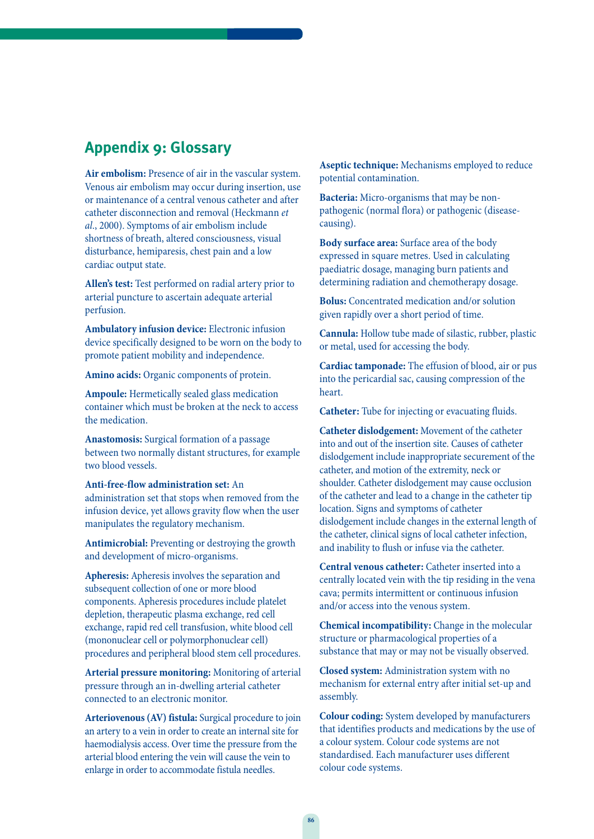## **Appendix 9: Glossary**

**Air embolism:** Presence of air in the vascular system. Venous air embolism may occur during insertion, use or maintenance of a central venous catheter and after catheter disconnection and removal (Heckmann et al., 2000). Symptoms of air embolism include shortness of breath, altered consciousness, visual disturbance, hemiparesis, chest pain and a low cardiac output state.

**Allen's test:** Test performed on radial artery prior to arterial puncture to ascertain adequate arterial perfusion.

**Ambulatory infusion device:** Electronic infusion device specifically designed to be worn on the body to promote patient mobility and independence.

**Amino acids:** Organic components of protein.

**Ampoule:** Hermetically sealed glass medication container which must be broken at the neck to access the medication.

**Anastomosis:** Surgical formation of a passage between two normally distant structures, for example two blood vessels.

**Anti-free-flow administration set:** An administration set that stops when removed from the infusion device, yet allows gravity flow when the user manipulates the regulatory mechanism.

**Antimicrobial:** Preventing or destroying the growth and development of micro-organisms.

**Apheresis:** Apheresis involves the separation and subsequent collection of one or more blood components. Apheresis procedures include platelet depletion, therapeutic plasma exchange, red cell exchange, rapid red cell transfusion, white blood cell (mononuclear cell or polymorphonuclear cell) procedures and peripheral blood stem cell procedures.

**Arterial pressure monitoring:** Monitoring of arterial pressure through an in-dwelling arterial catheter connected to an electronic monitor.

**Arteriovenous (AV) fistula:** Surgical procedure to join an artery to a vein in order to create an internal site for haemodialysis access. Over time the pressure from the arterial blood entering the vein will cause the vein to enlarge in order to accommodate fistula needles.

**Aseptic technique:** Mechanisms employed to reduce potential contamination.

**Bacteria:** Micro-organisms that may be nonpathogenic (normal flora) or pathogenic (diseasecausing).

**Body surface area:** Surface area of the body expressed in square metres. Used in calculating paediatric dosage, managing burn patients and determining radiation and chemotherapy dosage.

**Bolus:** Concentrated medication and/or solution given rapidly over a short period of time.

**Cannula:** Hollow tube made of silastic, rubber, plastic or metal, used for accessing the body.

**Cardiac tamponade:** The effusion of blood, air or pus into the pericardial sac, causing compression of the heart.

**Catheter:** Tube for injecting or evacuating fluids.

**Catheter dislodgement:** Movement of the catheter into and out of the insertion site. Causes of catheter dislodgement include inappropriate securement of the catheter, and motion of the extremity, neck or shoulder. Catheter dislodgement may cause occlusion of the catheter and lead to a change in the catheter tip location. Signs and symptoms of catheter dislodgement include changes in the external length of the catheter, clinical signs of local catheter infection, and inability to flush or infuse via the catheter.

**Central venous catheter:** Catheter inserted into a centrally located vein with the tip residing in the vena cava; permits intermittent or continuous infusion and/or access into the venous system.

**Chemical incompatibility:** Change in the molecular structure or pharmacological properties of a substance that may or may not be visually observed.

**Closed system:** Administration system with no mechanism for external entry after initial set-up and assembly.

**Colour coding:** System developed by manufacturers that identifies products and medications by the use of a colour system. Colour code systems are not standardised. Each manufacturer uses different colour code systems.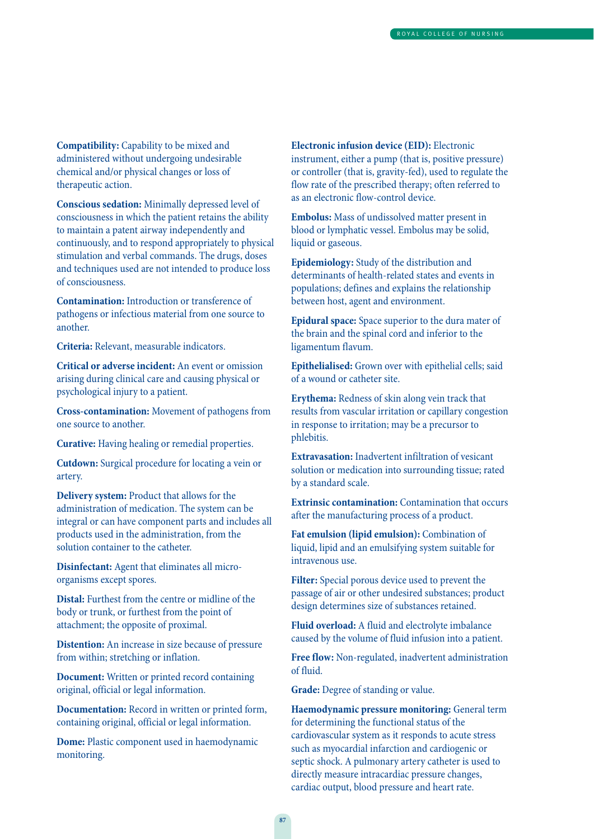**Compatibility:** Capability to be mixed and administered without undergoing undesirable chemical and/or physical changes or loss of therapeutic action.

**Conscious sedation:** Minimally depressed level of consciousness in which the patient retains the ability to maintain a patent airway independently and continuously, and to respond appropriately to physical stimulation and verbal commands. The drugs, doses and techniques used are not intended to produce loss of consciousness.

**Contamination:** Introduction or transference of pathogens or infectious material from one source to another.

**Criteria:** Relevant, measurable indicators.

**Critical or adverse incident:** An event or omission arising during clinical care and causing physical or psychological injury to a patient.

**Cross-contamination:** Movement of pathogens from one source to another.

**Curative:** Having healing or remedial properties.

**Cutdown:** Surgical procedure for locating a vein or artery.

**Delivery system:** Product that allows for the administration of medication. The system can be integral or can have component parts and includes all products used in the administration, from the solution container to the catheter.

**Disinfectant:** Agent that eliminates all microorganisms except spores.

**Distal:** Furthest from the centre or midline of the body or trunk, or furthest from the point of attachment; the opposite of proximal.

**Distention:** An increase in size because of pressure from within; stretching or inflation.

**Document:** Written or printed record containing original, official or legal information.

**Documentation:** Record in written or printed form, containing original, official or legal information.

**Dome:** Plastic component used in haemodynamic monitoring.

**Electronic infusion device (EID):** Electronic instrument, either a pump (that is, positive pressure) or controller (that is, gravity-fed), used to regulate the flow rate of the prescribed therapy; often referred to as an electronic flow-control device.

**Embolus:** Mass of undissolved matter present in blood or lymphatic vessel. Embolus may be solid, liquid or gaseous.

**Epidemiology:** Study of the distribution and determinants of health-related states and events in populations; defines and explains the relationship between host, agent and environment.

**Epidural space:** Space superior to the dura mater of the brain and the spinal cord and inferior to the ligamentum flavum.

**Epithelialised:** Grown over with epithelial cells; said of a wound or catheter site.

**Erythema:** Redness of skin along vein track that results from vascular irritation or capillary congestion in response to irritation; may be a precursor to phlebitis.

**Extravasation:** Inadvertent infiltration of vesicant solution or medication into surrounding tissue; rated by a standard scale.

**Extrinsic contamination:** Contamination that occurs after the manufacturing process of a product.

**Fat emulsion (lipid emulsion):** Combination of liquid, lipid and an emulsifying system suitable for intravenous use.

**Filter:** Special porous device used to prevent the passage of air or other undesired substances; product design determines size of substances retained.

**Fluid overload:** A fluid and electrolyte imbalance caused by the volume of fluid infusion into a patient.

**Free flow:** Non-regulated, inadvertent administration of fluid.

**Grade:** Degree of standing or value.

**Haemodynamic pressure monitoring:** General term for determining the functional status of the cardiovascular system as it responds to acute stress such as myocardial infarction and cardiogenic or septic shock. A pulmonary artery catheter is used to directly measure intracardiac pressure changes, cardiac output, blood pressure and heart rate.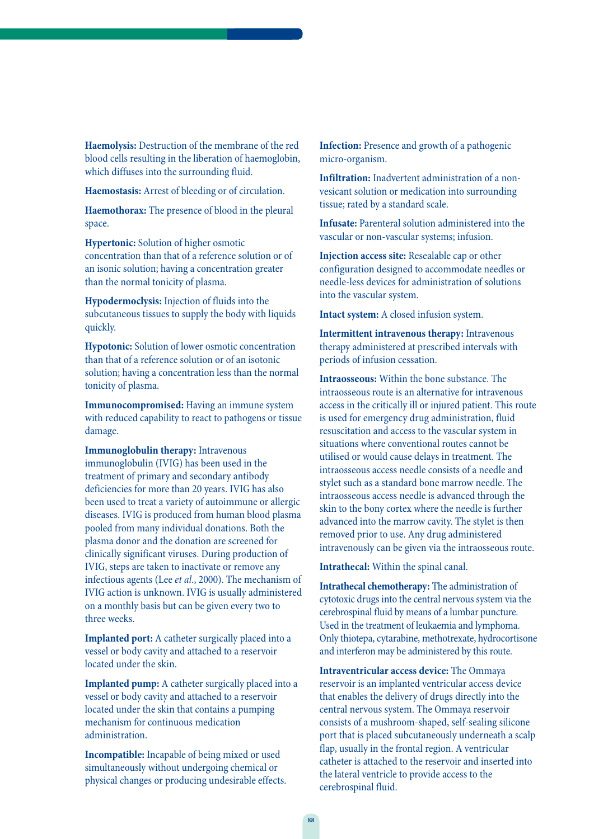**Haemolysis:** Destruction of the membrane of the red blood cells resulting in the liberation of haemoglobin, which diffuses into the surrounding fluid.

**Haemostasis:** Arrest of bleeding or of circulation.

**Haemothorax:** The presence of blood in the pleural space.

**Hypertonic:** Solution of higher osmotic concentration than that of a reference solution or of an isonic solution; having a concentration greater than the normal tonicity of plasma.

**Hypodermoclysis:** Injection of fluids into the subcutaneous tissues to supply the body with liquids quickly.

**Hypotonic:** Solution of lower osmotic concentration than that of a reference solution or of an isotonic solution; having a concentration less than the normal tonicity of plasma.

**Immunocompromised:** Having an immune system with reduced capability to react to pathogens or tissue damage.

**Immunoglobulin therapy:** Intravenous immunoglobulin (IVIG) has been used in the treatment of primary and secondary antibody deficiencies for more than 20 years. IVIG has also been used to treat a variety of autoimmune or allergic diseases. IVIG is produced from human blood plasma pooled from many individual donations. Both the plasma donor and the donation are screened for clinically significant viruses. During production of IVIG, steps are taken to inactivate or remove any infectious agents (Lee et al., 2000). The mechanism of IVIG action is unknown. IVIG is usually administered on a monthly basis but can be given every two to three weeks.

**Implanted port:** A catheter surgically placed into a vessel or body cavity and attached to a reservoir located under the skin.

**Implanted pump:** A catheter surgically placed into a vessel or body cavity and attached to a reservoir located under the skin that contains a pumping mechanism for continuous medication administration.

**Incompatible:** Incapable of being mixed or used simultaneously without undergoing chemical or physical changes or producing undesirable effects. **Infection:** Presence and growth of a pathogenic micro-organism.

**Infiltration:** Inadvertent administration of a nonvesicant solution or medication into surrounding tissue; rated by a standard scale.

**Infusate:** Parenteral solution administered into the vascular or non-vascular systems; infusion.

**Injection access site:** Resealable cap or other configuration designed to accommodate needles or needle-less devices for administration of solutions into the vascular system.

**Intact system:** A closed infusion system.

**Intermittent intravenous therapy:** Intravenous therapy administered at prescribed intervals with periods of infusion cessation.

**Intraosseous:** Within the bone substance. The intraosseous route is an alternative for intravenous access in the critically ill or injured patient. This route is used for emergency drug administration, fluid resuscitation and access to the vascular system in situations where conventional routes cannot be utilised or would cause delays in treatment. The intraosseous access needle consists of a needle and stylet such as a standard bone marrow needle. The intraosseous access needle is advanced through the skin to the bony cortex where the needle is further advanced into the marrow cavity. The stylet is then removed prior to use. Any drug administered intravenously can be given via the intraosseous route.

**Intrathecal:** Within the spinal canal.

**Intrathecal chemotherapy:** The administration of cytotoxic drugs into the central nervous system via the cerebrospinal fluid by means of a lumbar puncture. Used in the treatment of leukaemia and lymphoma. Only thiotepa, cytarabine, methotrexate, hydrocortisone and interferon may be administered by this route.

**Intraventricular access device:** The Ommaya reservoir is an implanted ventricular access device that enables the delivery of drugs directly into the central nervous system. The Ommaya reservoir consists of a mushroom-shaped, self-sealing silicone port that is placed subcutaneously underneath a scalp flap, usually in the frontal region. A ventricular catheter is attached to the reservoir and inserted into the lateral ventricle to provide access to the cerebrospinal fluid.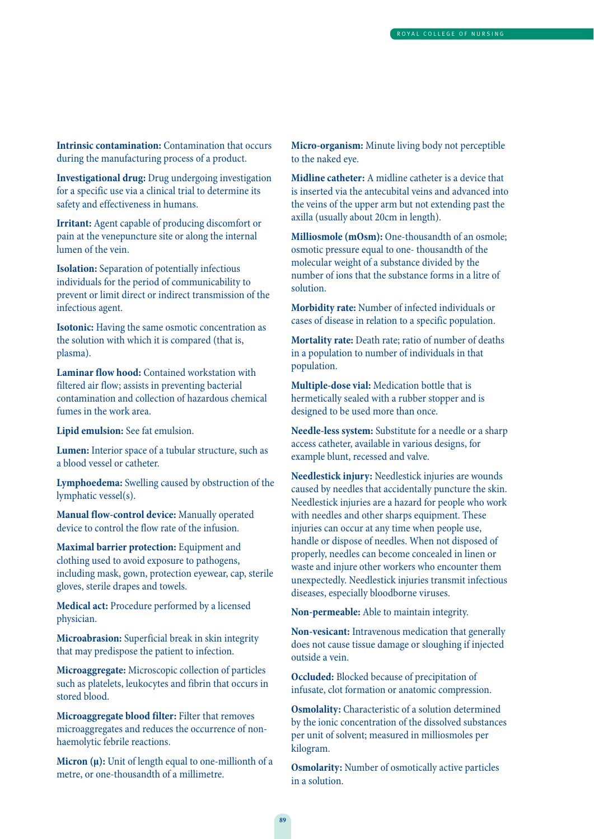**Intrinsic contamination:** Contamination that occurs during the manufacturing process of a product.

**Investigational drug:** Drug undergoing investigation for a specific use via a clinical trial to determine its safety and effectiveness in humans.

**Irritant:** Agent capable of producing discomfort or pain at the venepuncture site or along the internal lumen of the vein.

**Isolation:** Separation of potentially infectious individuals for the period of communicability to prevent or limit direct or indirect transmission of the infectious agent.

**Isotonic:** Having the same osmotic concentration as the solution with which it is compared (that is, plasma).

**Laminar flow hood:** Contained workstation with filtered air flow; assists in preventing bacterial contamination and collection of hazardous chemical fumes in the work area.

**Lipid emulsion:** See fat emulsion.

**Lumen:** Interior space of a tubular structure, such as a blood vessel or catheter.

**Lymphoedema:** Swelling caused by obstruction of the lymphatic vessel(s).

**Manual flow-control device:** Manually operated device to control the flow rate of the infusion.

**Maximal barrier protection:** Equipment and clothing used to avoid exposure to pathogens, including mask, gown, protection eyewear, cap, sterile gloves, sterile drapes and towels.

**Medical act:** Procedure performed by a licensed physician.

**Microabrasion:** Superficial break in skin integrity that may predispose the patient to infection.

**Microaggregate:** Microscopic collection of particles such as platelets, leukocytes and fibrin that occurs in stored blood.

**Microaggregate blood filter:** Filter that removes microaggregates and reduces the occurrence of nonhaemolytic febrile reactions.

Micron ( $\mu$ ): Unit of length equal to one-millionth of a metre, or one-thousandth of a millimetre.

**Micro-organism:** Minute living body not perceptible to the naked eye.

**Midline catheter:** A midline catheter is a device that is inserted via the antecubital veins and advanced into the veins of the upper arm but not extending past the axilla (usually about 20cm in length).

**Milliosmole (mOsm):** One-thousandth of an osmole; osmotic pressure equal to one- thousandth of the molecular weight of a substance divided by the number of ions that the substance forms in a litre of solution.

**Morbidity rate:** Number of infected individuals or cases of disease in relation to a specific population.

**Mortality rate:** Death rate; ratio of number of deaths in a population to number of individuals in that population.

**Multiple-dose vial:** Medication bottle that is hermetically sealed with a rubber stopper and is designed to be used more than once.

**Needle-less system:** Substitute for a needle or a sharp access catheter, available in various designs, for example blunt, recessed and valve.

**Needlestick injury:** Needlestick injuries are wounds caused by needles that accidentally puncture the skin. Needlestick injuries are a hazard for people who work with needles and other sharps equipment. These injuries can occur at any time when people use, handle or dispose of needles. When not disposed of properly, needles can become concealed in linen or waste and injure other workers who encounter them unexpectedly. Needlestick injuries transmit infectious diseases, especially bloodborne viruses.

**Non-permeable:** Able to maintain integrity.

**Non-vesicant:** Intravenous medication that generally does not cause tissue damage or sloughing if injected outside a vein.

**Occluded:** Blocked because of precipitation of infusate, clot formation or anatomic compression.

**Osmolality:** Characteristic of a solution determined by the ionic concentration of the dissolved substances per unit of solvent; measured in milliosmoles per kilogram.

**Osmolarity:** Number of osmotically active particles in a solution.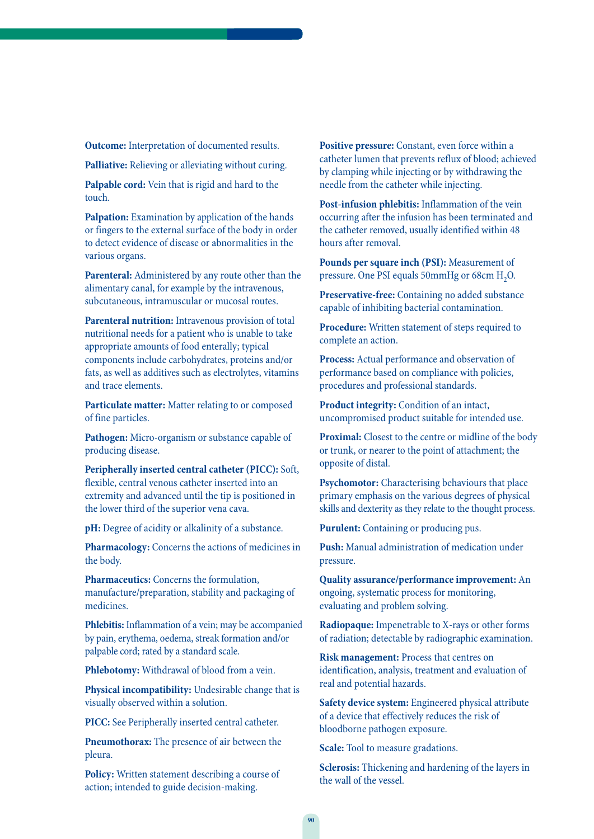**Outcome:** Interpretation of documented results.

**Palliative:** Relieving or alleviating without curing.

**Palpable cord:** Vein that is rigid and hard to the touch.

**Palpation:** Examination by application of the hands or fingers to the external surface of the body in order to detect evidence of disease or abnormalities in the various organs.

**Parenteral:** Administered by any route other than the alimentary canal, for example by the intravenous, subcutaneous, intramuscular or mucosal routes.

**Parenteral nutrition:** Intravenous provision of total nutritional needs for a patient who is unable to take appropriate amounts of food enterally; typical components include carbohydrates, proteins and/or fats, as well as additives such as electrolytes, vitamins and trace elements.

**Particulate matter:** Matter relating to or composed of fine particles.

**Pathogen:** Micro-organism or substance capable of producing disease.

**Peripherally inserted central catheter (PICC):** Soft, flexible, central venous catheter inserted into an extremity and advanced until the tip is positioned in the lower third of the superior vena cava.

**pH:** Degree of acidity or alkalinity of a substance.

**Pharmacology:** Concerns the actions of medicines in the body.

**Pharmaceutics:** Concerns the formulation, manufacture/preparation, stability and packaging of medicines.

**Phlebitis:** Inflammation of a vein; may be accompanied by pain, erythema, oedema, streak formation and/or palpable cord; rated by a standard scale.

**Phlebotomy:** Withdrawal of blood from a vein.

**Physical incompatibility:** Undesirable change that is visually observed within a solution.

**PICC:** See Peripherally inserted central catheter.

**Pneumothorax:** The presence of air between the pleura.

**Policy:** Written statement describing a course of action; intended to guide decision-making.

**Positive pressure:** Constant, even force within a catheter lumen that prevents reflux of blood; achieved by clamping while injecting or by withdrawing the needle from the catheter while injecting.

**Post-infusion phlebitis:** Inflammation of the vein occurring after the infusion has been terminated and the catheter removed, usually identified within 48 hours after removal.

**Pounds per square inch (PSI):** Measurement of pressure. One PSI equals  $50 \text{mmHg}$  or  $68 \text{cm H}_2\text{O}$ .

**Preservative-free:** Containing no added substance capable of inhibiting bacterial contamination.

**Procedure:** Written statement of steps required to complete an action.

**Process:** Actual performance and observation of performance based on compliance with policies, procedures and professional standards.

**Product integrity:** Condition of an intact, uncompromised product suitable for intended use.

**Proximal:** Closest to the centre or midline of the body or trunk, or nearer to the point of attachment; the opposite of distal.

**Psychomotor:** Characterising behaviours that place primary emphasis on the various degrees of physical skills and dexterity as they relate to the thought process.

**Purulent:** Containing or producing pus.

**Push:** Manual administration of medication under pressure.

**Quality assurance/performance improvement:** An ongoing, systematic process for monitoring, evaluating and problem solving.

**Radiopaque:** Impenetrable to X-rays or other forms of radiation; detectable by radiographic examination.

**Risk management:** Process that centres on identification, analysis, treatment and evaluation of real and potential hazards.

**Safety device system:** Engineered physical attribute of a device that effectively reduces the risk of bloodborne pathogen exposure.

**Scale:** Tool to measure gradations.

**Sclerosis:** Thickening and hardening of the layers in the wall of the vessel.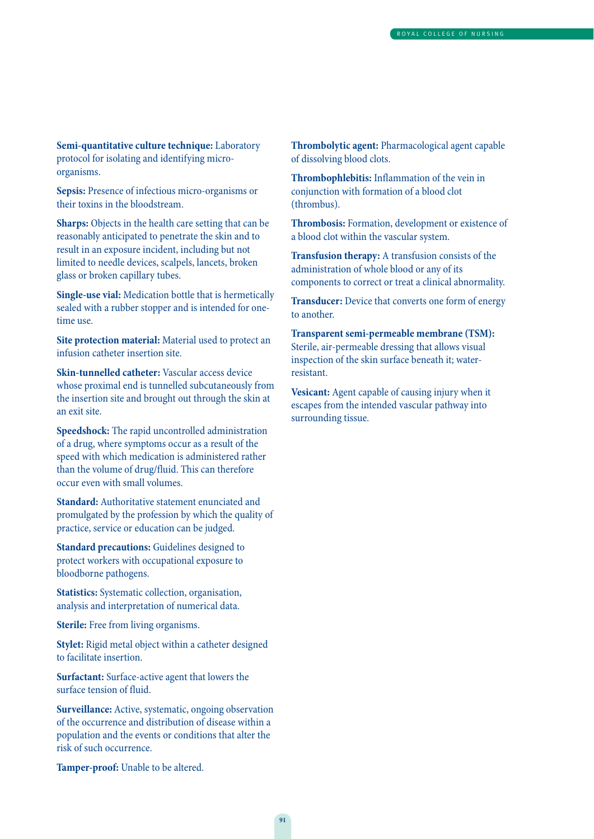**Semi-quantitative culture technique:** Laboratory protocol for isolating and identifying microorganisms.

**Sepsis:** Presence of infectious micro-organisms or their toxins in the bloodstream.

**Sharps:** Objects in the health care setting that can be reasonably anticipated to penetrate the skin and to result in an exposure incident, including but not limited to needle devices, scalpels, lancets, broken glass or broken capillary tubes.

**Single-use vial:** Medication bottle that is hermetically sealed with a rubber stopper and is intended for onetime use.

**Site protection material:** Material used to protect an infusion catheter insertion site.

**Skin-tunnelled catheter:** Vascular access device whose proximal end is tunnelled subcutaneously from the insertion site and brought out through the skin at an exit site.

**Speedshock:** The rapid uncontrolled administration of a drug, where symptoms occur as a result of the speed with which medication is administered rather than the volume of drug/fluid. This can therefore occur even with small volumes.

**Standard:** Authoritative statement enunciated and promulgated by the profession by which the quality of practice, service or education can be judged.

**Standard precautions:** Guidelines designed to protect workers with occupational exposure to bloodborne pathogens.

**Statistics:** Systematic collection, organisation, analysis and interpretation of numerical data.

**Sterile:** Free from living organisms.

**Stylet:** Rigid metal object within a catheter designed to facilitate insertion.

**Surfactant:** Surface-active agent that lowers the surface tension of fluid.

**Surveillance:** Active, systematic, ongoing observation of the occurrence and distribution of disease within a population and the events or conditions that alter the risk of such occurrence.

**Tamper-proof:** Unable to be altered.

**Thrombolytic agent:** Pharmacological agent capable of dissolving blood clots.

**Thrombophlebitis:** Inflammation of the vein in conjunction with formation of a blood clot (thrombus).

**Thrombosis:** Formation, development or existence of a blood clot within the vascular system.

**Transfusion therapy:** A transfusion consists of the administration of whole blood or any of its components to correct or treat a clinical abnormality.

**Transducer:** Device that converts one form of energy to another.

**Transparent semi-permeable membrane (TSM):** Sterile, air-permeable dressing that allows visual inspection of the skin surface beneath it; waterresistant.

**Vesicant:** Agent capable of causing injury when it escapes from the intended vascular pathway into surrounding tissue.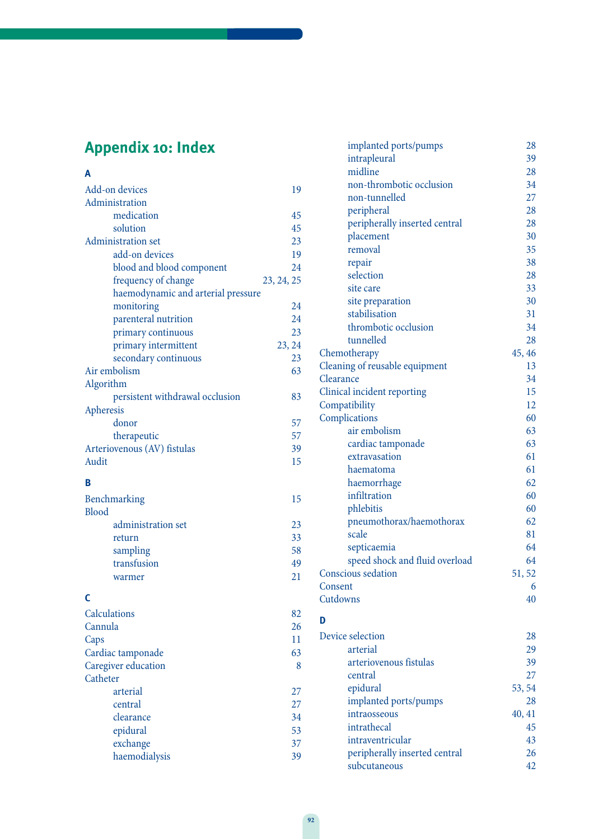# **Appendix 10: Index**

| A                                  |            |
|------------------------------------|------------|
| Add-on devices                     | 19         |
| Administration                     |            |
| medication                         | 45         |
| solution                           | 45         |
| Administration set                 | 23         |
| add-on devices                     | 19         |
| blood and blood component          | 24         |
| frequency of change                | 23, 24, 25 |
| haemodynamic and arterial pressure |            |
| monitoring                         | 24         |
| parenteral nutrition               | 24         |
| primary continuous                 | 23         |
| primary intermittent               | 23, 24     |
| secondary continuous               | 23         |
| Air embolism                       | 63         |
| Algorithm                          |            |
| persistent withdrawal occlusion    | 83         |
| Apheresis                          |            |
| donor                              | 57         |
| therapeutic                        | 57         |
| Arteriovenous (AV) fistulas        | 39         |
| Audit                              | 15         |

### **B**

| Benchmarking       | 15 |
|--------------------|----|
| Blood              |    |
| administration set | 23 |
| return             | 33 |
| sampling           | 58 |
| transfusion        | 49 |
| warmer             |    |

### **C**

| <b>Calculations</b> | 82 |
|---------------------|----|
| Cannula             | 26 |
| Caps                | 11 |
| Cardiac tamponade   | 63 |
| Caregiver education | 8  |
| Catheter            |    |
| arterial            | 27 |
| central             | 27 |
| clearance           | 34 |
| epidural            | 53 |
| exchange            | 37 |
| haemodialysis       | 39 |
|                     |    |

| implanted ports/pumps          | 28     |
|--------------------------------|--------|
| intrapleural                   | 39     |
| midline                        | 28     |
| non-thrombotic occlusion       | 34     |
| non-tunnelled                  | 27     |
| peripheral                     | 28     |
| peripherally inserted central  | 28     |
| placement                      | 30     |
| removal                        | 35     |
| repair                         | 38     |
| selection                      | 28     |
| site care                      | 33     |
| site preparation               | 30     |
| stabilisation                  | 31     |
| thrombotic occlusion           | 34     |
| tunnelled                      | 28     |
| Chemotherapy                   | 45, 46 |
| Cleaning of reusable equipment | 13     |
| Clearance                      | 34     |
| Clinical incident reporting    | 15     |
| Compatibility                  | 12     |
| Complications                  | 60     |
| air embolism                   | 63     |
| cardiac tamponade              | 63     |
| extravasation                  | 61     |
| haematoma                      | 61     |
| haemorrhage                    | 62     |
| infiltration                   | 60     |
| phlebitis                      | 60     |
| pneumothorax/haemothorax       | 62     |
| scale                          | 81     |
| septicaemia                    | 64     |
| speed shock and fluid overload | 64     |
| Conscious sedation             | 51, 52 |
| Consent                        | 6      |
| Cutdowns                       | 40     |
| D                              |        |
| Device selection               | 28     |
| arterial                       | 29     |
| arteriovenous fistulas         | 39     |
| central                        | 27     |
| epidural                       | 53, 54 |
| implanted ports/pumps          | 28     |
| intraosseous                   | 40, 41 |

intraventricular

intrathecal 45<br>intraventricular 43

peripherally inserted central 26 subcutaneous 42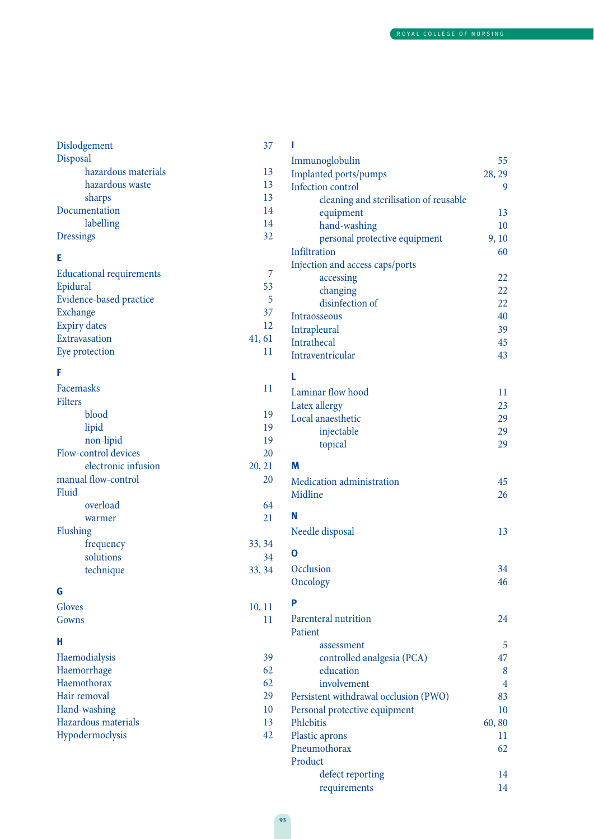| Dislodgement                    | 37       | I                                      |                |
|---------------------------------|----------|----------------------------------------|----------------|
| Disposal                        |          | Immunoglobulin                         | 55             |
| hazardous materials             | 13       | Implanted ports/pumps                  | 28, 29         |
| hazardous waste                 | 13       | Infection control                      | 9              |
| sharps                          | 13       | cleaning and sterilisation of reusable |                |
| Documentation                   | 14       | equipment                              | 13             |
| labelling                       | 14       | hand-washing                           | 10             |
| <b>Dressings</b>                | 32       | personal protective equipment          | 9,10           |
| Е                               |          | Infiltration                           | 60             |
|                                 |          | Injection and access caps/ports        |                |
| <b>Educational requirements</b> | 7        | accessing                              | 22             |
| Epidural                        | 53       | changing                               | 22             |
| Evidence-based practice         | 5        | disinfection of                        | 22             |
| Exchange                        | 37       | Intraosseous                           | 40             |
| <b>Expiry dates</b>             | 12       | Intrapleural                           | 39             |
| Extravasation                   | 41, 61   | Intrathecal                            | 45             |
| Eye protection                  | 11       | Intraventricular                       | 43             |
| F                               |          | L                                      |                |
| Facemasks                       | 11       | Laminar flow hood                      | 11             |
| Filters                         |          | Latex allergy                          | 23             |
| blood                           | 19       | Local anaesthetic                      | 29             |
| lipid                           | 19       | injectable                             | 29             |
| non-lipid                       | 19       | topical                                | 29             |
| Flow-control devices            | 20       |                                        |                |
| electronic infusion             | 20, 21   | M                                      |                |
| manual flow-control             | 20       | Medication administration              | 45             |
| Fluid                           |          | Midline                                | 26             |
| overload                        | 64<br>21 | N                                      |                |
| warmer                          |          |                                        | 13             |
| Flushing<br>frequency           | 33, 34   | Needle disposal                        |                |
| solutions                       | 34       | $\mathbf 0$                            |                |
| technique                       | 33, 34   | Occlusion                              | 34             |
|                                 |          | Oncology                               | 46             |
| G                               |          |                                        |                |
| Gloves                          | 10, 11   | P                                      |                |
| Gowns                           | 11       | Parenteral nutrition                   | 24             |
|                                 |          | Patient                                |                |
| н                               |          | assessment                             | 5              |
| Haemodialysis                   | 39       | controlled analgesia (PCA)             | 47             |
| Haemorrhage                     | 62       | education                              | 8              |
| Haemothorax                     | 62       | involvement                            | $\overline{4}$ |
| Hair removal                    | 29       | Persistent withdrawal occlusion (PWO)  | 83             |
| Hand-washing                    | 10       | Personal protective equipment          | 10             |
| Hazardous materials             | 13       | Phlebitis                              | 60,80          |
| Hypodermoclysis                 | 42       | Plastic aprons                         | 11             |
|                                 |          | Pneumothorax                           | 62             |
|                                 |          | Product                                |                |
|                                 |          | defect reporting                       | 14             |
|                                 |          | requirements                           | 14             |